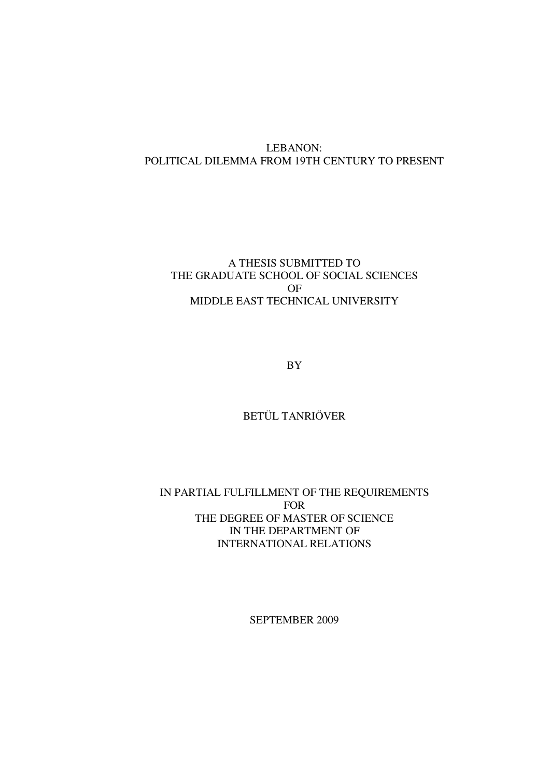# LEBANON: POLITICAL DILEMMA FROM 19TH CENTURY TO PRESENT

## A THESIS SUBMITTED TO THE GRADUATE SCHOOL OF SOCIAL SCIENCES OF MIDDLE EAST TECHNICAL UNIVERSITY

BY

# BETÜL TANRIÖVER

# IN PARTIAL FULFILLMENT OF THE REQUIREMENTS FOR THE DEGREE OF MASTER OF SCIENCE IN THE DEPARTMENT OF INTERNATIONAL RELATIONS

SEPTEMBER 2009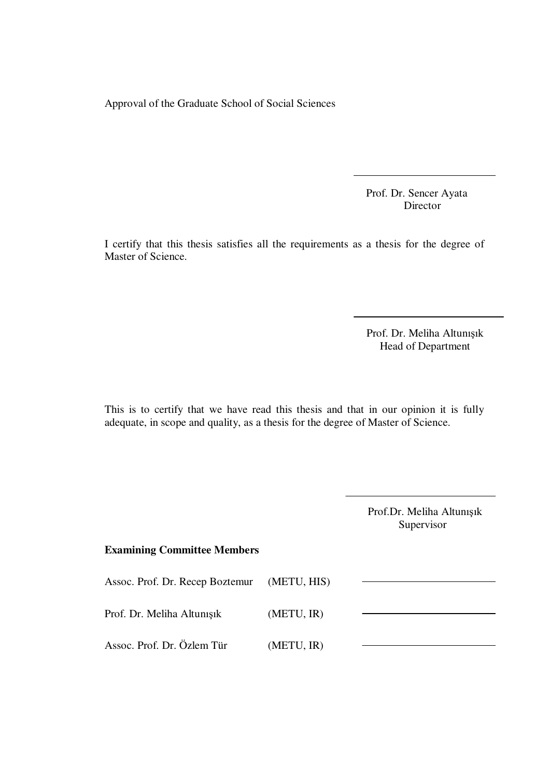Approval of the Graduate School of Social Sciences

Prof. Dr. Sencer Ayata Director

I certify that this thesis satisfies all the requirements as a thesis for the degree of Master of Science.

> Prof. Dr. Meliha Altunışık Head of Department

This is to certify that we have read this thesis and that in our opinion it is fully adequate, in scope and quality, as a thesis for the degree of Master of Science.

> Prof.Dr. Meliha Altunışık Supervisor

# **Examining Committee Members**

| Assoc. Prof. Dr. Recep Boztemur | (METU, HIS) |  |
|---------------------------------|-------------|--|
| Prof. Dr. Meliha Altunisik      | (METU, IR)  |  |
| Assoc. Prof. Dr. Özlem Tür      | (METU, IR)  |  |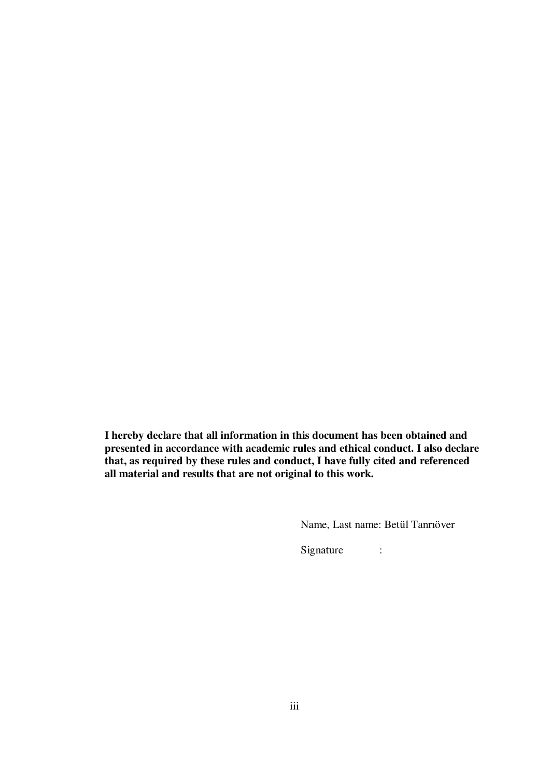**I hereby declare that all information in this document has been obtained and presented in accordance with academic rules and ethical conduct. I also declare that, as required by these rules and conduct, I have fully cited and referenced all material and results that are not original to this work.** 

Name, Last name: Betül Tanrıöver

Signature :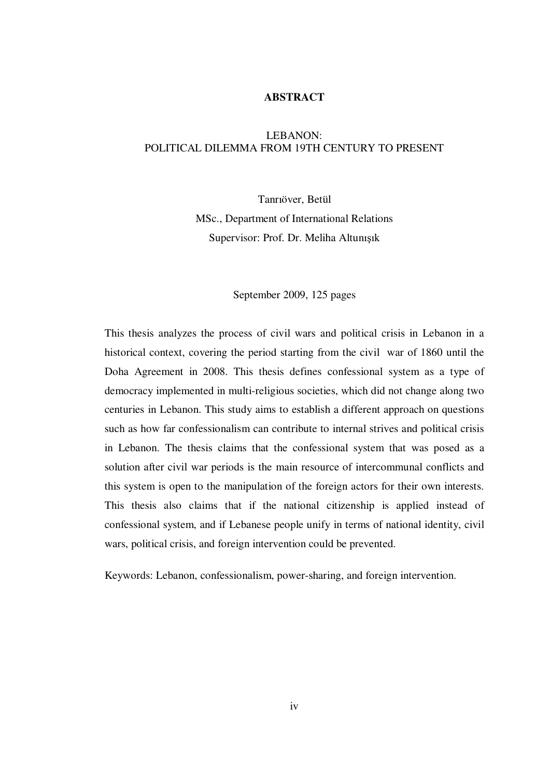### **ABSTRACT**

### LEBANON: POLITICAL DILEMMA FROM 19TH CENTURY TO PRESENT

Tanrıöver, Betül MSc., Department of International Relations Supervisor: Prof. Dr. Meliha Altunışık

#### September 2009, 125 pages

This thesis analyzes the process of civil wars and political crisis in Lebanon in a historical context, covering the period starting from the civil war of 1860 until the Doha Agreement in 2008. This thesis defines confessional system as a type of democracy implemented in multi-religious societies, which did not change along two centuries in Lebanon. This study aims to establish a different approach on questions such as how far confessionalism can contribute to internal strives and political crisis in Lebanon. The thesis claims that the confessional system that was posed as a solution after civil war periods is the main resource of intercommunal conflicts and this system is open to the manipulation of the foreign actors for their own interests. This thesis also claims that if the national citizenship is applied instead of confessional system, and if Lebanese people unify in terms of national identity, civil wars, political crisis, and foreign intervention could be prevented.

Keywords: Lebanon, confessionalism, power-sharing, and foreign intervention.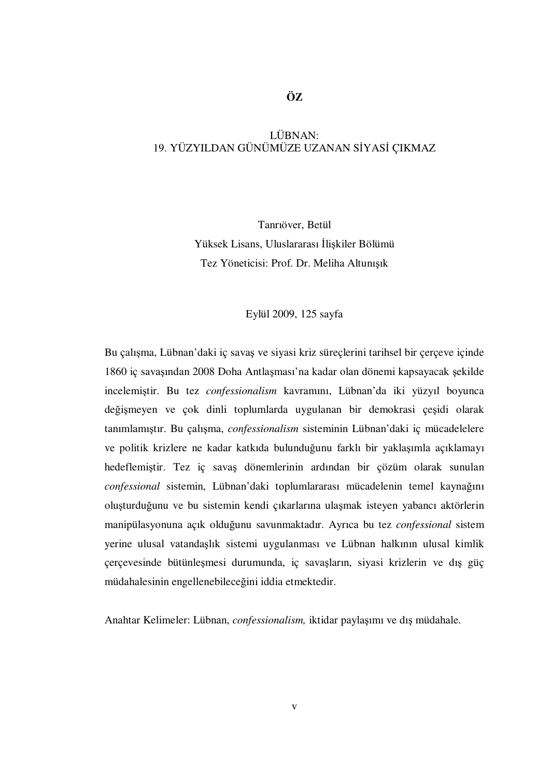## **ÖZ**

### LÜBNAN: 19. YÜZYILDAN GÜNÜMÜZE UZANAN SİYASİ CIKMAZ

Tanrıöver, Betül Yüksek Lisans, Uluslararası İlişkiler Bölümü Tez Yöneticisi: Prof. Dr. Meliha Altunışık

#### Eylül 2009, 125 sayfa

Bu çalışma, Lübnan'daki iç savaş ve siyasi kriz süreçlerini tarihsel bir çerçeve içinde 1860 iç savaşından 2008 Doha Antlaşması'na kadar olan dönemi kapsayacak şekilde incelemiştir. Bu tez *confessionalism* kavramını, Lübnan'da iki yüzyıl boyunca değişmeyen ve çok dinli toplumlarda uygulanan bir demokrasi çeşidi olarak tanımlamıştır. Bu çalışma, *confessionalism* sisteminin Lübnan'daki iç mücadelelere ve politik krizlere ne kadar katkıda bulunduğunu farklı bir yaklaşımla açıklamayı hedeflemiştir. Tez iç savaş dönemlerinin ardından bir çözüm olarak sunulan *confessional* sistemin, Lübnan'daki toplumlararası mücadelenin temel kaynağını oluşturduğunu ve bu sistemin kendi çıkarlarına ulaşmak isteyen yabancı aktörlerin manipülasyonuna açık olduğunu savunmaktadır. Ayrıca bu tez *confessional* sistem yerine ulusal vatandaşlık sistemi uygulanması ve Lübnan halkının ulusal kimlik çerçevesinde bütünleşmesi durumunda, iç savaşların, siyasi krizlerin ve dış güç müdahalesinin engellenebileceğini iddia etmektedir.

Anahtar Kelimeler: Lübnan, *confessionalism,* iktidar paylaşımı ve dış müdahale.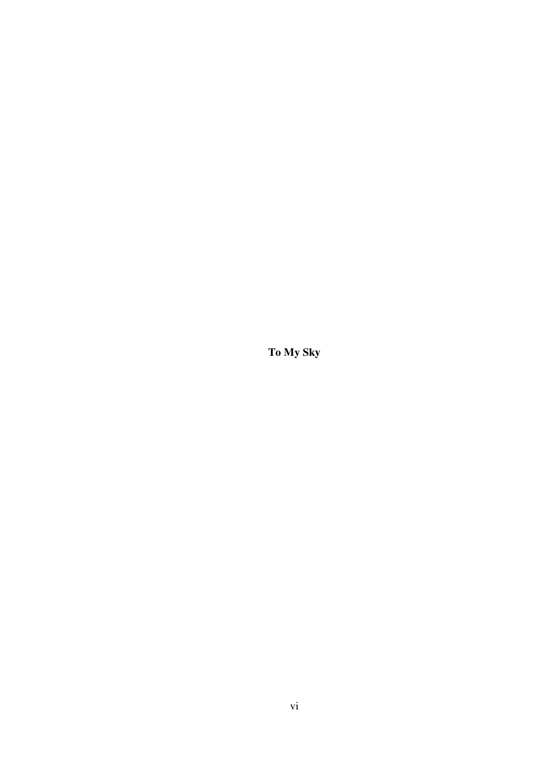**To My Sky**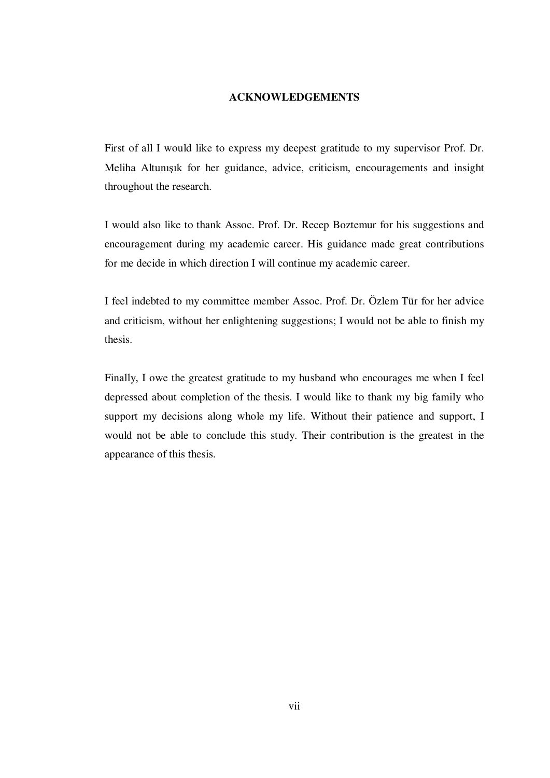### **ACKNOWLEDGEMENTS**

First of all I would like to express my deepest gratitude to my supervisor Prof. Dr. Meliha Altunışık for her guidance, advice, criticism, encouragements and insight throughout the research.

I would also like to thank Assoc. Prof. Dr. Recep Boztemur for his suggestions and encouragement during my academic career. His guidance made great contributions for me decide in which direction I will continue my academic career.

I feel indebted to my committee member Assoc. Prof. Dr. Özlem Tür for her advice and criticism, without her enlightening suggestions; I would not be able to finish my thesis.

Finally, I owe the greatest gratitude to my husband who encourages me when I feel depressed about completion of the thesis. I would like to thank my big family who support my decisions along whole my life. Without their patience and support, I would not be able to conclude this study. Their contribution is the greatest in the appearance of this thesis.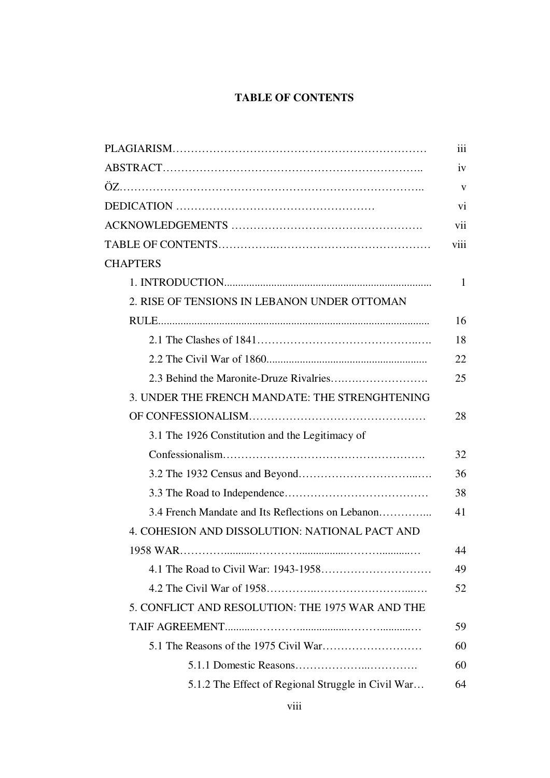# **TABLE OF CONTENTS**

|                                                    | vii  |
|----------------------------------------------------|------|
|                                                    | viii |
| <b>CHAPTERS</b>                                    |      |
|                                                    |      |
| 2. RISE OF TENSIONS IN LEBANON UNDER OTTOMAN       |      |
|                                                    |      |
|                                                    |      |
|                                                    |      |
|                                                    |      |
| 3. UNDER THE FRENCH MANDATE: THE STRENGHTENING     |      |
|                                                    |      |
| 3.1 The 1926 Constitution and the Legitimacy of    |      |
|                                                    |      |
|                                                    |      |
|                                                    |      |
| 3.4 French Mandate and Its Reflections on Lebanon  |      |
| 4. COHESION AND DISSOLUTION: NATIONAL PACT AND     |      |
|                                                    |      |
|                                                    |      |
|                                                    |      |
| 5. CONFLICT AND RESOLUTION: THE 1975 WAR AND THE   |      |
|                                                    |      |
|                                                    |      |
|                                                    |      |
| 5.1.2 The Effect of Regional Struggle in Civil War |      |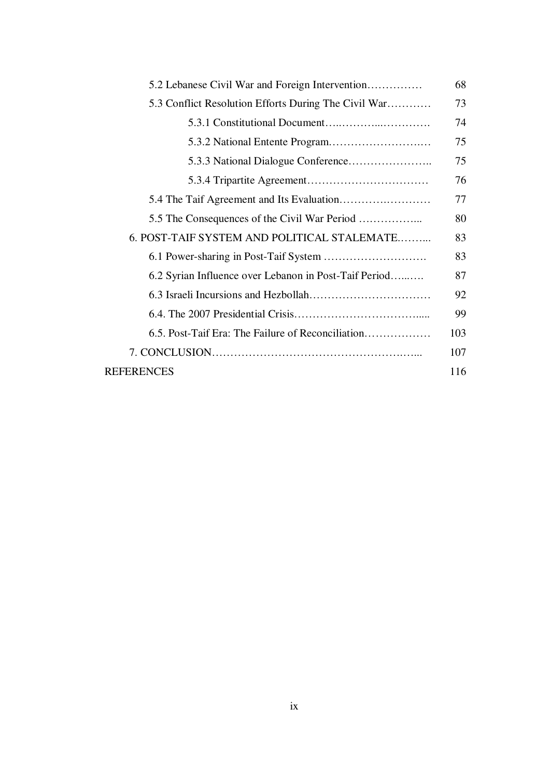| 5.2 Lebanese Civil War and Foreign Intervention       |     |  |
|-------------------------------------------------------|-----|--|
| 5.3 Conflict Resolution Efforts During The Civil War  |     |  |
|                                                       | 74  |  |
|                                                       | 75  |  |
|                                                       | 75  |  |
|                                                       | 76  |  |
|                                                       |     |  |
|                                                       |     |  |
| 6. POST-TAIF SYSTEM AND POLITICAL STALEMATE           |     |  |
|                                                       |     |  |
| 6.2 Syrian Influence over Lebanon in Post-Taif Period |     |  |
|                                                       |     |  |
|                                                       |     |  |
| 6.5. Post-Taif Era: The Failure of Reconciliation     | 103 |  |
|                                                       |     |  |
| <b>REFERENCES</b>                                     | 116 |  |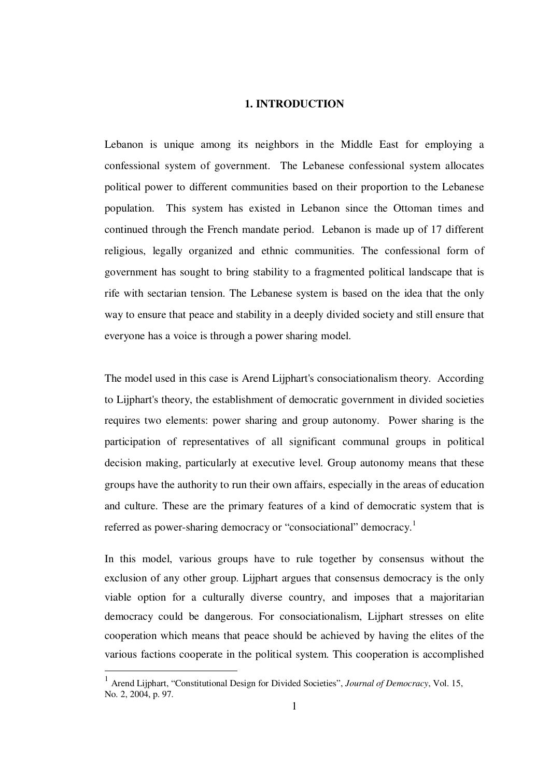#### **1. INTRODUCTION**

Lebanon is unique among its neighbors in the Middle East for employing a confessional system of government. The Lebanese confessional system allocates political power to different communities based on their proportion to the Lebanese population. This system has existed in Lebanon since the Ottoman times and continued through the French mandate period. Lebanon is made up of 17 different religious, legally organized and ethnic communities. The confessional form of government has sought to bring stability to a fragmented political landscape that is rife with sectarian tension. The Lebanese system is based on the idea that the only way to ensure that peace and stability in a deeply divided society and still ensure that everyone has a voice is through a power sharing model.

The model used in this case is Arend Lijphart's consociationalism theory. According to Lijphart's theory, the establishment of democratic government in divided societies requires two elements: power sharing and group autonomy. Power sharing is the participation of representatives of all significant communal groups in political decision making, particularly at executive level. Group autonomy means that these groups have the authority to run their own affairs, especially in the areas of education and culture. These are the primary features of a kind of democratic system that is referred as power-sharing democracy or "consociational" democracy.<sup>1</sup>

In this model, various groups have to rule together by consensus without the exclusion of any other group. Lijphart argues that consensus democracy is the only viable option for a culturally diverse country, and imposes that a majoritarian democracy could be dangerous. For consociationalism, Lijphart stresses on elite cooperation which means that peace should be achieved by having the elites of the various factions cooperate in the political system. This cooperation is accomplished

<sup>1</sup> Arend Lijphart, "Constitutional Design for Divided Societies", *Journal of Democracy*, Vol. 15, No. 2, 2004, p. 97.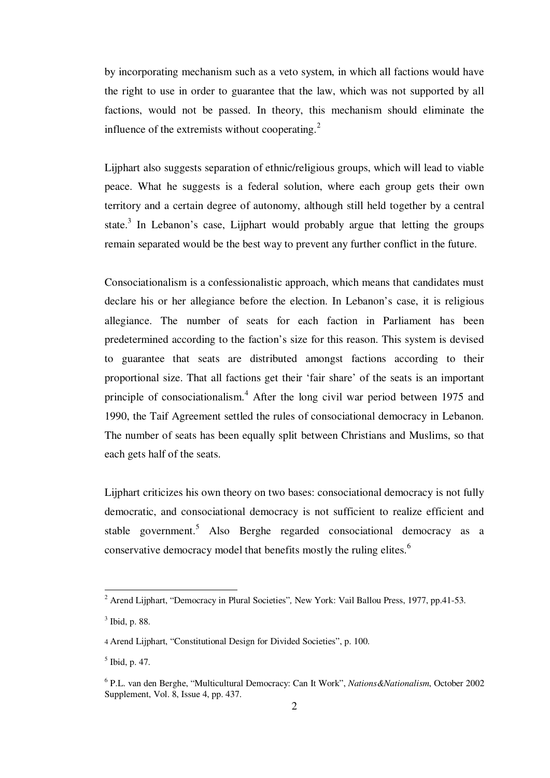by incorporating mechanism such as a veto system, in which all factions would have the right to use in order to guarantee that the law, which was not supported by all factions, would not be passed. In theory, this mechanism should eliminate the influence of the extremists without cooperating.<sup>2</sup>

Lijphart also suggests separation of ethnic/religious groups, which will lead to viable peace. What he suggests is a federal solution, where each group gets their own territory and a certain degree of autonomy, although still held together by a central state. $3$  In Lebanon's case, Lijphart would probably argue that letting the groups remain separated would be the best way to prevent any further conflict in the future.

Consociationalism is a confessionalistic approach, which means that candidates must declare his or her allegiance before the election. In Lebanon's case, it is religious allegiance. The number of seats for each faction in Parliament has been predetermined according to the faction's size for this reason. This system is devised to guarantee that seats are distributed amongst factions according to their proportional size. That all factions get their 'fair share' of the seats is an important principle of consociationalism.<sup>4</sup> After the long civil war period between 1975 and 1990, the Taif Agreement settled the rules of consociational democracy in Lebanon. The number of seats has been equally split between Christians and Muslims, so that each gets half of the seats.

Lijphart criticizes his own theory on two bases: consociational democracy is not fully democratic, and consociational democracy is not sufficient to realize efficient and stable government.<sup>5</sup> Also Berghe regarded consociational democracy as a conservative democracy model that benefits mostly the ruling elites.<sup>6</sup>

<sup>&</sup>lt;sup>2</sup> Arend Lijphart, "Democracy in Plural Societies", New York: Vail Ballou Press, 1977, pp.41-53.

<sup>3</sup> Ibid, p. 88.

<sup>4</sup> Arend Lijphart, "Constitutional Design for Divided Societies", p. 100.

<sup>5</sup> Ibid, p. 47.

<sup>6</sup> P.L. van den Berghe, "Multicultural Democracy: Can It Work", *Nations&Nationalism*, October 2002 Supplement, Vol. 8, Issue 4, pp. 437.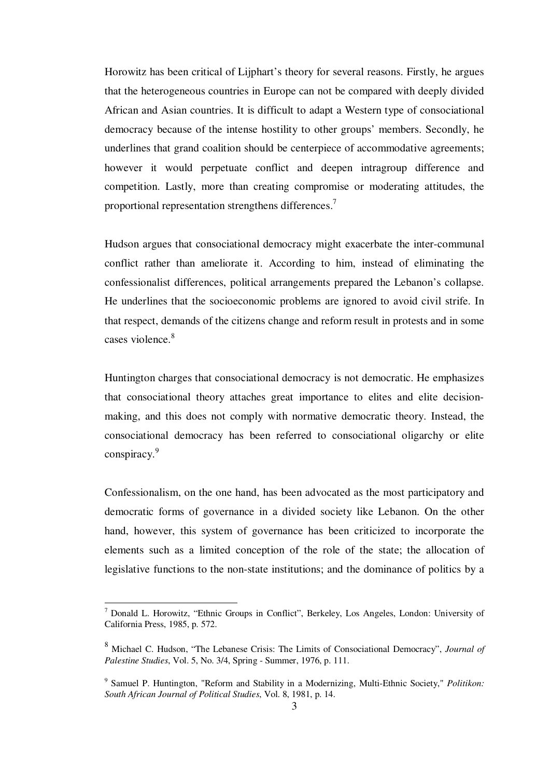Horowitz has been critical of Lijphart's theory for several reasons. Firstly, he argues that the heterogeneous countries in Europe can not be compared with deeply divided African and Asian countries. It is difficult to adapt a Western type of consociational democracy because of the intense hostility to other groups' members. Secondly, he underlines that grand coalition should be centerpiece of accommodative agreements; however it would perpetuate conflict and deepen intragroup difference and competition. Lastly, more than creating compromise or moderating attitudes, the proportional representation strengthens differences.<sup>7</sup>

Hudson argues that consociational democracy might exacerbate the inter-communal conflict rather than ameliorate it. According to him, instead of eliminating the confessionalist differences, political arrangements prepared the Lebanon's collapse. He underlines that the socioeconomic problems are ignored to avoid civil strife. In that respect, demands of the citizens change and reform result in protests and in some cases violence.<sup>8</sup>

Huntington charges that consociational democracy is not democratic. He emphasizes that consociational theory attaches great importance to elites and elite decisionmaking, and this does not comply with normative democratic theory. Instead, the consociational democracy has been referred to consociational oligarchy or elite conspiracy.<sup>9</sup>

Confessionalism, on the one hand, has been advocated as the most participatory and democratic forms of governance in a divided society like Lebanon. On the other hand, however, this system of governance has been criticized to incorporate the elements such as a limited conception of the role of the state; the allocation of legislative functions to the non-state institutions; and the dominance of politics by a

 $<sup>7</sup>$  Donald L. Horowitz, "Ethnic Groups in Conflict", Berkeley, Los Angeles, London: University of</sup> California Press, 1985, p. 572.

<sup>8</sup> Michael C. Hudson, "The Lebanese Crisis: The Limits of Consociational Democracy", *Journal of Palestine Studies*, Vol. 5, No. 3/4, Spring - Summer, 1976, p. 111.

<sup>9</sup> Samuel P. Huntington, "Reform and Stability in a Modernizing, Multi-Ethnic Society," *Politikon: South African Journal of Political Studies*, Vol. 8, 1981, p. 14.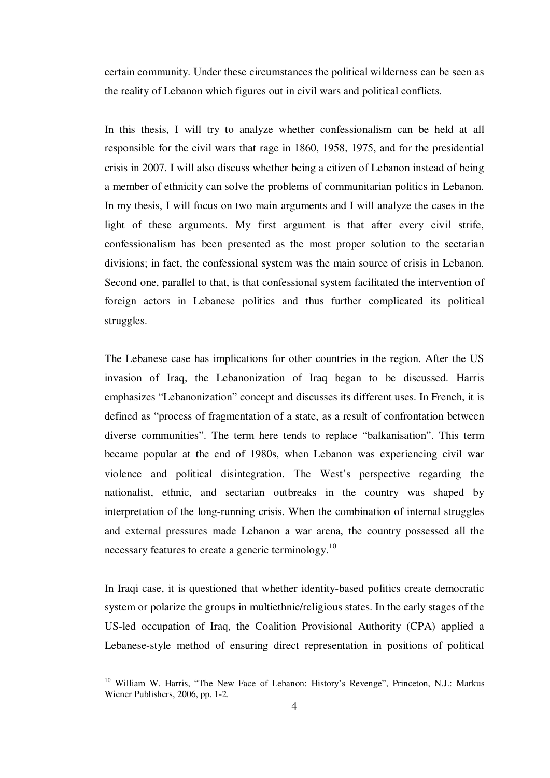certain community. Under these circumstances the political wilderness can be seen as the reality of Lebanon which figures out in civil wars and political conflicts.

In this thesis, I will try to analyze whether confessionalism can be held at all responsible for the civil wars that rage in 1860, 1958, 1975, and for the presidential crisis in 2007. I will also discuss whether being a citizen of Lebanon instead of being a member of ethnicity can solve the problems of communitarian politics in Lebanon. In my thesis, I will focus on two main arguments and I will analyze the cases in the light of these arguments. My first argument is that after every civil strife, confessionalism has been presented as the most proper solution to the sectarian divisions; in fact, the confessional system was the main source of crisis in Lebanon. Second one, parallel to that, is that confessional system facilitated the intervention of foreign actors in Lebanese politics and thus further complicated its political struggles.

The Lebanese case has implications for other countries in the region. After the US invasion of Iraq, the Lebanonization of Iraq began to be discussed. Harris emphasizes "Lebanonization" concept and discusses its different uses. In French, it is defined as "process of fragmentation of a state, as a result of confrontation between diverse communities". The term here tends to replace "balkanisation". This term became popular at the end of 1980s, when Lebanon was experiencing civil war violence and political disintegration. The West's perspective regarding the nationalist, ethnic, and sectarian outbreaks in the country was shaped by interpretation of the long-running crisis. When the combination of internal struggles and external pressures made Lebanon a war arena, the country possessed all the necessary features to create a generic terminology.<sup>10</sup>

In Iraqi case, it is questioned that whether identity-based politics create democratic system or polarize the groups in multiethnic/religious states. In the early stages of the US-led occupation of Iraq, the Coalition Provisional Authority (CPA) applied a Lebanese-style method of ensuring direct representation in positions of political

<sup>&</sup>lt;sup>10</sup> William W. Harris, "The New Face of Lebanon: History's Revenge", Princeton, N.J.: Markus Wiener Publishers, 2006, pp. 1-2.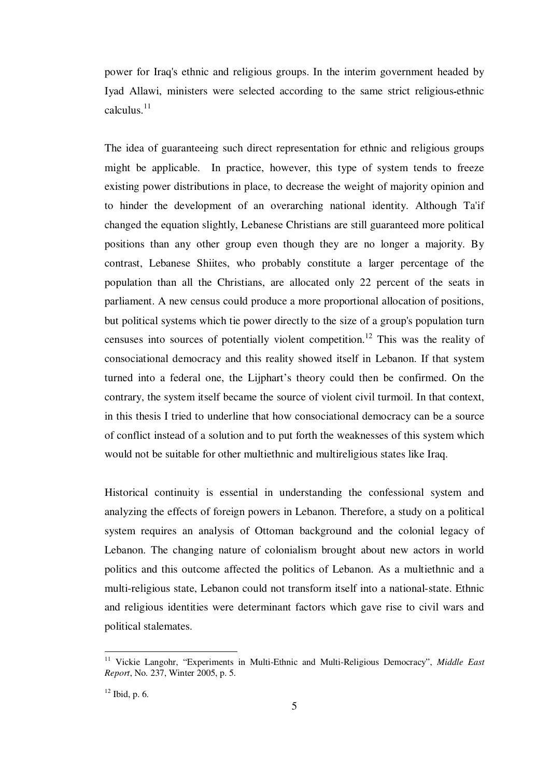power for Iraq's ethnic and religious groups. In the interim government headed by Iyad Allawi, ministers were selected according to the same strict religious**-**ethnic calculus. $11$ 

The idea of guaranteeing such direct representation for ethnic and religious groups might be applicable. In practice, however, this type of system tends to freeze existing power distributions in place, to decrease the weight of majority opinion and to hinder the development of an overarching national identity. Although Ta'if changed the equation slightly, Lebanese Christians are still guaranteed more political positions than any other group even though they are no longer a majority. By contrast, Lebanese Shiites, who probably constitute a larger percentage of the population than all the Christians, are allocated only 22 percent of the seats in parliament. A new census could produce a more proportional allocation of positions, but political systems which tie power directly to the size of a group's population turn censuses into sources of potentially violent competition.<sup>12</sup> This was the reality of consociational democracy and this reality showed itself in Lebanon. If that system turned into a federal one, the Lijphart's theory could then be confirmed. On the contrary, the system itself became the source of violent civil turmoil. In that context, in this thesis I tried to underline that how consociational democracy can be a source of conflict instead of a solution and to put forth the weaknesses of this system which would not be suitable for other multiethnic and multireligious states like Iraq.

Historical continuity is essential in understanding the confessional system and analyzing the effects of foreign powers in Lebanon. Therefore, a study on a political system requires an analysis of Ottoman background and the colonial legacy of Lebanon. The changing nature of colonialism brought about new actors in world politics and this outcome affected the politics of Lebanon. As a multiethnic and a multi-religious state, Lebanon could not transform itself into a national-state. Ethnic and religious identities were determinant factors which gave rise to civil wars and political stalemates.

<sup>11</sup> Vickie Langohr, "Experiments in Multi-Ethnic and Multi-Religious Democracy", *Middle East Report*, No. 237, Winter 2005, p. 5.

 $12$  Ibid, p. 6.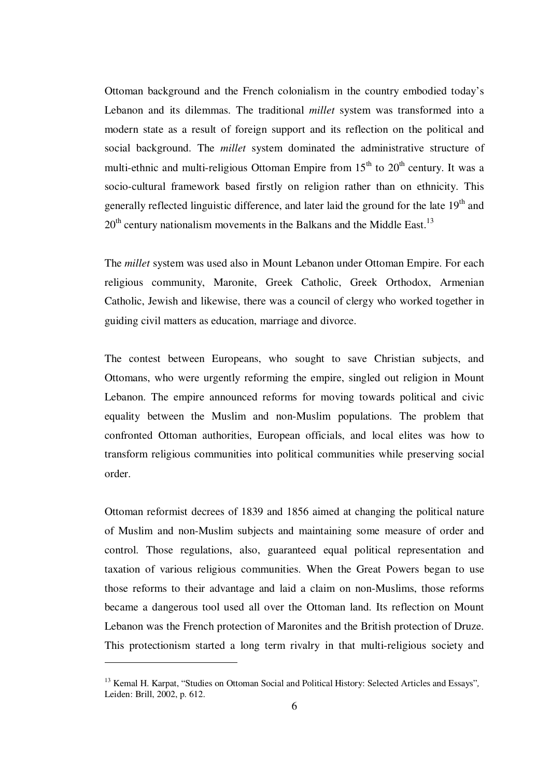Ottoman background and the French colonialism in the country embodied today's Lebanon and its dilemmas. The traditional *millet* system was transformed into a modern state as a result of foreign support and its reflection on the political and social background. The *millet* system dominated the administrative structure of multi-ethnic and multi-religious Ottoman Empire from  $15<sup>th</sup>$  to  $20<sup>th</sup>$  century. It was a socio-cultural framework based firstly on religion rather than on ethnicity. This generally reflected linguistic difference, and later laid the ground for the late 19<sup>th</sup> and  $20<sup>th</sup>$  century nationalism movements in the Balkans and the Middle East.<sup>13</sup>

The *millet* system was used also in Mount Lebanon under Ottoman Empire. For each religious community, Maronite, Greek Catholic, Greek Orthodox, Armenian Catholic, Jewish and likewise, there was a council of clergy who worked together in guiding civil matters as education, marriage and divorce.

The contest between Europeans, who sought to save Christian subjects, and Ottomans, who were urgently reforming the empire, singled out religion in Mount Lebanon. The empire announced reforms for moving towards political and civic equality between the Muslim and non-Muslim populations. The problem that confronted Ottoman authorities, European officials, and local elites was how to transform religious communities into political communities while preserving social order.

Ottoman reformist decrees of 1839 and 1856 aimed at changing the political nature of Muslim and non-Muslim subjects and maintaining some measure of order and control. Those regulations, also, guaranteed equal political representation and taxation of various religious communities. When the Great Powers began to use those reforms to their advantage and laid a claim on non-Muslims, those reforms became a dangerous tool used all over the Ottoman land. Its reflection on Mount Lebanon was the French protection of Maronites and the British protection of Druze. This protectionism started a long term rivalry in that multi-religious society and

<sup>13</sup> Kemal H. Karpat, "Studies on Ottoman Social and Political History: Selected Articles and Essays"*,* Leiden: Brill, 2002, p. 612.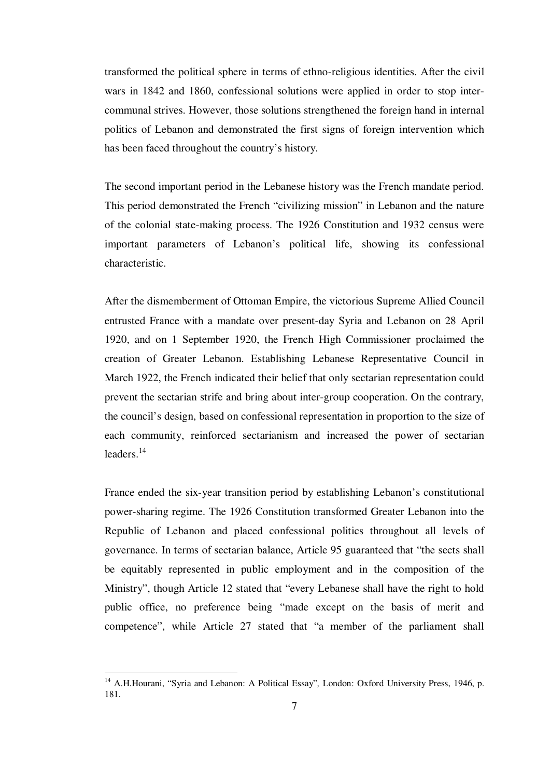transformed the political sphere in terms of ethno-religious identities. After the civil wars in 1842 and 1860, confessional solutions were applied in order to stop intercommunal strives. However, those solutions strengthened the foreign hand in internal politics of Lebanon and demonstrated the first signs of foreign intervention which has been faced throughout the country's history.

The second important period in the Lebanese history was the French mandate period. This period demonstrated the French "civilizing mission" in Lebanon and the nature of the colonial state-making process. The 1926 Constitution and 1932 census were important parameters of Lebanon's political life, showing its confessional characteristic.

After the dismemberment of Ottoman Empire, the victorious Supreme Allied Council entrusted France with a mandate over present-day Syria and Lebanon on 28 April 1920, and on 1 September 1920, the French High Commissioner proclaimed the creation of Greater Lebanon. Establishing Lebanese Representative Council in March 1922, the French indicated their belief that only sectarian representation could prevent the sectarian strife and bring about inter-group cooperation. On the contrary, the council's design, based on confessional representation in proportion to the size of each community, reinforced sectarianism and increased the power of sectarian leaders. $14$ 

France ended the six-year transition period by establishing Lebanon's constitutional power-sharing regime. The 1926 Constitution transformed Greater Lebanon into the Republic of Lebanon and placed confessional politics throughout all levels of governance. In terms of sectarian balance, Article 95 guaranteed that "the sects shall be equitably represented in public employment and in the composition of the Ministry", though Article 12 stated that "every Lebanese shall have the right to hold public office, no preference being "made except on the basis of merit and competence", while Article 27 stated that "a member of the parliament shall

<sup>&</sup>lt;sup>14</sup> A.H.Hourani, "Syria and Lebanon: A Political Essay", London: Oxford University Press, 1946, p. 181.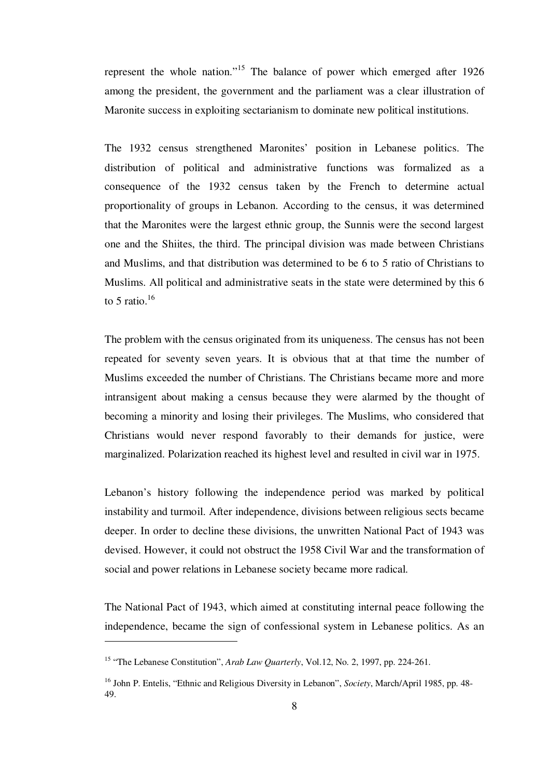represent the whole nation."<sup>15</sup> The balance of power which emerged after 1926 among the president, the government and the parliament was a clear illustration of Maronite success in exploiting sectarianism to dominate new political institutions.

The 1932 census strengthened Maronites' position in Lebanese politics. The distribution of political and administrative functions was formalized as a consequence of the 1932 census taken by the French to determine actual proportionality of groups in Lebanon. According to the census, it was determined that the Maronites were the largest ethnic group, the Sunnis were the second largest one and the Shiites, the third. The principal division was made between Christians and Muslims, and that distribution was determined to be 6 to 5 ratio of Christians to Muslims. All political and administrative seats in the state were determined by this 6 to 5 ratio. $16$ 

The problem with the census originated from its uniqueness. The census has not been repeated for seventy seven years. It is obvious that at that time the number of Muslims exceeded the number of Christians. The Christians became more and more intransigent about making a census because they were alarmed by the thought of becoming a minority and losing their privileges. The Muslims, who considered that Christians would never respond favorably to their demands for justice, were marginalized. Polarization reached its highest level and resulted in civil war in 1975.

Lebanon's history following the independence period was marked by political instability and turmoil. After independence, divisions between religious sects became deeper. In order to decline these divisions, the unwritten National Pact of 1943 was devised. However, it could not obstruct the 1958 Civil War and the transformation of social and power relations in Lebanese society became more radical.

The National Pact of 1943, which aimed at constituting internal peace following the independence, became the sign of confessional system in Lebanese politics. As an

<sup>15</sup> "The Lebanese Constitution", *Arab Law Quarterly*, Vol.12, No. 2, 1997, pp. 224-261.

<sup>16</sup> John P. Entelis, "Ethnic and Religious Diversity in Lebanon", *Society*, March/April 1985, pp. 48- 49.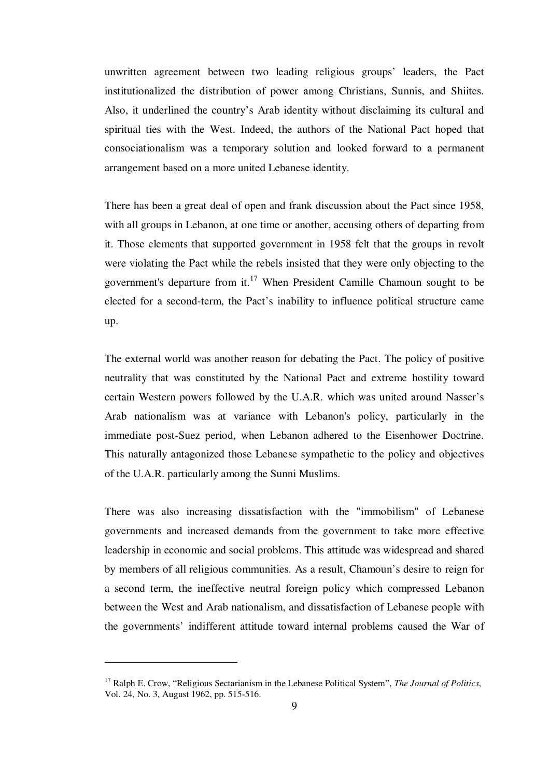unwritten agreement between two leading religious groups' leaders, the Pact institutionalized the distribution of power among Christians, Sunnis, and Shiites. Also, it underlined the country's Arab identity without disclaiming its cultural and spiritual ties with the West. Indeed, the authors of the National Pact hoped that consociationalism was a temporary solution and looked forward to a permanent arrangement based on a more united Lebanese identity.

There has been a great deal of open and frank discussion about the Pact since 1958, with all groups in Lebanon, at one time or another, accusing others of departing from it. Those elements that supported government in 1958 felt that the groups in revolt were violating the Pact while the rebels insisted that they were only objecting to the government's departure from it.<sup>17</sup> When President Camille Chamoun sought to be elected for a second-term, the Pact's inability to influence political structure came up.

The external world was another reason for debating the Pact. The policy of positive neutrality that was constituted by the National Pact and extreme hostility toward certain Western powers followed by the U.A.R. which was united around Nasser's Arab nationalism was at variance with Lebanon's policy, particularly in the immediate post-Suez period, when Lebanon adhered to the Eisenhower Doctrine. This naturally antagonized those Lebanese sympathetic to the policy and objectives of the U.A.R. particularly among the Sunni Muslims.

There was also increasing dissatisfaction with the "immobilism" of Lebanese governments and increased demands from the government to take more effective leadership in economic and social problems. This attitude was widespread and shared by members of all religious communities. As a result, Chamoun's desire to reign for a second term, the ineffective neutral foreign policy which compressed Lebanon between the West and Arab nationalism, and dissatisfaction of Lebanese people with the governments' indifferent attitude toward internal problems caused the War of

<sup>17</sup> Ralph E. Crow, "Religious Sectarianism in the Lebanese Political System", *The Journal of Politics*, Vol. 24, No. 3, August 1962, pp. 515-516.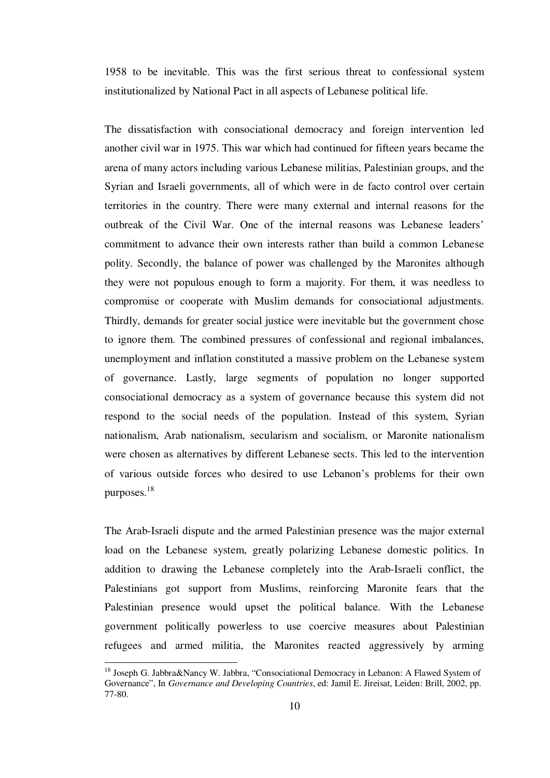1958 to be inevitable. This was the first serious threat to confessional system institutionalized by National Pact in all aspects of Lebanese political life.

The dissatisfaction with consociational democracy and foreign intervention led another civil war in 1975. This war which had continued for fifteen years became the arena of many actors including various Lebanese militias, Palestinian groups, and the Syrian and Israeli governments, all of which were in de facto control over certain territories in the country. There were many external and internal reasons for the outbreak of the Civil War. One of the internal reasons was Lebanese leaders' commitment to advance their own interests rather than build a common Lebanese polity. Secondly, the balance of power was challenged by the Maronites although they were not populous enough to form a majority. For them, it was needless to compromise or cooperate with Muslim demands for consociational adjustments. Thirdly, demands for greater social justice were inevitable but the government chose to ignore them. The combined pressures of confessional and regional imbalances, unemployment and inflation constituted a massive problem on the Lebanese system of governance. Lastly, large segments of population no longer supported consociational democracy as a system of governance because this system did not respond to the social needs of the population. Instead of this system, Syrian nationalism, Arab nationalism, secularism and socialism, or Maronite nationalism were chosen as alternatives by different Lebanese sects. This led to the intervention of various outside forces who desired to use Lebanon's problems for their own purposes.<sup>18</sup>

The Arab-Israeli dispute and the armed Palestinian presence was the major external load on the Lebanese system, greatly polarizing Lebanese domestic politics. In addition to drawing the Lebanese completely into the Arab-Israeli conflict, the Palestinians got support from Muslims, reinforcing Maronite fears that the Palestinian presence would upset the political balance. With the Lebanese government politically powerless to use coercive measures about Palestinian refugees and armed militia, the Maronites reacted aggressively by arming

<sup>&</sup>lt;sup>18</sup> Joseph G. Jabbra&Nancy W. Jabbra, "Consociational Democracy in Lebanon: A Flawed System of Governance", In *Governance and Developing Countries*, ed: Jamil E. Jireisat, Leiden: Brill, 2002, pp. 77-80.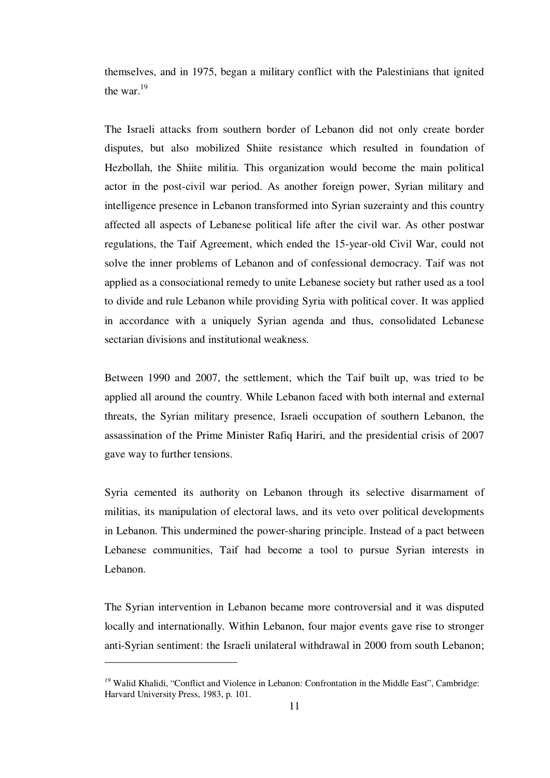themselves, and in 1975, began a military conflict with the Palestinians that ignited the war. $^{19}$ 

The Israeli attacks from southern border of Lebanon did not only create border disputes, but also mobilized Shiite resistance which resulted in foundation of Hezbollah, the Shiite militia. This organization would become the main political actor in the post-civil war period. As another foreign power, Syrian military and intelligence presence in Lebanon transformed into Syrian suzerainty and this country affected all aspects of Lebanese political life after the civil war. As other postwar regulations, the Taif Agreement, which ended the 15-year-old Civil War, could not solve the inner problems of Lebanon and of confessional democracy. Taif was not applied as a consociational remedy to unite Lebanese society but rather used as a tool to divide and rule Lebanon while providing Syria with political cover. It was applied in accordance with a uniquely Syrian agenda and thus, consolidated Lebanese sectarian divisions and institutional weakness.

Between 1990 and 2007, the settlement, which the Taif built up, was tried to be applied all around the country. While Lebanon faced with both internal and external threats, the Syrian military presence, Israeli occupation of southern Lebanon, the assassination of the Prime Minister Rafiq Hariri, and the presidential crisis of 2007 gave way to further tensions.

Syria cemented its authority on Lebanon through its selective disarmament of militias, its manipulation of electoral laws, and its veto over political developments in Lebanon. This undermined the power-sharing principle. Instead of a pact between Lebanese communities, Taif had become a tool to pursue Syrian interests in Lebanon.

The Syrian intervention in Lebanon became more controversial and it was disputed locally and internationally. Within Lebanon, four major events gave rise to stronger anti-Syrian sentiment: the Israeli unilateral withdrawal in 2000 from south Lebanon;

<sup>&</sup>lt;sup>19</sup> Walid Khalidi, "Conflict and Violence in Lebanon: Confrontation in the Middle East", Cambridge: Harvard University Press, 1983, p. 101.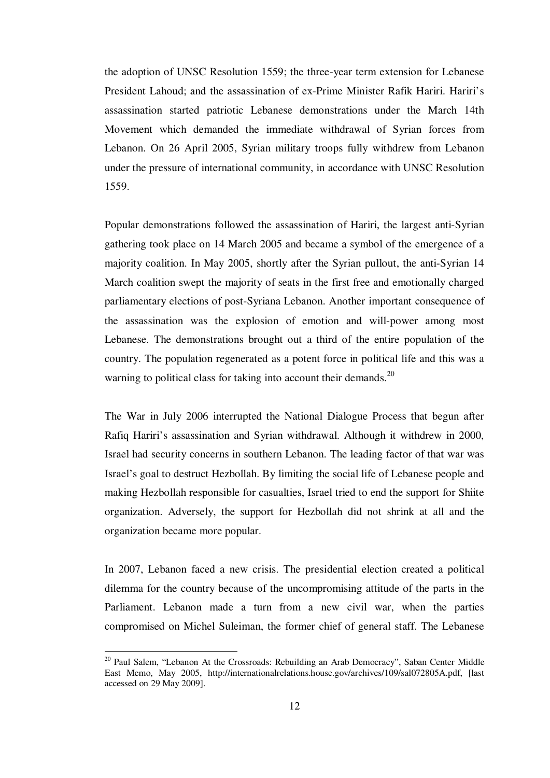the adoption of UNSC Resolution 1559; the three-year term extension for Lebanese President Lahoud; and the assassination of ex-Prime Minister Rafik Hariri. Hariri's assassination started patriotic Lebanese demonstrations under the March 14th Movement which demanded the immediate withdrawal of Syrian forces from Lebanon. On 26 April 2005, Syrian military troops fully withdrew from Lebanon under the pressure of international community, in accordance with UNSC Resolution 1559.

Popular demonstrations followed the assassination of Hariri, the largest anti-Syrian gathering took place on 14 March 2005 and became a symbol of the emergence of a majority coalition. In May 2005, shortly after the Syrian pullout, the anti-Syrian 14 March coalition swept the majority of seats in the first free and emotionally charged parliamentary elections of post-Syriana Lebanon. Another important consequence of the assassination was the explosion of emotion and will-power among most Lebanese. The demonstrations brought out a third of the entire population of the country. The population regenerated as a potent force in political life and this was a warning to political class for taking into account their demands.<sup>20</sup>

The War in July 2006 interrupted the National Dialogue Process that begun after Rafiq Hariri's assassination and Syrian withdrawal. Although it withdrew in 2000, Israel had security concerns in southern Lebanon. The leading factor of that war was Israel's goal to destruct Hezbollah. By limiting the social life of Lebanese people and making Hezbollah responsible for casualties, Israel tried to end the support for Shiite organization. Adversely, the support for Hezbollah did not shrink at all and the organization became more popular.

In 2007, Lebanon faced a new crisis. The presidential election created a political dilemma for the country because of the uncompromising attitude of the parts in the Parliament. Lebanon made a turn from a new civil war, when the parties compromised on Michel Suleiman, the former chief of general staff. The Lebanese

<sup>&</sup>lt;sup>20</sup> Paul Salem, "Lebanon At the Crossroads: Rebuilding an Arab Democracy", Saban Center Middle East Memo, May 2005, http://internationalrelations.house.gov/archives/109/sal072805A.pdf, [last accessed on 29 May 2009].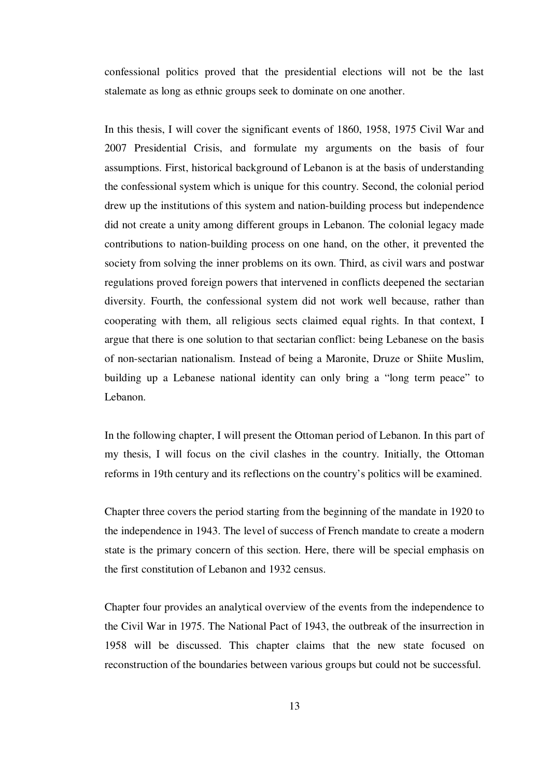confessional politics proved that the presidential elections will not be the last stalemate as long as ethnic groups seek to dominate on one another.

In this thesis, I will cover the significant events of 1860, 1958, 1975 Civil War and 2007 Presidential Crisis, and formulate my arguments on the basis of four assumptions. First, historical background of Lebanon is at the basis of understanding the confessional system which is unique for this country. Second, the colonial period drew up the institutions of this system and nation-building process but independence did not create a unity among different groups in Lebanon. The colonial legacy made contributions to nation-building process on one hand, on the other, it prevented the society from solving the inner problems on its own. Third, as civil wars and postwar regulations proved foreign powers that intervened in conflicts deepened the sectarian diversity. Fourth, the confessional system did not work well because, rather than cooperating with them, all religious sects claimed equal rights. In that context, I argue that there is one solution to that sectarian conflict: being Lebanese on the basis of non-sectarian nationalism. Instead of being a Maronite, Druze or Shiite Muslim, building up a Lebanese national identity can only bring a "long term peace" to Lebanon.

In the following chapter, I will present the Ottoman period of Lebanon. In this part of my thesis, I will focus on the civil clashes in the country. Initially, the Ottoman reforms in 19th century and its reflections on the country's politics will be examined.

Chapter three covers the period starting from the beginning of the mandate in 1920 to the independence in 1943. The level of success of French mandate to create a modern state is the primary concern of this section. Here, there will be special emphasis on the first constitution of Lebanon and 1932 census.

Chapter four provides an analytical overview of the events from the independence to the Civil War in 1975. The National Pact of 1943, the outbreak of the insurrection in 1958 will be discussed. This chapter claims that the new state focused on reconstruction of the boundaries between various groups but could not be successful.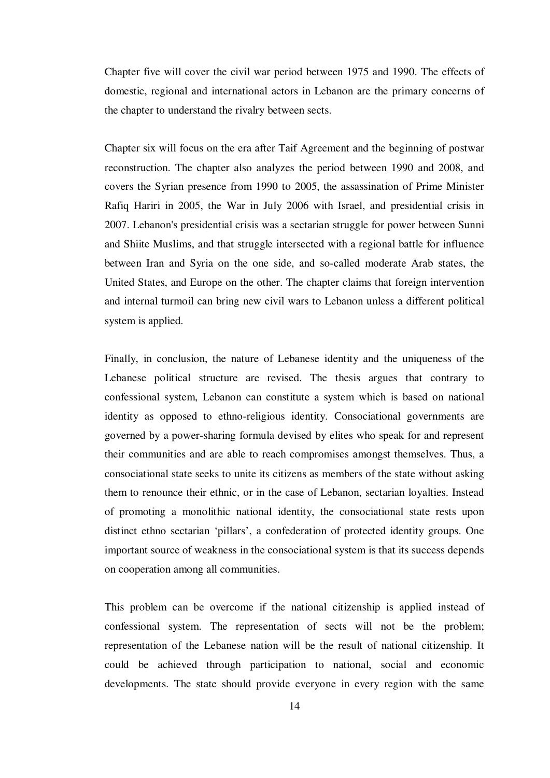Chapter five will cover the civil war period between 1975 and 1990. The effects of domestic, regional and international actors in Lebanon are the primary concerns of the chapter to understand the rivalry between sects.

Chapter six will focus on the era after Taif Agreement and the beginning of postwar reconstruction. The chapter also analyzes the period between 1990 and 2008, and covers the Syrian presence from 1990 to 2005, the assassination of Prime Minister Rafiq Hariri in 2005, the War in July 2006 with Israel, and presidential crisis in 2007. Lebanon's presidential crisis was a sectarian struggle for power between Sunni and Shiite Muslims, and that struggle intersected with a regional battle for influence between Iran and Syria on the one side, and so-called moderate Arab states, the United States, and Europe on the other. The chapter claims that foreign intervention and internal turmoil can bring new civil wars to Lebanon unless a different political system is applied.

Finally, in conclusion, the nature of Lebanese identity and the uniqueness of the Lebanese political structure are revised. The thesis argues that contrary to confessional system, Lebanon can constitute a system which is based on national identity as opposed to ethno-religious identity. Consociational governments are governed by a power-sharing formula devised by elites who speak for and represent their communities and are able to reach compromises amongst themselves. Thus, a consociational state seeks to unite its citizens as members of the state without asking them to renounce their ethnic, or in the case of Lebanon, sectarian loyalties. Instead of promoting a monolithic national identity, the consociational state rests upon distinct ethno sectarian 'pillars', a confederation of protected identity groups. One important source of weakness in the consociational system is that its success depends on cooperation among all communities.

This problem can be overcome if the national citizenship is applied instead of confessional system. The representation of sects will not be the problem; representation of the Lebanese nation will be the result of national citizenship. It could be achieved through participation to national, social and economic developments. The state should provide everyone in every region with the same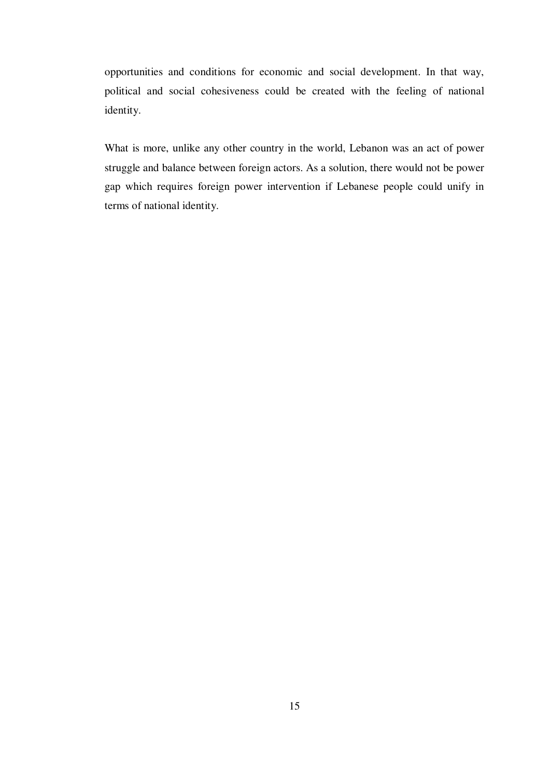opportunities and conditions for economic and social development. In that way, political and social cohesiveness could be created with the feeling of national identity.

What is more, unlike any other country in the world, Lebanon was an act of power struggle and balance between foreign actors. As a solution, there would not be power gap which requires foreign power intervention if Lebanese people could unify in terms of national identity.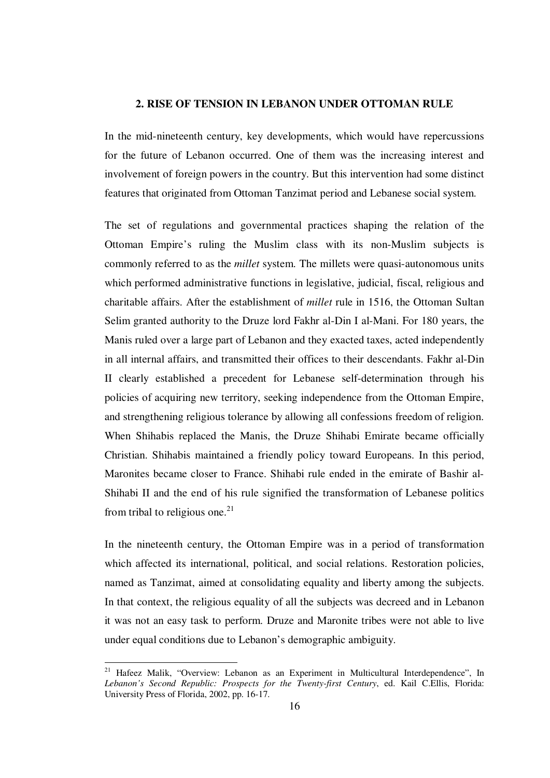#### **2. RISE OF TENSION IN LEBANON UNDER OTTOMAN RULE**

In the mid-nineteenth century, key developments, which would have repercussions for the future of Lebanon occurred. One of them was the increasing interest and involvement of foreign powers in the country. But this intervention had some distinct features that originated from Ottoman Tanzimat period and Lebanese social system.

The set of regulations and governmental practices shaping the relation of the Ottoman Empire's ruling the Muslim class with its non-Muslim subjects is commonly referred to as the *millet* system. The millets were quasi-autonomous units which performed administrative functions in legislative, judicial, fiscal, religious and charitable affairs. After the establishment of *millet* rule in 1516, the Ottoman Sultan Selim granted authority to the Druze lord Fakhr al-Din I al-Mani. For 180 years, the Manis ruled over a large part of Lebanon and they exacted taxes, acted independently in all internal affairs, and transmitted their offices to their descendants. Fakhr al-Din II clearly established a precedent for Lebanese self-determination through his policies of acquiring new territory, seeking independence from the Ottoman Empire, and strengthening religious tolerance by allowing all confessions freedom of religion. When Shihabis replaced the Manis, the Druze Shihabi Emirate became officially Christian. Shihabis maintained a friendly policy toward Europeans. In this period, Maronites became closer to France. Shihabi rule ended in the emirate of Bashir al-Shihabi II and the end of his rule signified the transformation of Lebanese politics from tribal to religious one. $^{21}$ 

In the nineteenth century, the Ottoman Empire was in a period of transformation which affected its international, political, and social relations. Restoration policies, named as Tanzimat, aimed at consolidating equality and liberty among the subjects. In that context, the religious equality of all the subjects was decreed and in Lebanon it was not an easy task to perform. Druze and Maronite tribes were not able to live under equal conditions due to Lebanon's demographic ambiguity.

<sup>&</sup>lt;sup>21</sup> Hafeez Malik, "Overview: Lebanon as an Experiment in Multicultural Interdependence", In *Lebanon's Second Republic: Prospects for the Twenty-first Century*, ed. Kail C.Ellis, Florida: University Press of Florida, 2002, pp. 16-17.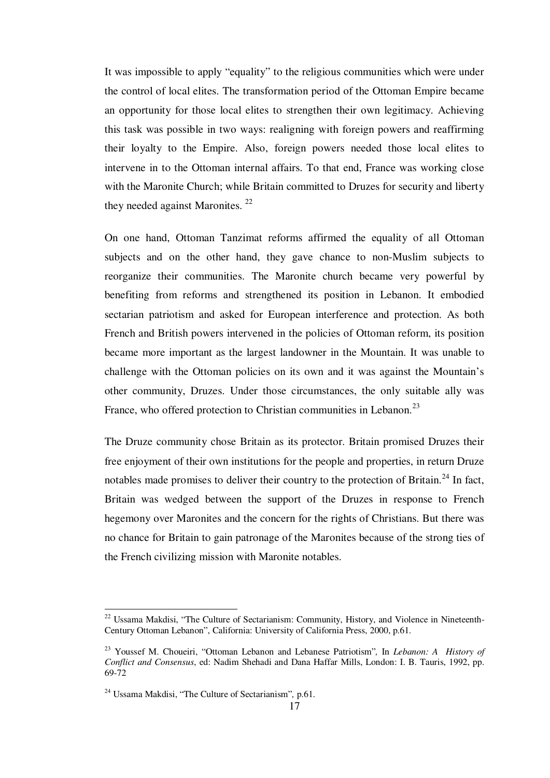It was impossible to apply "equality" to the religious communities which were under the control of local elites. The transformation period of the Ottoman Empire became an opportunity for those local elites to strengthen their own legitimacy. Achieving this task was possible in two ways: realigning with foreign powers and reaffirming their loyalty to the Empire. Also, foreign powers needed those local elites to intervene in to the Ottoman internal affairs. To that end, France was working close with the Maronite Church; while Britain committed to Druzes for security and liberty they needed against Maronites.<sup>22</sup>

On one hand, Ottoman Tanzimat reforms affirmed the equality of all Ottoman subjects and on the other hand, they gave chance to non-Muslim subjects to reorganize their communities. The Maronite church became very powerful by benefiting from reforms and strengthened its position in Lebanon. It embodied sectarian patriotism and asked for European interference and protection. As both French and British powers intervened in the policies of Ottoman reform, its position became more important as the largest landowner in the Mountain. It was unable to challenge with the Ottoman policies on its own and it was against the Mountain's other community, Druzes. Under those circumstances, the only suitable ally was France, who offered protection to Christian communities in Lebanon.<sup>23</sup>

The Druze community chose Britain as its protector. Britain promised Druzes their free enjoyment of their own institutions for the people and properties, in return Druze notables made promises to deliver their country to the protection of Britain.<sup>24</sup> In fact, Britain was wedged between the support of the Druzes in response to French hegemony over Maronites and the concern for the rights of Christians. But there was no chance for Britain to gain patronage of the Maronites because of the strong ties of the French civilizing mission with Maronite notables.

<sup>&</sup>lt;sup>22</sup> Ussama Makdisi, "The Culture of Sectarianism: Community, History, and Violence in Nineteenth-Century Ottoman Lebanon", California: University of California Press, 2000, p.61.

<sup>23</sup> Youssef M. Choueiri, "Ottoman Lebanon and Lebanese Patriotism"*,* In *Lebanon: A History of Conflict and Consensus*, ed: Nadim Shehadi and Dana Haffar Mills, London: I. B. Tauris, 1992, pp. 69-72

<sup>24</sup> Ussama Makdisi, "The Culture of Sectarianism"*,* p.61.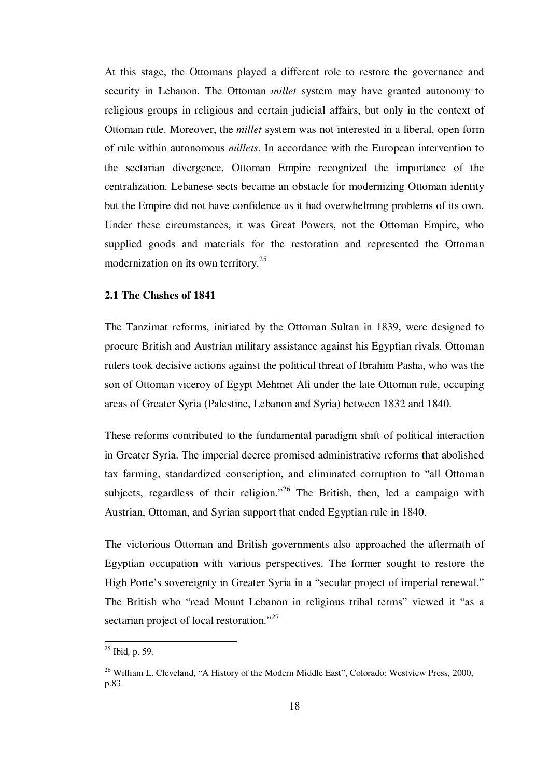At this stage, the Ottomans played a different role to restore the governance and security in Lebanon. The Ottoman *millet* system may have granted autonomy to religious groups in religious and certain judicial affairs, but only in the context of Ottoman rule. Moreover, the *millet* system was not interested in a liberal, open form of rule within autonomous *millets*. In accordance with the European intervention to the sectarian divergence, Ottoman Empire recognized the importance of the centralization. Lebanese sects became an obstacle for modernizing Ottoman identity but the Empire did not have confidence as it had overwhelming problems of its own. Under these circumstances, it was Great Powers, not the Ottoman Empire, who supplied goods and materials for the restoration and represented the Ottoman modernization on its own territory.<sup>25</sup>

#### **2.1 The Clashes of 1841**

The Tanzimat reforms, initiated by the Ottoman Sultan in 1839, were designed to procure British and Austrian military assistance against his Egyptian rivals. Ottoman rulers took decisive actions against the political threat of Ibrahim Pasha, who was the son of Ottoman viceroy of Egypt Mehmet Ali under the late Ottoman rule, occuping areas of Greater Syria (Palestine, Lebanon and Syria) between 1832 and 1840.

These reforms contributed to the fundamental paradigm shift of political interaction in Greater Syria. The imperial decree promised administrative reforms that abolished tax farming, standardized conscription, and eliminated corruption to "all Ottoman subjects, regardless of their religion."<sup>26</sup> The British, then, led a campaign with Austrian, Ottoman, and Syrian support that ended Egyptian rule in 1840.

The victorious Ottoman and British governments also approached the aftermath of Egyptian occupation with various perspectives. The former sought to restore the High Porte's sovereignty in Greater Syria in a "secular project of imperial renewal." The British who "read Mount Lebanon in religious tribal terms" viewed it "as a sectarian project of local restoration."<sup>27</sup>

<sup>25</sup> Ibid*,* p. 59.

<sup>&</sup>lt;sup>26</sup> William L. Cleveland, "A History of the Modern Middle East", Colorado: Westview Press, 2000, p.83.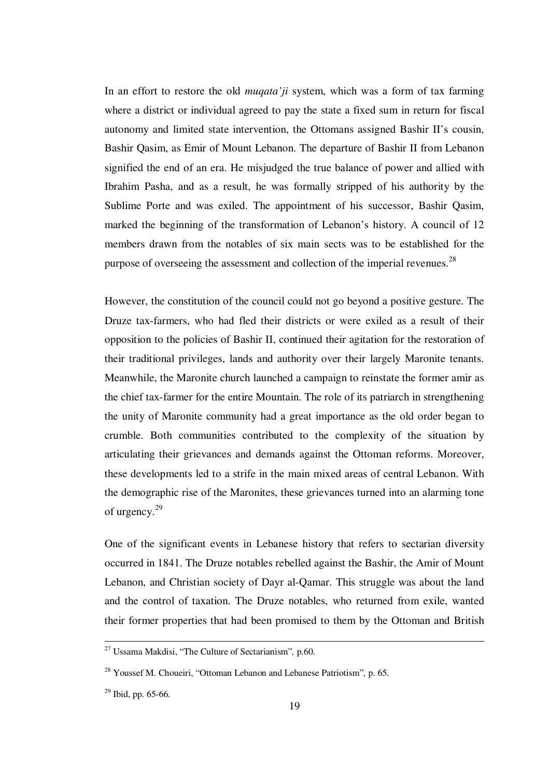In an effort to restore the old *muqata'ji* system, which was a form of tax farming where a district or individual agreed to pay the state a fixed sum in return for fiscal autonomy and limited state intervention, the Ottomans assigned Bashir II's cousin, Bashir Qasim, as Emir of Mount Lebanon. The departure of Bashir II from Lebanon signified the end of an era. He misjudged the true balance of power and allied with Ibrahim Pasha, and as a result, he was formally stripped of his authority by the Sublime Porte and was exiled. The appointment of his successor, Bashir Qasim, marked the beginning of the transformation of Lebanon's history. A council of 12 members drawn from the notables of six main sects was to be established for the purpose of overseeing the assessment and collection of the imperial revenues.<sup>28</sup>

However, the constitution of the council could not go beyond a positive gesture. The Druze tax-farmers, who had fled their districts or were exiled as a result of their opposition to the policies of Bashir II, continued their agitation for the restoration of their traditional privileges, lands and authority over their largely Maronite tenants. Meanwhile, the Maronite church launched a campaign to reinstate the former amir as the chief tax-farmer for the entire Mountain. The role of its patriarch in strengthening the unity of Maronite community had a great importance as the old order began to crumble. Both communities contributed to the complexity of the situation by articulating their grievances and demands against the Ottoman reforms. Moreover, these developments led to a strife in the main mixed areas of central Lebanon. With the demographic rise of the Maronites, these grievances turned into an alarming tone of urgency.<sup>29</sup>

One of the significant events in Lebanese history that refers to sectarian diversity occurred in 1841. The Druze notables rebelled against the Bashir, the Amir of Mount Lebanon, and Christian society of Dayr al-Qamar. This struggle was about the land and the control of taxation. The Druze notables, who returned from exile, wanted their former properties that had been promised to them by the Ottoman and British

<sup>27</sup> Ussama Makdisi, "The Culture of Sectarianism"*,* p.60.

<sup>28</sup> Youssef M. Choueiri, "Ottoman Lebanon and Lebanese Patriotism"*,* p. 65.

 $29$  Ibid, pp. 65-66.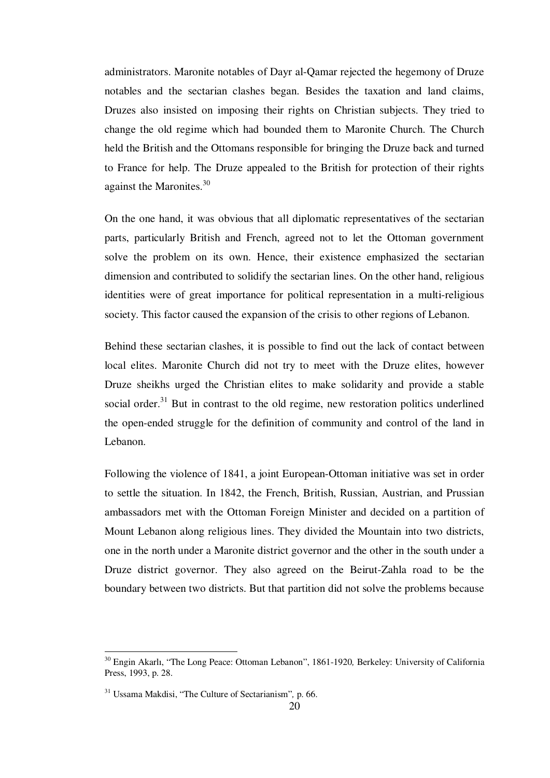administrators. Maronite notables of Dayr al-Qamar rejected the hegemony of Druze notables and the sectarian clashes began. Besides the taxation and land claims, Druzes also insisted on imposing their rights on Christian subjects. They tried to change the old regime which had bounded them to Maronite Church. The Church held the British and the Ottomans responsible for bringing the Druze back and turned to France for help. The Druze appealed to the British for protection of their rights against the Maronites.<sup>30</sup>

On the one hand, it was obvious that all diplomatic representatives of the sectarian parts, particularly British and French, agreed not to let the Ottoman government solve the problem on its own. Hence, their existence emphasized the sectarian dimension and contributed to solidify the sectarian lines. On the other hand, religious identities were of great importance for political representation in a multi-religious society. This factor caused the expansion of the crisis to other regions of Lebanon.

Behind these sectarian clashes, it is possible to find out the lack of contact between local elites. Maronite Church did not try to meet with the Druze elites, however Druze sheikhs urged the Christian elites to make solidarity and provide a stable social order. $31$  But in contrast to the old regime, new restoration politics underlined the open-ended struggle for the definition of community and control of the land in Lebanon.

Following the violence of 1841, a joint European-Ottoman initiative was set in order to settle the situation. In 1842, the French, British, Russian, Austrian, and Prussian ambassadors met with the Ottoman Foreign Minister and decided on a partition of Mount Lebanon along religious lines. They divided the Mountain into two districts, one in the north under a Maronite district governor and the other in the south under a Druze district governor. They also agreed on the Beirut-Zahla road to be the boundary between two districts. But that partition did not solve the problems because

<sup>30</sup> Engin Akarlı, "The Long Peace: Ottoman Lebanon", 1861-1920*,* Berkeley: University of California Press, 1993, p. 28.

<sup>31</sup> Ussama Makdisi, "The Culture of Sectarianism"*,* p. 66.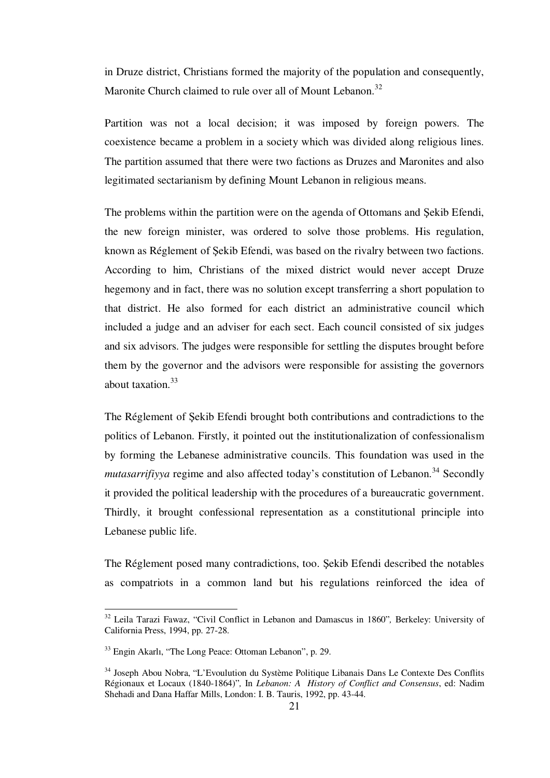in Druze district, Christians formed the majority of the population and consequently, Maronite Church claimed to rule over all of Mount Lebanon.<sup>32</sup>

Partition was not a local decision; it was imposed by foreign powers. The coexistence became a problem in a society which was divided along religious lines. The partition assumed that there were two factions as Druzes and Maronites and also legitimated sectarianism by defining Mount Lebanon in religious means.

The problems within the partition were on the agenda of Ottomans and Şekib Efendi, the new foreign minister, was ordered to solve those problems. His regulation, known as Réglement of Şekib Efendi, was based on the rivalry between two factions. According to him, Christians of the mixed district would never accept Druze hegemony and in fact, there was no solution except transferring a short population to that district. He also formed for each district an administrative council which included a judge and an adviser for each sect. Each council consisted of six judges and six advisors. The judges were responsible for settling the disputes brought before them by the governor and the advisors were responsible for assisting the governors about taxation.<sup>33</sup>

The Réglement of Şekib Efendi brought both contributions and contradictions to the politics of Lebanon. Firstly, it pointed out the institutionalization of confessionalism by forming the Lebanese administrative councils. This foundation was used in the *mutasarrifiyya* regime and also affected today's constitution of Lebanon.<sup>34</sup> Secondly it provided the political leadership with the procedures of a bureaucratic government. Thirdly, it brought confessional representation as a constitutional principle into Lebanese public life.

The Réglement posed many contradictions, too. Şekib Efendi described the notables as compatriots in a common land but his regulations reinforced the idea of

<sup>32</sup> Leila Tarazi Fawaz, "Civil Conflict in Lebanon and Damascus in 1860"*,* Berkeley: University of California Press, 1994, pp. 27-28.

<sup>33</sup> Engin Akarlı, "The Long Peace: Ottoman Lebanon", p. 29.

<sup>34</sup> Joseph Abou Nobra, "L'Evoulution du Système Politique Libanais Dans Le Contexte Des Conflits Régionaux et Locaux (1840-1864)"*,* In *Lebanon: A History of Conflict and Consensus*, ed: Nadim Shehadi and Dana Haffar Mills, London: I. B. Tauris, 1992, pp. 43-44.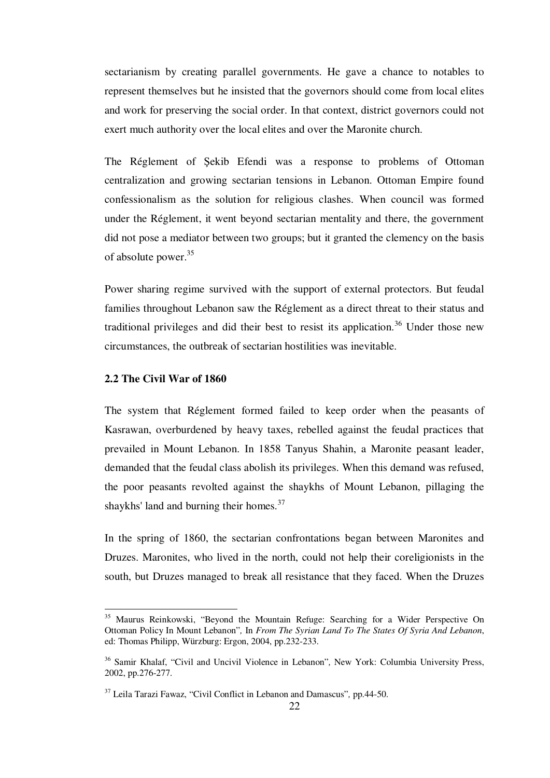sectarianism by creating parallel governments. He gave a chance to notables to represent themselves but he insisted that the governors should come from local elites and work for preserving the social order. In that context, district governors could not exert much authority over the local elites and over the Maronite church.

The Réglement of Şekib Efendi was a response to problems of Ottoman centralization and growing sectarian tensions in Lebanon. Ottoman Empire found confessionalism as the solution for religious clashes. When council was formed under the Réglement, it went beyond sectarian mentality and there, the government did not pose a mediator between two groups; but it granted the clemency on the basis of absolute power.<sup>35</sup>

Power sharing regime survived with the support of external protectors. But feudal families throughout Lebanon saw the Réglement as a direct threat to their status and traditional privileges and did their best to resist its application.<sup>36</sup> Under those new circumstances, the outbreak of sectarian hostilities was inevitable.

### **2.2 The Civil War of 1860**

1

The system that Réglement formed failed to keep order when the peasants of Kasrawan, overburdened by heavy taxes, rebelled against the feudal practices that prevailed in Mount Lebanon. In 1858 Tanyus Shahin, a Maronite peasant leader, demanded that the feudal class abolish its privileges. When this demand was refused, the poor peasants revolted against the shaykhs of Mount Lebanon, pillaging the shaykhs' land and burning their homes.<sup>37</sup>

In the spring of 1860, the sectarian confrontations began between Maronites and Druzes. Maronites, who lived in the north, could not help their coreligionists in the south, but Druzes managed to break all resistance that they faced. When the Druzes

<sup>35</sup> Maurus Reinkowski, "Beyond the Mountain Refuge: Searching for a Wider Perspective On Ottoman Policy In Mount Lebanon"*,* In *From The Syrian Land To The States Of Syria And Lebanon*, ed: Thomas Philipp, Würzburg: Ergon, 2004, pp.232-233.

<sup>36</sup> Samir Khalaf, "Civil and Uncivil Violence in Lebanon"*,* New York: Columbia University Press, 2002, pp.276-277.

<sup>37</sup> Leila Tarazi Fawaz, "Civil Conflict in Lebanon and Damascus"*,* pp.44-50.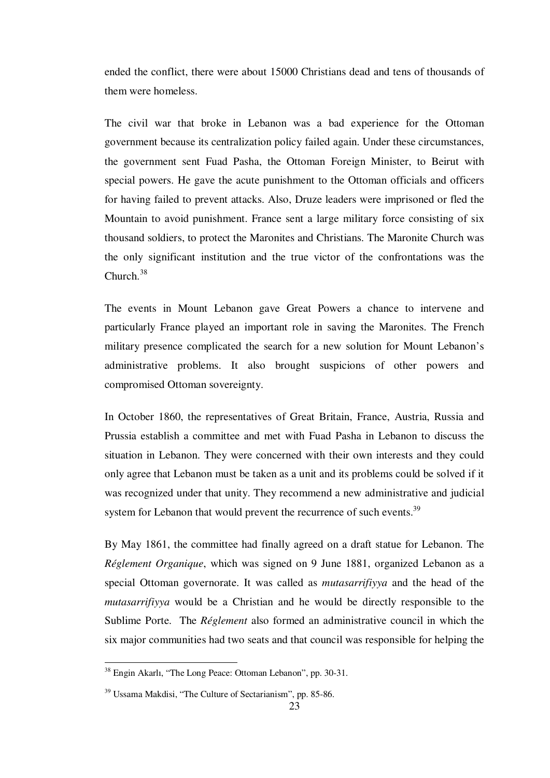ended the conflict, there were about 15000 Christians dead and tens of thousands of them were homeless.

The civil war that broke in Lebanon was a bad experience for the Ottoman government because its centralization policy failed again. Under these circumstances, the government sent Fuad Pasha, the Ottoman Foreign Minister, to Beirut with special powers. He gave the acute punishment to the Ottoman officials and officers for having failed to prevent attacks. Also, Druze leaders were imprisoned or fled the Mountain to avoid punishment. France sent a large military force consisting of six thousand soldiers, to protect the Maronites and Christians. The Maronite Church was the only significant institution and the true victor of the confrontations was the Church.<sup>38</sup>

The events in Mount Lebanon gave Great Powers a chance to intervene and particularly France played an important role in saving the Maronites. The French military presence complicated the search for a new solution for Mount Lebanon's administrative problems. It also brought suspicions of other powers and compromised Ottoman sovereignty.

In October 1860, the representatives of Great Britain, France, Austria, Russia and Prussia establish a committee and met with Fuad Pasha in Lebanon to discuss the situation in Lebanon. They were concerned with their own interests and they could only agree that Lebanon must be taken as a unit and its problems could be solved if it was recognized under that unity. They recommend a new administrative and judicial system for Lebanon that would prevent the recurrence of such events.<sup>39</sup>

By May 1861, the committee had finally agreed on a draft statue for Lebanon. The *Réglement Organique*, which was signed on 9 June 1881, organized Lebanon as a special Ottoman governorate. It was called as *mutasarrifiyya* and the head of the *mutasarrifiyya* would be a Christian and he would be directly responsible to the Sublime Porte. The *Réglement* also formed an administrative council in which the six major communities had two seats and that council was responsible for helping the

<sup>38</sup> Engin Akarlı, "The Long Peace: Ottoman Lebanon", pp. 30-31.

<sup>39</sup> Ussama Makdisi, "The Culture of Sectarianism", pp. 85-86.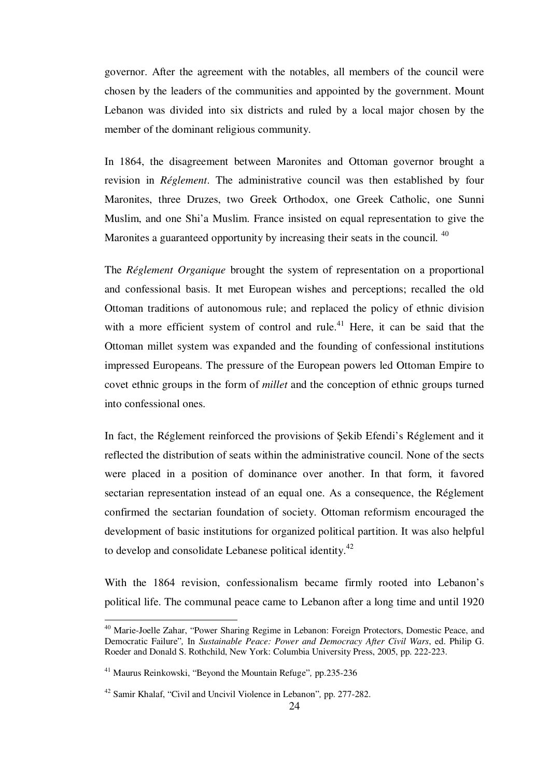governor. After the agreement with the notables, all members of the council were chosen by the leaders of the communities and appointed by the government. Mount Lebanon was divided into six districts and ruled by a local major chosen by the member of the dominant religious community.

In 1864, the disagreement between Maronites and Ottoman governor brought a revision in *Réglement*. The administrative council was then established by four Maronites, three Druzes, two Greek Orthodox, one Greek Catholic, one Sunni Muslim, and one Shi'a Muslim. France insisted on equal representation to give the Maronites a guaranteed opportunity by increasing their seats in the council. <sup>40</sup>

The *Réglement Organique* brought the system of representation on a proportional and confessional basis. It met European wishes and perceptions; recalled the old Ottoman traditions of autonomous rule; and replaced the policy of ethnic division with a more efficient system of control and rule.<sup>41</sup> Here, it can be said that the Ottoman millet system was expanded and the founding of confessional institutions impressed Europeans. The pressure of the European powers led Ottoman Empire to covet ethnic groups in the form of *millet* and the conception of ethnic groups turned into confessional ones.

In fact, the Réglement reinforced the provisions of Şekib Efendi's Réglement and it reflected the distribution of seats within the administrative council. None of the sects were placed in a position of dominance over another. In that form, it favored sectarian representation instead of an equal one. As a consequence, the Réglement confirmed the sectarian foundation of society. Ottoman reformism encouraged the development of basic institutions for organized political partition. It was also helpful to develop and consolidate Lebanese political identity.<sup>42</sup>

With the 1864 revision, confessionalism became firmly rooted into Lebanon's political life. The communal peace came to Lebanon after a long time and until 1920

<sup>&</sup>lt;sup>40</sup> Marie-Joelle Zahar, "Power Sharing Regime in Lebanon: Foreign Protectors, Domestic Peace, and Democratic Failure"*,* In *Sustainable Peace: Power and Democracy After Civil Wars*, ed. Philip G. Roeder and Donald S. Rothchild, New York: Columbia University Press, 2005, pp. 222-223.

<sup>41</sup> Maurus Reinkowski, "Beyond the Mountain Refuge"*,* pp.235-236

<sup>42</sup> Samir Khalaf, "Civil and Uncivil Violence in Lebanon"*,* pp. 277-282.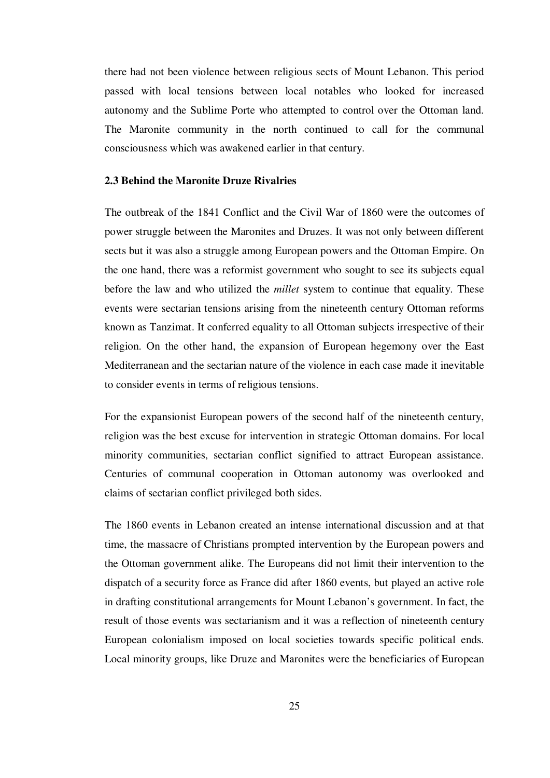there had not been violence between religious sects of Mount Lebanon. This period passed with local tensions between local notables who looked for increased autonomy and the Sublime Porte who attempted to control over the Ottoman land. The Maronite community in the north continued to call for the communal consciousness which was awakened earlier in that century.

#### **2.3 Behind the Maronite Druze Rivalries**

The outbreak of the 1841 Conflict and the Civil War of 1860 were the outcomes of power struggle between the Maronites and Druzes. It was not only between different sects but it was also a struggle among European powers and the Ottoman Empire. On the one hand, there was a reformist government who sought to see its subjects equal before the law and who utilized the *millet* system to continue that equality. These events were sectarian tensions arising from the nineteenth century Ottoman reforms known as Tanzimat. It conferred equality to all Ottoman subjects irrespective of their religion. On the other hand, the expansion of European hegemony over the East Mediterranean and the sectarian nature of the violence in each case made it inevitable to consider events in terms of religious tensions.

For the expansionist European powers of the second half of the nineteenth century, religion was the best excuse for intervention in strategic Ottoman domains. For local minority communities, sectarian conflict signified to attract European assistance. Centuries of communal cooperation in Ottoman autonomy was overlooked and claims of sectarian conflict privileged both sides.

The 1860 events in Lebanon created an intense international discussion and at that time, the massacre of Christians prompted intervention by the European powers and the Ottoman government alike. The Europeans did not limit their intervention to the dispatch of a security force as France did after 1860 events, but played an active role in drafting constitutional arrangements for Mount Lebanon's government. In fact, the result of those events was sectarianism and it was a reflection of nineteenth century European colonialism imposed on local societies towards specific political ends. Local minority groups, like Druze and Maronites were the beneficiaries of European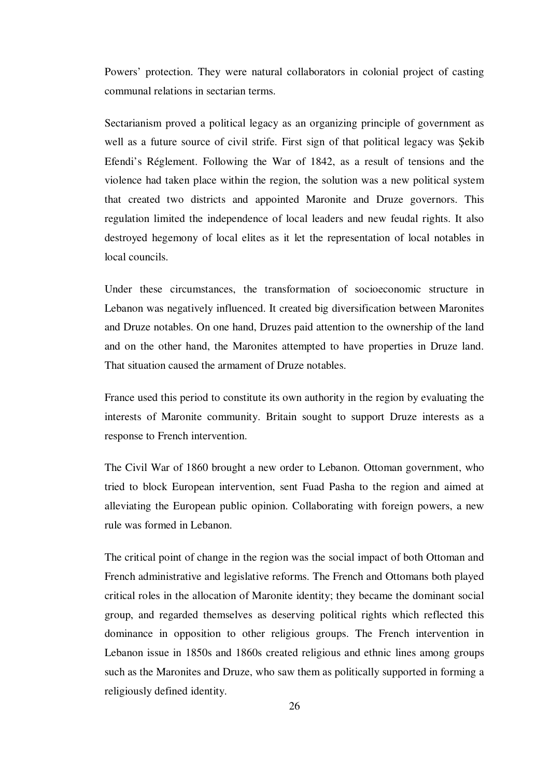Powers' protection. They were natural collaborators in colonial project of casting communal relations in sectarian terms.

Sectarianism proved a political legacy as an organizing principle of government as well as a future source of civil strife. First sign of that political legacy was Şekib Efendi's Réglement. Following the War of 1842, as a result of tensions and the violence had taken place within the region, the solution was a new political system that created two districts and appointed Maronite and Druze governors. This regulation limited the independence of local leaders and new feudal rights. It also destroyed hegemony of local elites as it let the representation of local notables in local councils.

Under these circumstances, the transformation of socioeconomic structure in Lebanon was negatively influenced. It created big diversification between Maronites and Druze notables. On one hand, Druzes paid attention to the ownership of the land and on the other hand, the Maronites attempted to have properties in Druze land. That situation caused the armament of Druze notables.

France used this period to constitute its own authority in the region by evaluating the interests of Maronite community. Britain sought to support Druze interests as a response to French intervention.

The Civil War of 1860 brought a new order to Lebanon. Ottoman government, who tried to block European intervention, sent Fuad Pasha to the region and aimed at alleviating the European public opinion. Collaborating with foreign powers, a new rule was formed in Lebanon.

The critical point of change in the region was the social impact of both Ottoman and French administrative and legislative reforms. The French and Ottomans both played critical roles in the allocation of Maronite identity; they became the dominant social group, and regarded themselves as deserving political rights which reflected this dominance in opposition to other religious groups. The French intervention in Lebanon issue in 1850s and 1860s created religious and ethnic lines among groups such as the Maronites and Druze, who saw them as politically supported in forming a religiously defined identity.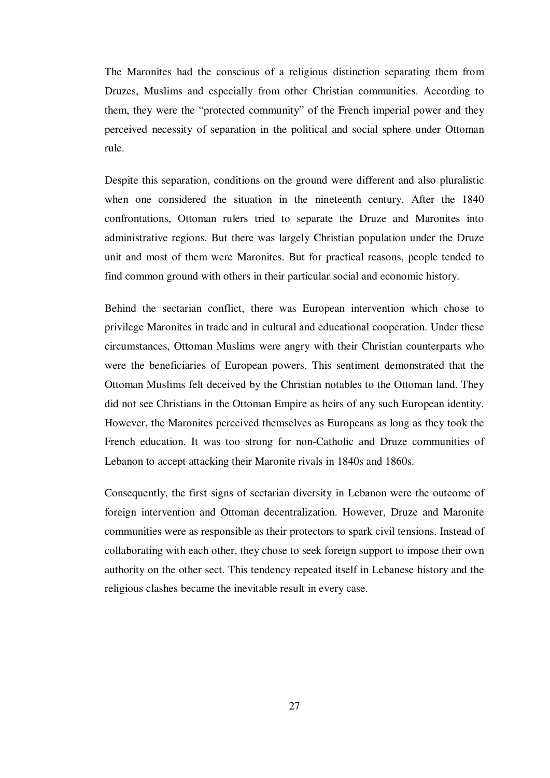The Maronites had the conscious of a religious distinction separating them from Druzes, Muslims and especially from other Christian communities. According to them, they were the "protected community" of the French imperial power and they perceived necessity of separation in the political and social sphere under Ottoman rule.

Despite this separation, conditions on the ground were different and also pluralistic when one considered the situation in the nineteenth century. After the 1840 confrontations, Ottoman rulers tried to separate the Druze and Maronites into administrative regions. But there was largely Christian population under the Druze unit and most of them were Maronites. But for practical reasons, people tended to find common ground with others in their particular social and economic history.

Behind the sectarian conflict, there was European intervention which chose to privilege Maronites in trade and in cultural and educational cooperation. Under these circumstances, Ottoman Muslims were angry with their Christian counterparts who were the beneficiaries of European powers. This sentiment demonstrated that the Ottoman Muslims felt deceived by the Christian notables to the Ottoman land. They did not see Christians in the Ottoman Empire as heirs of any such European identity. However, the Maronites perceived themselves as Europeans as long as they took the French education. It was too strong for non-Catholic and Druze communities of Lebanon to accept attacking their Maronite rivals in 1840s and 1860s.

Consequently, the first signs of sectarian diversity in Lebanon were the outcome of foreign intervention and Ottoman decentralization. However, Druze and Maronite communities were as responsible as their protectors to spark civil tensions. Instead of collaborating with each other, they chose to seek foreign support to impose their own authority on the other sect. This tendency repeated itself in Lebanese history and the religious clashes became the inevitable result in every case.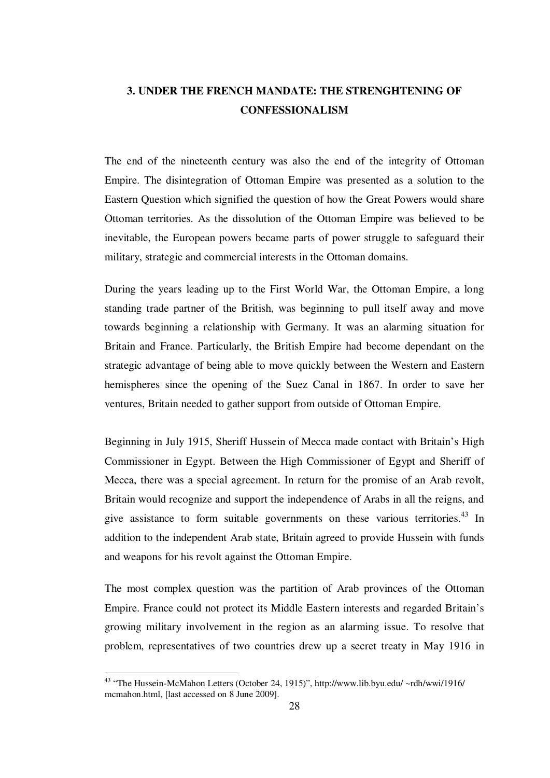# **3. UNDER THE FRENCH MANDATE: THE STRENGHTENING OF CONFESSIONALISM**

The end of the nineteenth century was also the end of the integrity of Ottoman Empire. The disintegration of Ottoman Empire was presented as a solution to the Eastern Question which signified the question of how the Great Powers would share Ottoman territories. As the dissolution of the Ottoman Empire was believed to be inevitable, the European powers became parts of power struggle to safeguard their military, strategic and commercial interests in the Ottoman domains.

During the years leading up to the First World War, the Ottoman Empire, a long standing trade partner of the British, was beginning to pull itself away and move towards beginning a relationship with Germany. It was an alarming situation for Britain and France. Particularly, the British Empire had become dependant on the strategic advantage of being able to move quickly between the Western and Eastern hemispheres since the opening of the Suez Canal in 1867. In order to save her ventures, Britain needed to gather support from outside of Ottoman Empire.

Beginning in July 1915, Sheriff Hussein of Mecca made contact with Britain's High Commissioner in Egypt. Between the High Commissioner of Egypt and Sheriff of Mecca, there was a special agreement. In return for the promise of an Arab revolt, Britain would recognize and support the independence of Arabs in all the reigns, and give assistance to form suitable governments on these various territories.<sup>43</sup> In addition to the independent Arab state, Britain agreed to provide Hussein with funds and weapons for his revolt against the Ottoman Empire.

The most complex question was the partition of Arab provinces of the Ottoman Empire. France could not protect its Middle Eastern interests and regarded Britain's growing military involvement in the region as an alarming issue. To resolve that problem, representatives of two countries drew up a secret treaty in May 1916 in

<sup>43</sup> "The Hussein-McMahon Letters (October 24, 1915)", http://www.lib.byu.edu/ ~rdh/wwi/1916/ mcmahon.html, [last accessed on 8 June 2009].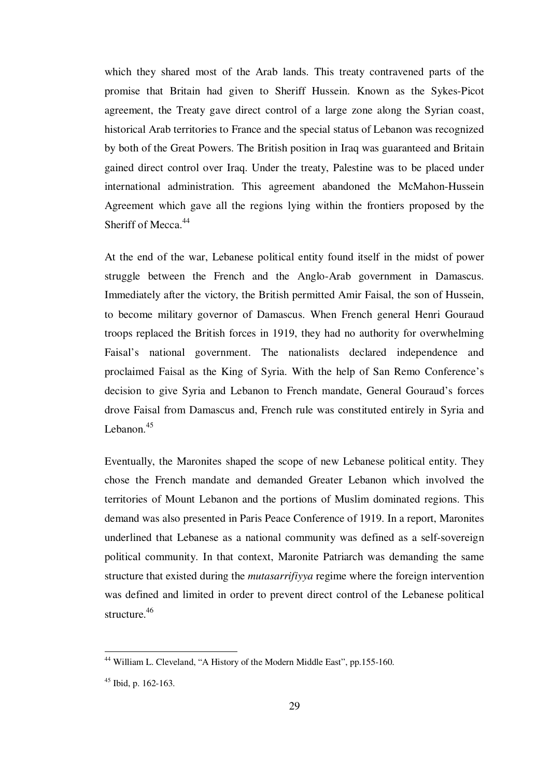which they shared most of the Arab lands. This treaty contravened parts of the promise that Britain had given to Sheriff Hussein. Known as the Sykes-Picot agreement, the Treaty gave direct control of a large zone along the Syrian coast, historical Arab territories to France and the special status of Lebanon was recognized by both of the Great Powers. The British position in Iraq was guaranteed and Britain gained direct control over Iraq. Under the treaty, Palestine was to be placed under international administration. This agreement abandoned the McMahon-Hussein Agreement which gave all the regions lying within the frontiers proposed by the Sheriff of Mecca.<sup>44</sup>

At the end of the war, Lebanese political entity found itself in the midst of power struggle between the French and the Anglo-Arab government in Damascus. Immediately after the victory, the British permitted Amir Faisal, the son of Hussein, to become military governor of Damascus. When French general Henri Gouraud troops replaced the British forces in 1919, they had no authority for overwhelming Faisal's national government. The nationalists declared independence and proclaimed Faisal as the King of Syria. With the help of San Remo Conference's decision to give Syria and Lebanon to French mandate, General Gouraud's forces drove Faisal from Damascus and, French rule was constituted entirely in Syria and Lebanon.<sup>45</sup>

Eventually, the Maronites shaped the scope of new Lebanese political entity. They chose the French mandate and demanded Greater Lebanon which involved the territories of Mount Lebanon and the portions of Muslim dominated regions. This demand was also presented in Paris Peace Conference of 1919. In a report, Maronites underlined that Lebanese as a national community was defined as a self-sovereign political community. In that context, Maronite Patriarch was demanding the same structure that existed during the *mutasarrifiyya* regime where the foreign intervention was defined and limited in order to prevent direct control of the Lebanese political structure. 46

1

<sup>&</sup>lt;sup>44</sup> William L. Cleveland, "A History of the Modern Middle East", pp.155-160.

<sup>45</sup> Ibid, p. 162-163.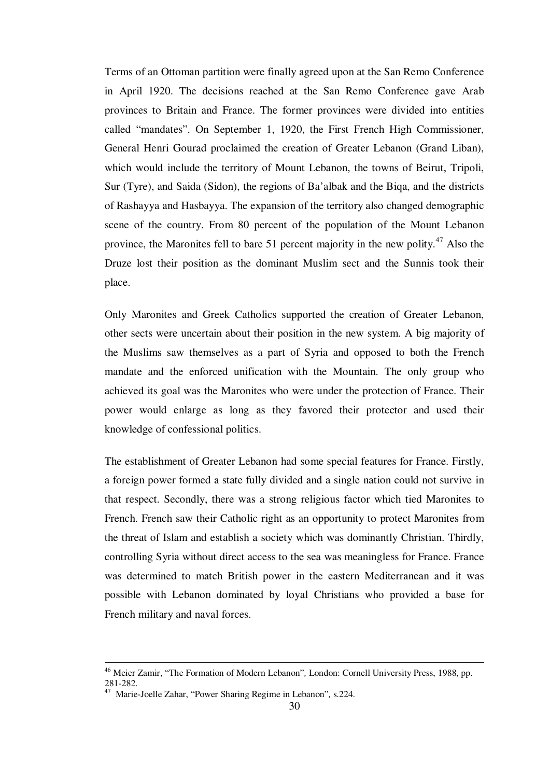Terms of an Ottoman partition were finally agreed upon at the San Remo Conference in April 1920. The decisions reached at the San Remo Conference gave Arab provinces to Britain and France. The former provinces were divided into entities called "mandates". On September 1, 1920, the First French High Commissioner, General Henri Gourad proclaimed the creation of Greater Lebanon (Grand Liban), which would include the territory of Mount Lebanon, the towns of Beirut, Tripoli, Sur (Tyre), and Saida (Sidon), the regions of Ba'albak and the Biqa, and the districts of Rashayya and Hasbayya. The expansion of the territory also changed demographic scene of the country. From 80 percent of the population of the Mount Lebanon province, the Maronites fell to bare 51 percent majority in the new polity.<sup>47</sup> Also the Druze lost their position as the dominant Muslim sect and the Sunnis took their place.

Only Maronites and Greek Catholics supported the creation of Greater Lebanon, other sects were uncertain about their position in the new system. A big majority of the Muslims saw themselves as a part of Syria and opposed to both the French mandate and the enforced unification with the Mountain. The only group who achieved its goal was the Maronites who were under the protection of France. Their power would enlarge as long as they favored their protector and used their knowledge of confessional politics.

The establishment of Greater Lebanon had some special features for France. Firstly, a foreign power formed a state fully divided and a single nation could not survive in that respect. Secondly, there was a strong religious factor which tied Maronites to French. French saw their Catholic right as an opportunity to protect Maronites from the threat of Islam and establish a society which was dominantly Christian. Thirdly, controlling Syria without direct access to the sea was meaningless for France. France was determined to match British power in the eastern Mediterranean and it was possible with Lebanon dominated by loyal Christians who provided a base for French military and naval forces.

<sup>46</sup> Meier Zamir, "The Formation of Modern Lebanon"*,* London: Cornell University Press, 1988, pp. 281-282.

<sup>47</sup> Marie-Joelle Zahar, "Power Sharing Regime in Lebanon"*,* s.224.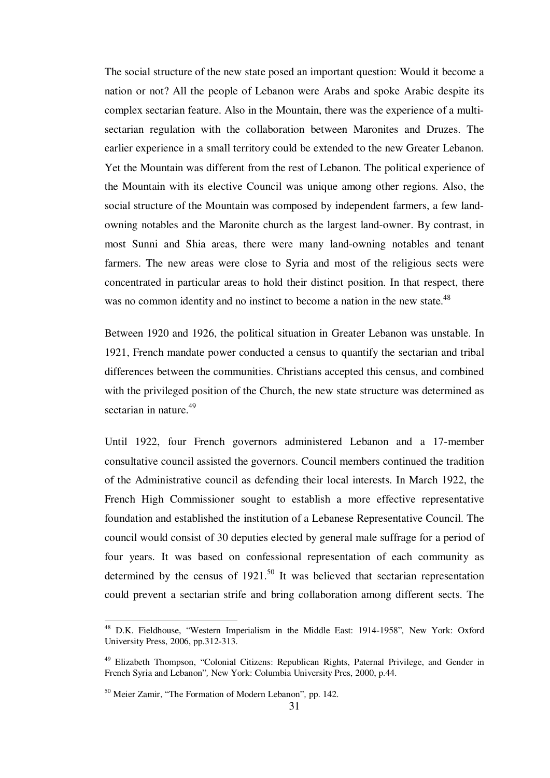The social structure of the new state posed an important question: Would it become a nation or not? All the people of Lebanon were Arabs and spoke Arabic despite its complex sectarian feature. Also in the Mountain, there was the experience of a multisectarian regulation with the collaboration between Maronites and Druzes. The earlier experience in a small territory could be extended to the new Greater Lebanon. Yet the Mountain was different from the rest of Lebanon. The political experience of the Mountain with its elective Council was unique among other regions. Also, the social structure of the Mountain was composed by independent farmers, a few landowning notables and the Maronite church as the largest land-owner. By contrast, in most Sunni and Shia areas, there were many land-owning notables and tenant farmers. The new areas were close to Syria and most of the religious sects were concentrated in particular areas to hold their distinct position. In that respect, there was no common identity and no instinct to become a nation in the new state.<sup>48</sup>

Between 1920 and 1926, the political situation in Greater Lebanon was unstable. In 1921, French mandate power conducted a census to quantify the sectarian and tribal differences between the communities. Christians accepted this census, and combined with the privileged position of the Church, the new state structure was determined as sectarian in nature.<sup>49</sup>

Until 1922, four French governors administered Lebanon and a 17-member consultative council assisted the governors. Council members continued the tradition of the Administrative council as defending their local interests. In March 1922, the French High Commissioner sought to establish a more effective representative foundation and established the institution of a Lebanese Representative Council. The council would consist of 30 deputies elected by general male suffrage for a period of four years. It was based on confessional representation of each community as determined by the census of  $1921$ .<sup>50</sup> It was believed that sectarian representation could prevent a sectarian strife and bring collaboration among different sects. The

<sup>48</sup> D.K. Fieldhouse, "Western Imperialism in the Middle East: 1914-1958"*,* New York: Oxford University Press, 2006, pp.312-313.

<sup>&</sup>lt;sup>49</sup> Elizabeth Thompson, "Colonial Citizens: Republican Rights, Paternal Privilege, and Gender in French Syria and Lebanon"*,* New York: Columbia University Pres, 2000, p.44.

<sup>50</sup> Meier Zamir, "The Formation of Modern Lebanon"*,* pp. 142.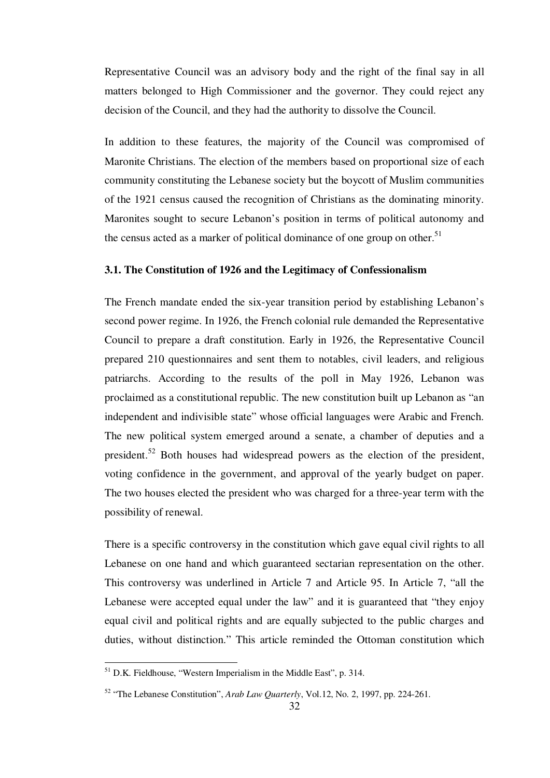Representative Council was an advisory body and the right of the final say in all matters belonged to High Commissioner and the governor. They could reject any decision of the Council, and they had the authority to dissolve the Council.

In addition to these features, the majority of the Council was compromised of Maronite Christians. The election of the members based on proportional size of each community constituting the Lebanese society but the boycott of Muslim communities of the 1921 census caused the recognition of Christians as the dominating minority. Maronites sought to secure Lebanon's position in terms of political autonomy and the census acted as a marker of political dominance of one group on other.<sup>51</sup>

#### **3.1. The Constitution of 1926 and the Legitimacy of Confessionalism**

The French mandate ended the six-year transition period by establishing Lebanon's second power regime. In 1926, the French colonial rule demanded the Representative Council to prepare a draft constitution. Early in 1926, the Representative Council prepared 210 questionnaires and sent them to notables, civil leaders, and religious patriarchs. According to the results of the poll in May 1926, Lebanon was proclaimed as a constitutional republic. The new constitution built up Lebanon as "an independent and indivisible state" whose official languages were Arabic and French. The new political system emerged around a senate, a chamber of deputies and a president.<sup>52</sup> Both houses had widespread powers as the election of the president, voting confidence in the government, and approval of the yearly budget on paper. The two houses elected the president who was charged for a three-year term with the possibility of renewal.

There is a specific controversy in the constitution which gave equal civil rights to all Lebanese on one hand and which guaranteed sectarian representation on the other. This controversy was underlined in Article 7 and Article 95. In Article 7, "all the Lebanese were accepted equal under the law" and it is guaranteed that "they enjoy equal civil and political rights and are equally subjected to the public charges and duties, without distinction." This article reminded the Ottoman constitution which

<sup>&</sup>lt;sup>51</sup> D.K. Fieldhouse, "Western Imperialism in the Middle East", p. 314.

<sup>52</sup> "The Lebanese Constitution", *Arab Law Quarterly*, Vol.12, No. 2, 1997, pp. 224-261.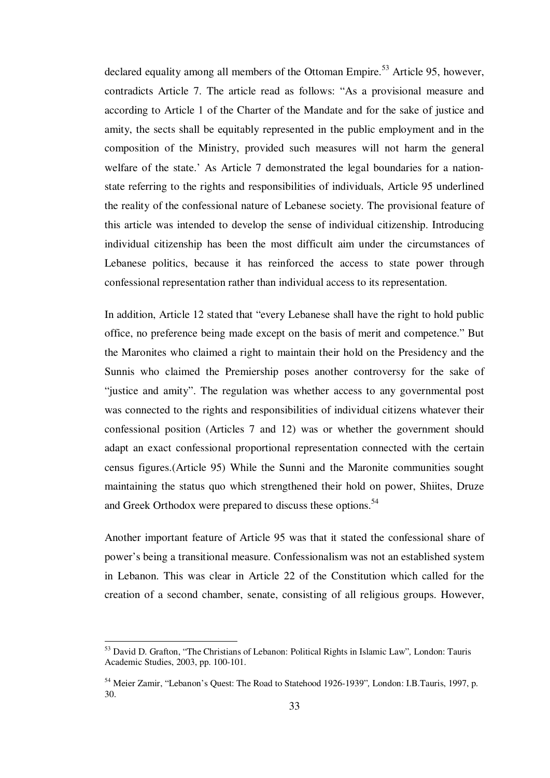declared equality among all members of the Ottoman Empire.<sup>53</sup> Article 95, however, contradicts Article 7. The article read as follows: "As a provisional measure and according to Article 1 of the Charter of the Mandate and for the sake of justice and amity, the sects shall be equitably represented in the public employment and in the composition of the Ministry, provided such measures will not harm the general welfare of the state.' As Article 7 demonstrated the legal boundaries for a nationstate referring to the rights and responsibilities of individuals, Article 95 underlined the reality of the confessional nature of Lebanese society. The provisional feature of this article was intended to develop the sense of individual citizenship. Introducing individual citizenship has been the most difficult aim under the circumstances of Lebanese politics, because it has reinforced the access to state power through confessional representation rather than individual access to its representation.

In addition, Article 12 stated that "every Lebanese shall have the right to hold public office, no preference being made except on the basis of merit and competence." But the Maronites who claimed a right to maintain their hold on the Presidency and the Sunnis who claimed the Premiership poses another controversy for the sake of "justice and amity". The regulation was whether access to any governmental post was connected to the rights and responsibilities of individual citizens whatever their confessional position (Articles 7 and 12) was or whether the government should adapt an exact confessional proportional representation connected with the certain census figures.(Article 95) While the Sunni and the Maronite communities sought maintaining the status quo which strengthened their hold on power, Shiites, Druze and Greek Orthodox were prepared to discuss these options.<sup>54</sup>

Another important feature of Article 95 was that it stated the confessional share of power's being a transitional measure. Confessionalism was not an established system in Lebanon. This was clear in Article 22 of the Constitution which called for the creation of a second chamber, senate, consisting of all religious groups. However,

<sup>53</sup> David D. Grafton, "The Christians of Lebanon: Political Rights in Islamic Law"*,* London: Tauris Academic Studies, 2003, pp. 100-101.

<sup>54</sup> Meier Zamir, "Lebanon's Quest: The Road to Statehood 1926-1939"*,* London: I.B.Tauris, 1997, p. 30.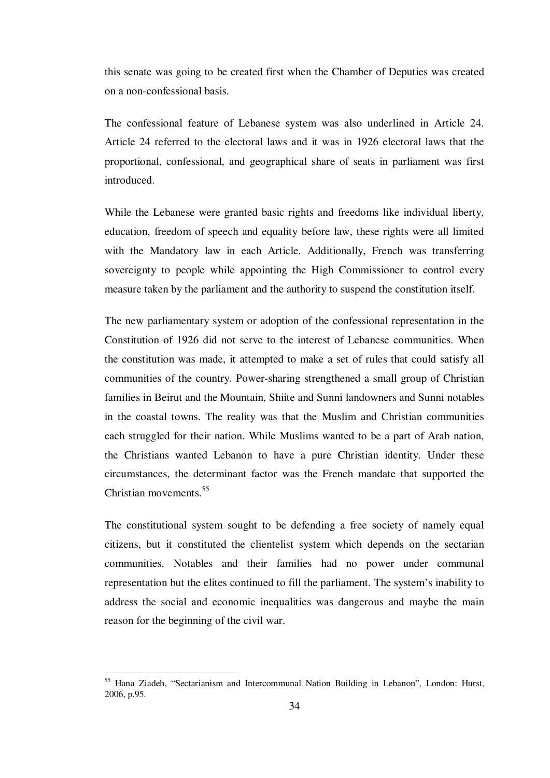this senate was going to be created first when the Chamber of Deputies was created on a non-confessional basis.

The confessional feature of Lebanese system was also underlined in Article 24. Article 24 referred to the electoral laws and it was in 1926 electoral laws that the proportional, confessional, and geographical share of seats in parliament was first introduced.

While the Lebanese were granted basic rights and freedoms like individual liberty, education, freedom of speech and equality before law, these rights were all limited with the Mandatory law in each Article. Additionally, French was transferring sovereignty to people while appointing the High Commissioner to control every measure taken by the parliament and the authority to suspend the constitution itself.

The new parliamentary system or adoption of the confessional representation in the Constitution of 1926 did not serve to the interest of Lebanese communities. When the constitution was made, it attempted to make a set of rules that could satisfy all communities of the country. Power-sharing strengthened a small group of Christian families in Beirut and the Mountain, Shiite and Sunni landowners and Sunni notables in the coastal towns. The reality was that the Muslim and Christian communities each struggled for their nation. While Muslims wanted to be a part of Arab nation, the Christians wanted Lebanon to have a pure Christian identity. Under these circumstances, the determinant factor was the French mandate that supported the Christian movements.<sup>55</sup>

The constitutional system sought to be defending a free society of namely equal citizens, but it constituted the clientelist system which depends on the sectarian communities. Notables and their families had no power under communal representation but the elites continued to fill the parliament. The system's inability to address the social and economic inequalities was dangerous and maybe the main reason for the beginning of the civil war.

<sup>55</sup> Hana Ziadeh, "Sectarianism and Intercommunal Nation Building in Lebanon"*,* London: Hurst, 2006, p.95.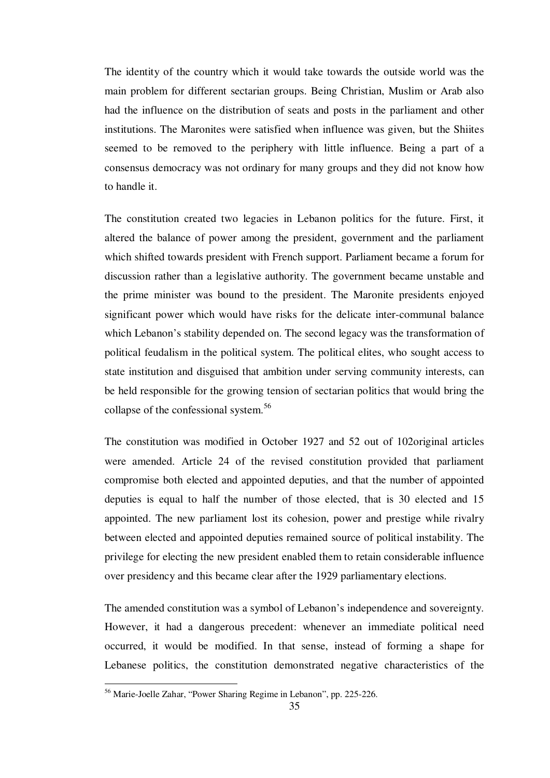The identity of the country which it would take towards the outside world was the main problem for different sectarian groups. Being Christian, Muslim or Arab also had the influence on the distribution of seats and posts in the parliament and other institutions. The Maronites were satisfied when influence was given, but the Shiites seemed to be removed to the periphery with little influence. Being a part of a consensus democracy was not ordinary for many groups and they did not know how to handle it.

The constitution created two legacies in Lebanon politics for the future. First, it altered the balance of power among the president, government and the parliament which shifted towards president with French support. Parliament became a forum for discussion rather than a legislative authority. The government became unstable and the prime minister was bound to the president. The Maronite presidents enjoyed significant power which would have risks for the delicate inter-communal balance which Lebanon's stability depended on. The second legacy was the transformation of political feudalism in the political system. The political elites, who sought access to state institution and disguised that ambition under serving community interests, can be held responsible for the growing tension of sectarian politics that would bring the collapse of the confessional system.<sup>56</sup>

The constitution was modified in October 1927 and 52 out of 102original articles were amended. Article 24 of the revised constitution provided that parliament compromise both elected and appointed deputies, and that the number of appointed deputies is equal to half the number of those elected, that is 30 elected and 15 appointed. The new parliament lost its cohesion, power and prestige while rivalry between elected and appointed deputies remained source of political instability. The privilege for electing the new president enabled them to retain considerable influence over presidency and this became clear after the 1929 parliamentary elections.

The amended constitution was a symbol of Lebanon's independence and sovereignty. However, it had a dangerous precedent: whenever an immediate political need occurred, it would be modified. In that sense, instead of forming a shape for Lebanese politics, the constitution demonstrated negative characteristics of the

<sup>56</sup> Marie-Joelle Zahar, "Power Sharing Regime in Lebanon", pp. 225-226.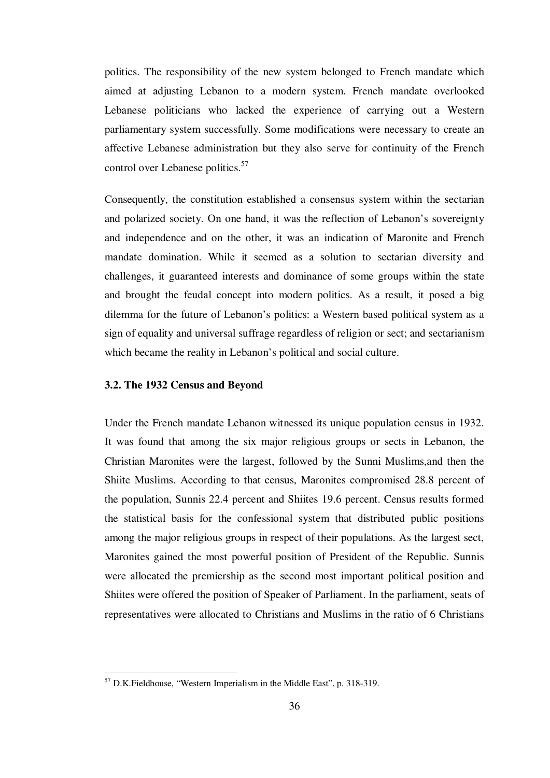politics. The responsibility of the new system belonged to French mandate which aimed at adjusting Lebanon to a modern system. French mandate overlooked Lebanese politicians who lacked the experience of carrying out a Western parliamentary system successfully. Some modifications were necessary to create an affective Lebanese administration but they also serve for continuity of the French control over Lebanese politics.<sup>57</sup>

Consequently, the constitution established a consensus system within the sectarian and polarized society. On one hand, it was the reflection of Lebanon's sovereignty and independence and on the other, it was an indication of Maronite and French mandate domination. While it seemed as a solution to sectarian diversity and challenges, it guaranteed interests and dominance of some groups within the state and brought the feudal concept into modern politics. As a result, it posed a big dilemma for the future of Lebanon's politics: a Western based political system as a sign of equality and universal suffrage regardless of religion or sect; and sectarianism which became the reality in Lebanon's political and social culture.

# **3.2. The 1932 Census and Beyond**

<u>.</u>

Under the French mandate Lebanon witnessed its unique population census in 1932. It was found that among the six major religious groups or sects in Lebanon, the Christian Maronites were the largest, followed by the Sunni Muslims,and then the Shiite Muslims. According to that census, Maronites compromised 28.8 percent of the population, Sunnis 22.4 percent and Shiites 19.6 percent. Census results formed the statistical basis for the confessional system that distributed public positions among the major religious groups in respect of their populations. As the largest sect, Maronites gained the most powerful position of President of the Republic. Sunnis were allocated the premiership as the second most important political position and Shiites were offered the position of Speaker of Parliament. In the parliament, seats of representatives were allocated to Christians and Muslims in the ratio of 6 Christians

 $57$  D.K. Fieldhouse, "Western Imperialism in the Middle East", p. 318-319.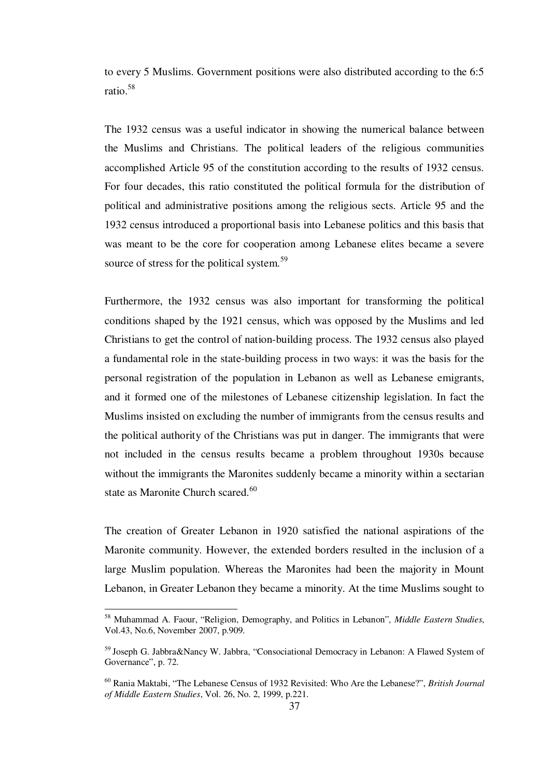to every 5 Muslims. Government positions were also distributed according to the 6:5 ratio.<sup>58</sup>

The 1932 census was a useful indicator in showing the numerical balance between the Muslims and Christians. The political leaders of the religious communities accomplished Article 95 of the constitution according to the results of 1932 census. For four decades, this ratio constituted the political formula for the distribution of political and administrative positions among the religious sects. Article 95 and the 1932 census introduced a proportional basis into Lebanese politics and this basis that was meant to be the core for cooperation among Lebanese elites became a severe source of stress for the political system.<sup>59</sup>

Furthermore, the 1932 census was also important for transforming the political conditions shaped by the 1921 census, which was opposed by the Muslims and led Christians to get the control of nation-building process. The 1932 census also played a fundamental role in the state-building process in two ways: it was the basis for the personal registration of the population in Lebanon as well as Lebanese emigrants, and it formed one of the milestones of Lebanese citizenship legislation. In fact the Muslims insisted on excluding the number of immigrants from the census results and the political authority of the Christians was put in danger. The immigrants that were not included in the census results became a problem throughout 1930s because without the immigrants the Maronites suddenly became a minority within a sectarian state as Maronite Church scared.<sup>60</sup>

The creation of Greater Lebanon in 1920 satisfied the national aspirations of the Maronite community. However, the extended borders resulted in the inclusion of a large Muslim population. Whereas the Maronites had been the majority in Mount Lebanon, in Greater Lebanon they became a minority. At the time Muslims sought to

1

<sup>58</sup> Muhammad A. Faour, "Religion, Demography, and Politics in Lebanon"*, Middle Eastern Studies*, Vol.43, No.6, November 2007, p.909.

<sup>&</sup>lt;sup>59</sup> Joseph G. Jabbra&Nancy W. Jabbra, "Consociational Democracy in Lebanon: A Flawed System of Governance", p. 72.

<sup>60</sup> Rania Maktabi, "The Lebanese Census of 1932 Revisited: Who Are the Lebanese?", *British Journal of Middle Eastern Studies*, Vol. 26, No. 2, 1999, p.221.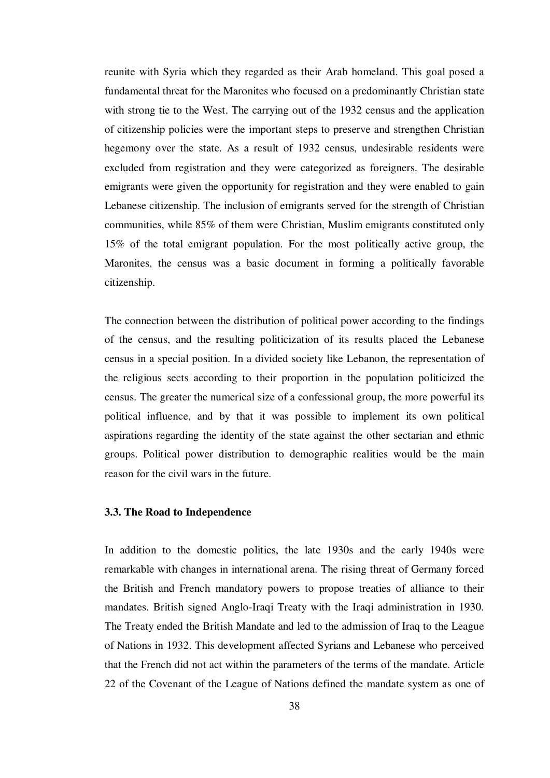reunite with Syria which they regarded as their Arab homeland. This goal posed a fundamental threat for the Maronites who focused on a predominantly Christian state with strong tie to the West. The carrying out of the 1932 census and the application of citizenship policies were the important steps to preserve and strengthen Christian hegemony over the state. As a result of 1932 census, undesirable residents were excluded from registration and they were categorized as foreigners. The desirable emigrants were given the opportunity for registration and they were enabled to gain Lebanese citizenship. The inclusion of emigrants served for the strength of Christian communities, while 85% of them were Christian, Muslim emigrants constituted only 15% of the total emigrant population. For the most politically active group, the Maronites, the census was a basic document in forming a politically favorable citizenship.

The connection between the distribution of political power according to the findings of the census, and the resulting politicization of its results placed the Lebanese census in a special position. In a divided society like Lebanon, the representation of the religious sects according to their proportion in the population politicized the census. The greater the numerical size of a confessional group, the more powerful its political influence, and by that it was possible to implement its own political aspirations regarding the identity of the state against the other sectarian and ethnic groups. Political power distribution to demographic realities would be the main reason for the civil wars in the future.

## **3.3. The Road to Independence**

In addition to the domestic politics, the late 1930s and the early 1940s were remarkable with changes in international arena. The rising threat of Germany forced the British and French mandatory powers to propose treaties of alliance to their mandates. British signed Anglo-Iraqi Treaty with the Iraqi administration in 1930. The Treaty ended the British Mandate and led to the admission of Iraq to the League of Nations in 1932. This development affected Syrians and Lebanese who perceived that the French did not act within the parameters of the terms of the mandate. Article 22 of the Covenant of the League of Nations defined the mandate system as one of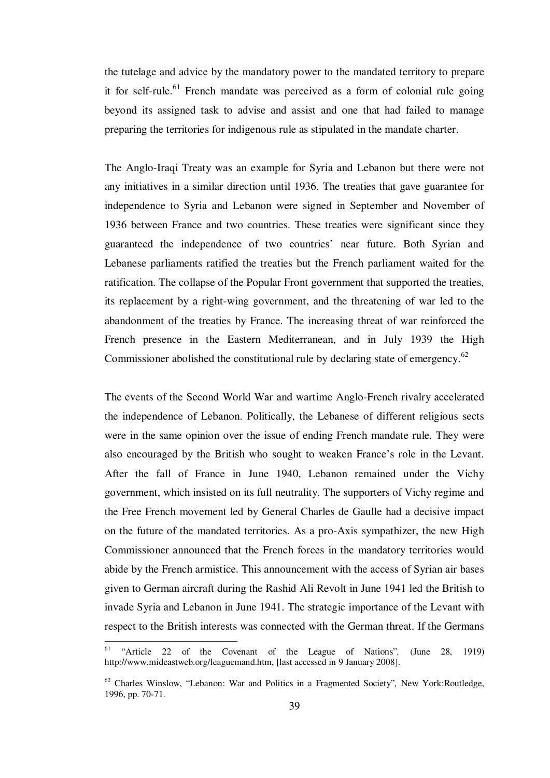the tutelage and advice by the mandatory power to the mandated territory to prepare it for self-rule.<sup>61</sup> French mandate was perceived as a form of colonial rule going beyond its assigned task to advise and assist and one that had failed to manage preparing the territories for indigenous rule as stipulated in the mandate charter.

The Anglo-Iraqi Treaty was an example for Syria and Lebanon but there were not any initiatives in a similar direction until 1936. The treaties that gave guarantee for independence to Syria and Lebanon were signed in September and November of 1936 between France and two countries. These treaties were significant since they guaranteed the independence of two countries' near future. Both Syrian and Lebanese parliaments ratified the treaties but the French parliament waited for the ratification. The collapse of the Popular Front government that supported the treaties, its replacement by a right-wing government, and the threatening of war led to the abandonment of the treaties by France. The increasing threat of war reinforced the French presence in the Eastern Mediterranean, and in July 1939 the High Commissioner abolished the constitutional rule by declaring state of emergency.<sup>62</sup>

The events of the Second World War and wartime Anglo-French rivalry accelerated the independence of Lebanon. Politically, the Lebanese of different religious sects were in the same opinion over the issue of ending French mandate rule. They were also encouraged by the British who sought to weaken France's role in the Levant. After the fall of France in June 1940, Lebanon remained under the Vichy government, which insisted on its full neutrality. The supporters of Vichy regime and the Free French movement led by General Charles de Gaulle had a decisive impact on the future of the mandated territories. As a pro-Axis sympathizer, the new High Commissioner announced that the French forces in the mandatory territories would abide by the French armistice. This announcement with the access of Syrian air bases given to German aircraft during the Rashid Ali Revolt in June 1941 led the British to invade Syria and Lebanon in June 1941. The strategic importance of the Levant with respect to the British interests was connected with the German threat. If the Germans

<sup>61</sup> "Article 22 of the Covenant of the League of Nations"*,* (June 28, 1919) http://www.mideastweb.org/leaguemand.htm, [last accessed in 9 January 2008].

<sup>62</sup> Charles Winslow, "Lebanon: War and Politics in a Fragmented Society"*,* New York:Routledge, 1996, pp. 70-71.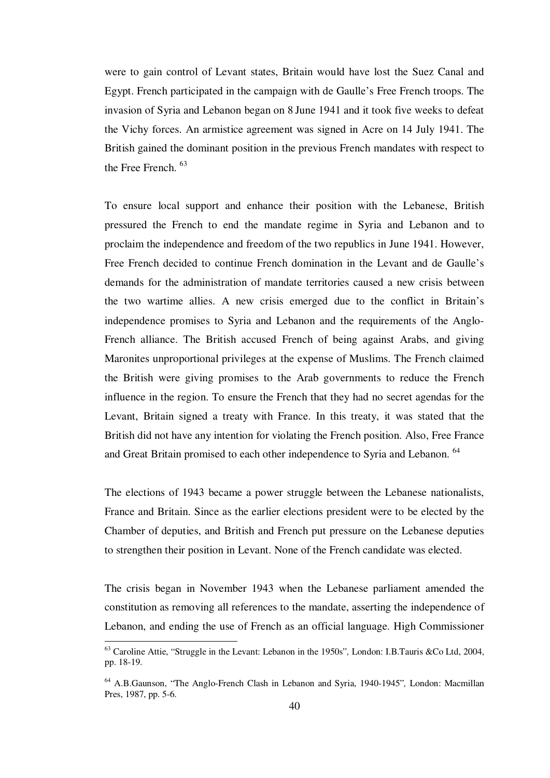were to gain control of Levant states, Britain would have lost the Suez Canal and Egypt. French participated in the campaign with de Gaulle's Free French troops. The invasion of Syria and Lebanon began on 8 June 1941 and it took five weeks to defeat the Vichy forces. An armistice agreement was signed in Acre on 14 July 1941. The British gained the dominant position in the previous French mandates with respect to the Free French.  $63$ 

To ensure local support and enhance their position with the Lebanese, British pressured the French to end the mandate regime in Syria and Lebanon and to proclaim the independence and freedom of the two republics in June 1941. However, Free French decided to continue French domination in the Levant and de Gaulle's demands for the administration of mandate territories caused a new crisis between the two wartime allies. A new crisis emerged due to the conflict in Britain's independence promises to Syria and Lebanon and the requirements of the Anglo-French alliance. The British accused French of being against Arabs, and giving Maronites unproportional privileges at the expense of Muslims. The French claimed the British were giving promises to the Arab governments to reduce the French influence in the region. To ensure the French that they had no secret agendas for the Levant, Britain signed a treaty with France. In this treaty, it was stated that the British did not have any intention for violating the French position. Also, Free France and Great Britain promised to each other independence to Syria and Lebanon.<sup>64</sup>

The elections of 1943 became a power struggle between the Lebanese nationalists, France and Britain. Since as the earlier elections president were to be elected by the Chamber of deputies, and British and French put pressure on the Lebanese deputies to strengthen their position in Levant. None of the French candidate was elected.

The crisis began in November 1943 when the Lebanese parliament amended the constitution as removing all references to the mandate, asserting the independence of Lebanon, and ending the use of French as an official language. High Commissioner

<sup>63</sup> Caroline Attie, "Struggle in the Levant: Lebanon in the 1950s"*,* London: I.B.Tauris &Co Ltd, 2004, pp. 18-19.

<sup>64</sup> A.B.Gaunson, "The Anglo-French Clash in Lebanon and Syria, 1940-1945"*,* London: Macmillan Pres, 1987, pp. 5-6.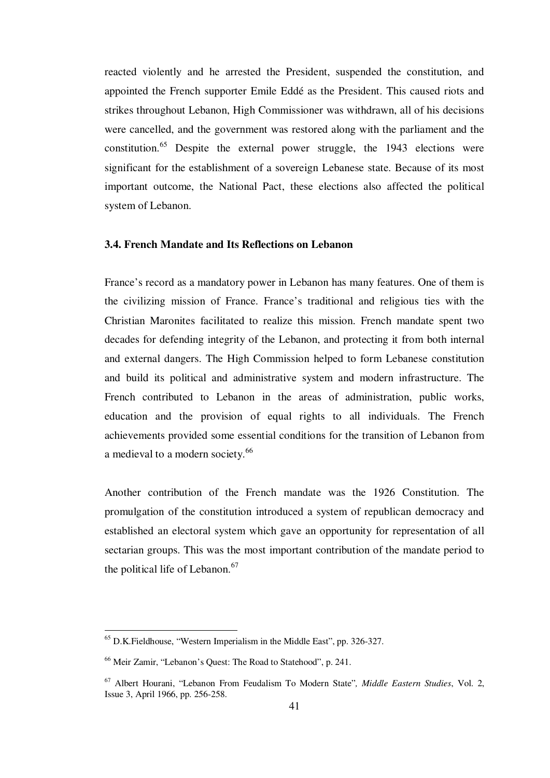reacted violently and he arrested the President, suspended the constitution, and appointed the French supporter Emile Eddé as the President. This caused riots and strikes throughout Lebanon, High Commissioner was withdrawn, all of his decisions were cancelled, and the government was restored along with the parliament and the constitution.<sup>65</sup> Despite the external power struggle, the 1943 elections were significant for the establishment of a sovereign Lebanese state. Because of its most important outcome, the National Pact, these elections also affected the political system of Lebanon.

## **3.4. French Mandate and Its Reflections on Lebanon**

France's record as a mandatory power in Lebanon has many features. One of them is the civilizing mission of France. France's traditional and religious ties with the Christian Maronites facilitated to realize this mission. French mandate spent two decades for defending integrity of the Lebanon, and protecting it from both internal and external dangers. The High Commission helped to form Lebanese constitution and build its political and administrative system and modern infrastructure. The French contributed to Lebanon in the areas of administration, public works, education and the provision of equal rights to all individuals. The French achievements provided some essential conditions for the transition of Lebanon from a medieval to a modern society.<sup>66</sup>

Another contribution of the French mandate was the 1926 Constitution. The promulgation of the constitution introduced a system of republican democracy and established an electoral system which gave an opportunity for representation of all sectarian groups. This was the most important contribution of the mandate period to the political life of Lebanon.<sup>67</sup>

<sup>65</sup> D.K.Fieldhouse, "Western Imperialism in the Middle East", pp. 326-327.

<sup>66</sup> Meir Zamir, "Lebanon's Quest: The Road to Statehood", p. 241.

<sup>67</sup> Albert Hourani, "Lebanon From Feudalism To Modern State"*, Middle Eastern Studies*, Vol. 2, Issue 3, April 1966, pp. 256-258.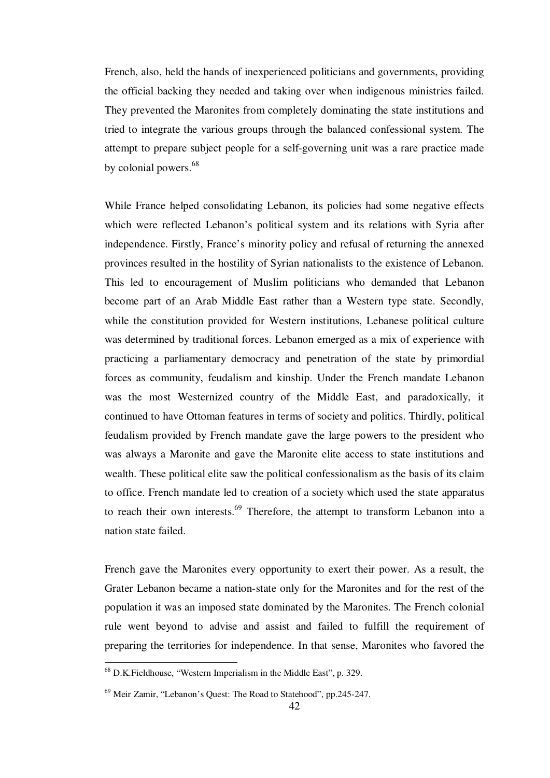French, also, held the hands of inexperienced politicians and governments, providing the official backing they needed and taking over when indigenous ministries failed. They prevented the Maronites from completely dominating the state institutions and tried to integrate the various groups through the balanced confessional system. The attempt to prepare subject people for a self-governing unit was a rare practice made by colonial powers.<sup>68</sup>

While France helped consolidating Lebanon, its policies had some negative effects which were reflected Lebanon's political system and its relations with Syria after independence. Firstly, France's minority policy and refusal of returning the annexed provinces resulted in the hostility of Syrian nationalists to the existence of Lebanon. This led to encouragement of Muslim politicians who demanded that Lebanon become part of an Arab Middle East rather than a Western type state. Secondly, while the constitution provided for Western institutions, Lebanese political culture was determined by traditional forces. Lebanon emerged as a mix of experience with practicing a parliamentary democracy and penetration of the state by primordial forces as community, feudalism and kinship. Under the French mandate Lebanon was the most Westernized country of the Middle East, and paradoxically, it continued to have Ottoman features in terms of society and politics. Thirdly, political feudalism provided by French mandate gave the large powers to the president who was always a Maronite and gave the Maronite elite access to state institutions and wealth. These political elite saw the political confessionalism as the basis of its claim to office. French mandate led to creation of a society which used the state apparatus to reach their own interests. $69$  Therefore, the attempt to transform Lebanon into a nation state failed.

French gave the Maronites every opportunity to exert their power. As a result, the Grater Lebanon became a nation-state only for the Maronites and for the rest of the population it was an imposed state dominated by the Maronites. The French colonial rule went beyond to advise and assist and failed to fulfill the requirement of preparing the territories for independence. In that sense, Maronites who favored the

<sup>68</sup> D.K.Fieldhouse, "Western Imperialism in the Middle East", p. 329.

<sup>69</sup> Meir Zamir, "Lebanon's Quest: The Road to Statehood", pp.245-247.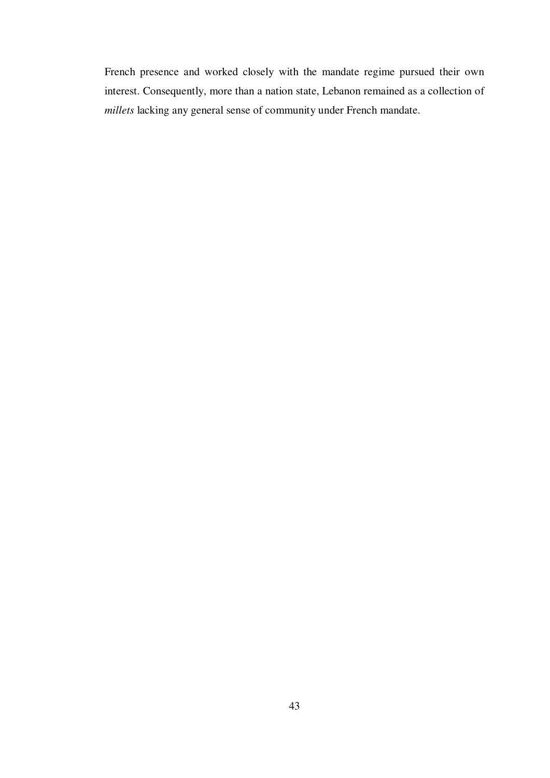French presence and worked closely with the mandate regime pursued their own interest. Consequently, more than a nation state, Lebanon remained as a collection of *millets* lacking any general sense of community under French mandate.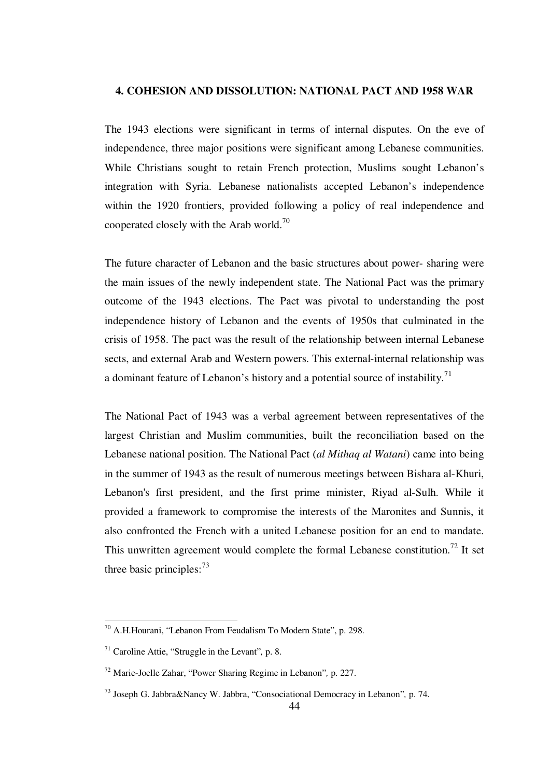## **4. COHESION AND DISSOLUTION: NATIONAL PACT AND 1958 WAR**

The 1943 elections were significant in terms of internal disputes. On the eve of independence, three major positions were significant among Lebanese communities. While Christians sought to retain French protection, Muslims sought Lebanon's integration with Syria. Lebanese nationalists accepted Lebanon's independence within the 1920 frontiers, provided following a policy of real independence and cooperated closely with the Arab world.<sup>70</sup>

The future character of Lebanon and the basic structures about power- sharing were the main issues of the newly independent state. The National Pact was the primary outcome of the 1943 elections. The Pact was pivotal to understanding the post independence history of Lebanon and the events of 1950s that culminated in the crisis of 1958. The pact was the result of the relationship between internal Lebanese sects, and external Arab and Western powers. This external-internal relationship was a dominant feature of Lebanon's history and a potential source of instability.<sup>71</sup>

The National Pact of 1943 was a verbal agreement between representatives of the largest Christian and Muslim communities, built the reconciliation based on the Lebanese national position. The National Pact (*al Mithaq al Watani*) came into being in the summer of 1943 as the result of numerous meetings between Bishara al-Khuri, Lebanon's first president, and the first prime minister, Riyad al-Sulh. While it provided a framework to compromise the interests of the Maronites and Sunnis, it also confronted the French with a united Lebanese position for an end to mandate. This unwritten agreement would complete the formal Lebanese constitution.<sup>72</sup> It set three basic principles:  $73$ 

<sup>&</sup>lt;sup>70</sup> A.H.Hourani, "Lebanon From Feudalism To Modern State", p. 298.

<sup>71</sup> Caroline Attie, "Struggle in the Levant"*,* p. 8.

<sup>72</sup> Marie-Joelle Zahar, "Power Sharing Regime in Lebanon"*,* p. 227.

<sup>73</sup> Joseph G. Jabbra&Nancy W. Jabbra, "Consociational Democracy in Lebanon"*,* p. 74.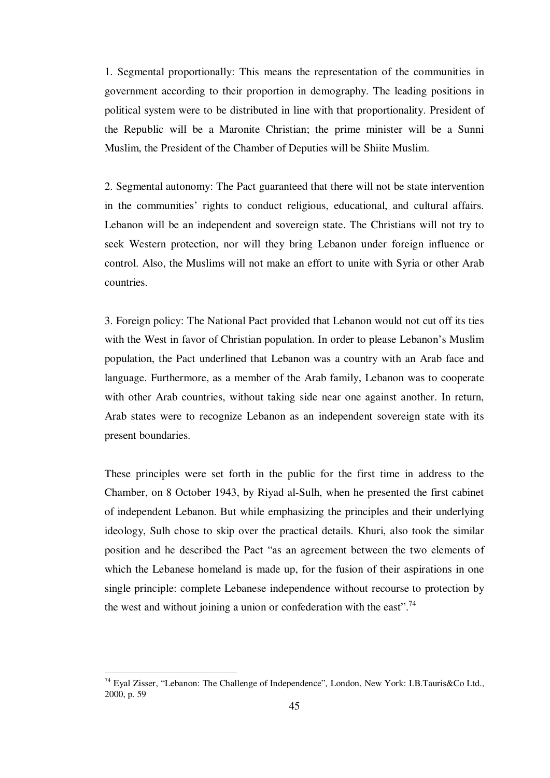1. Segmental proportionally: This means the representation of the communities in government according to their proportion in demography. The leading positions in political system were to be distributed in line with that proportionality. President of the Republic will be a Maronite Christian; the prime minister will be a Sunni Muslim, the President of the Chamber of Deputies will be Shiite Muslim.

2. Segmental autonomy: The Pact guaranteed that there will not be state intervention in the communities' rights to conduct religious, educational, and cultural affairs. Lebanon will be an independent and sovereign state. The Christians will not try to seek Western protection, nor will they bring Lebanon under foreign influence or control. Also, the Muslims will not make an effort to unite with Syria or other Arab countries.

3. Foreign policy: The National Pact provided that Lebanon would not cut off its ties with the West in favor of Christian population. In order to please Lebanon's Muslim population, the Pact underlined that Lebanon was a country with an Arab face and language. Furthermore, as a member of the Arab family, Lebanon was to cooperate with other Arab countries, without taking side near one against another. In return, Arab states were to recognize Lebanon as an independent sovereign state with its present boundaries.

These principles were set forth in the public for the first time in address to the Chamber, on 8 October 1943, by Riyad al-Sulh, when he presented the first cabinet of independent Lebanon. But while emphasizing the principles and their underlying ideology, Sulh chose to skip over the practical details. Khuri, also took the similar position and he described the Pact "as an agreement between the two elements of which the Lebanese homeland is made up, for the fusion of their aspirations in one single principle: complete Lebanese independence without recourse to protection by the west and without joining a union or confederation with the east".<sup>74</sup>

<sup>74</sup> Eyal Zisser, "Lebanon: The Challenge of Independence"*,* London, New York: I.B.Tauris&Co Ltd., 2000, p. 59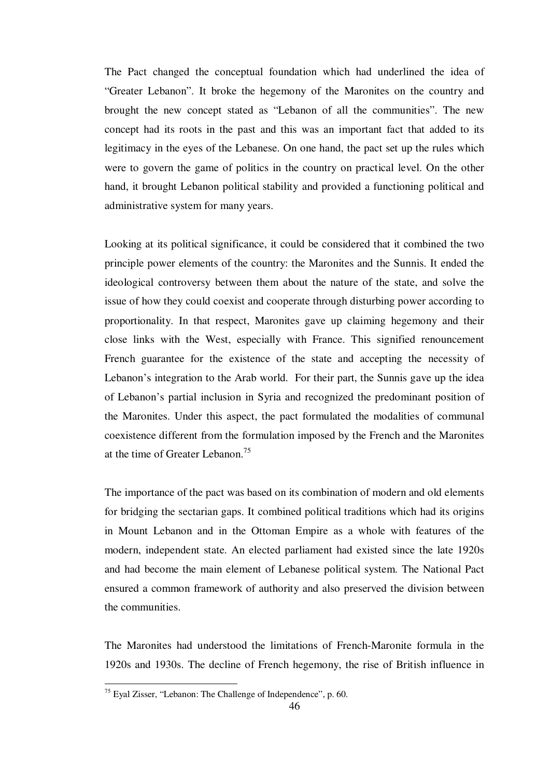The Pact changed the conceptual foundation which had underlined the idea of "Greater Lebanon". It broke the hegemony of the Maronites on the country and brought the new concept stated as "Lebanon of all the communities". The new concept had its roots in the past and this was an important fact that added to its legitimacy in the eyes of the Lebanese. On one hand, the pact set up the rules which were to govern the game of politics in the country on practical level. On the other hand, it brought Lebanon political stability and provided a functioning political and administrative system for many years.

Looking at its political significance, it could be considered that it combined the two principle power elements of the country: the Maronites and the Sunnis. It ended the ideological controversy between them about the nature of the state, and solve the issue of how they could coexist and cooperate through disturbing power according to proportionality. In that respect, Maronites gave up claiming hegemony and their close links with the West, especially with France. This signified renouncement French guarantee for the existence of the state and accepting the necessity of Lebanon's integration to the Arab world. For their part, the Sunnis gave up the idea of Lebanon's partial inclusion in Syria and recognized the predominant position of the Maronites. Under this aspect, the pact formulated the modalities of communal coexistence different from the formulation imposed by the French and the Maronites at the time of Greater Lebanon.<sup>75</sup>

The importance of the pact was based on its combination of modern and old elements for bridging the sectarian gaps. It combined political traditions which had its origins in Mount Lebanon and in the Ottoman Empire as a whole with features of the modern, independent state. An elected parliament had existed since the late 1920s and had become the main element of Lebanese political system. The National Pact ensured a common framework of authority and also preserved the division between the communities.

The Maronites had understood the limitations of French-Maronite formula in the 1920s and 1930s. The decline of French hegemony, the rise of British influence in

 $75$  Eyal Zisser, "Lebanon: The Challenge of Independence", p. 60.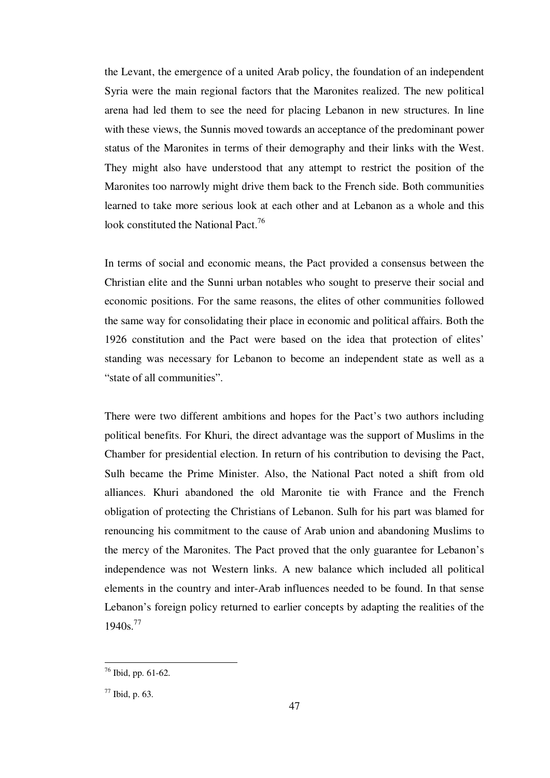the Levant, the emergence of a united Arab policy, the foundation of an independent Syria were the main regional factors that the Maronites realized. The new political arena had led them to see the need for placing Lebanon in new structures. In line with these views, the Sunnis moved towards an acceptance of the predominant power status of the Maronites in terms of their demography and their links with the West. They might also have understood that any attempt to restrict the position of the Maronites too narrowly might drive them back to the French side. Both communities learned to take more serious look at each other and at Lebanon as a whole and this look constituted the National Pact.<sup>76</sup>

In terms of social and economic means, the Pact provided a consensus between the Christian elite and the Sunni urban notables who sought to preserve their social and economic positions. For the same reasons, the elites of other communities followed the same way for consolidating their place in economic and political affairs. Both the 1926 constitution and the Pact were based on the idea that protection of elites' standing was necessary for Lebanon to become an independent state as well as a "state of all communities".

There were two different ambitions and hopes for the Pact's two authors including political benefits. For Khuri, the direct advantage was the support of Muslims in the Chamber for presidential election. In return of his contribution to devising the Pact, Sulh became the Prime Minister. Also, the National Pact noted a shift from old alliances. Khuri abandoned the old Maronite tie with France and the French obligation of protecting the Christians of Lebanon. Sulh for his part was blamed for renouncing his commitment to the cause of Arab union and abandoning Muslims to the mercy of the Maronites. The Pact proved that the only guarantee for Lebanon's independence was not Western links. A new balance which included all political elements in the country and inter-Arab influences needed to be found. In that sense Lebanon's foreign policy returned to earlier concepts by adapting the realities of the  $1940s.<sup>77</sup>$ 

<sup>76</sup> Ibid, pp. 61-62.

 $77$  Ibid, p. 63.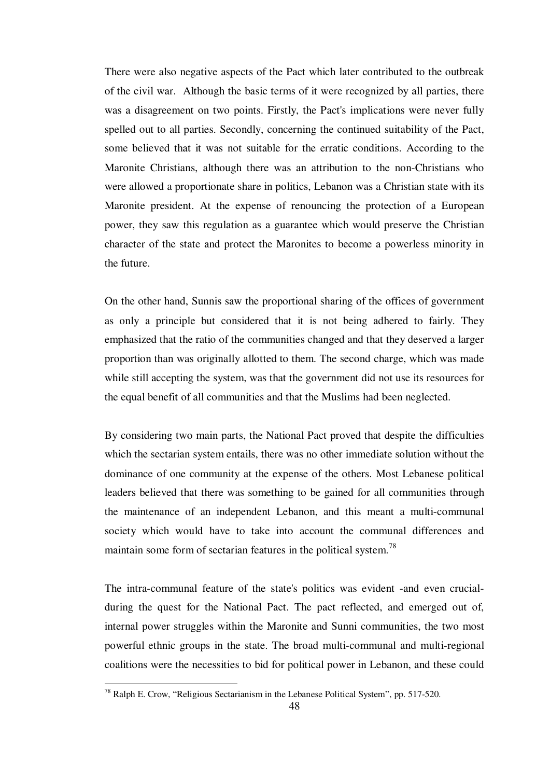There were also negative aspects of the Pact which later contributed to the outbreak of the civil war. Although the basic terms of it were recognized by all parties, there was a disagreement on two points. Firstly, the Pact's implications were never fully spelled out to all parties. Secondly, concerning the continued suitability of the Pact, some believed that it was not suitable for the erratic conditions. According to the Maronite Christians, although there was an attribution to the non-Christians who were allowed a proportionate share in politics, Lebanon was a Christian state with its Maronite president. At the expense of renouncing the protection of a European power, they saw this regulation as a guarantee which would preserve the Christian character of the state and protect the Maronites to become a powerless minority in the future.

On the other hand, Sunnis saw the proportional sharing of the offices of government as only a principle but considered that it is not being adhered to fairly. They emphasized that the ratio of the communities changed and that they deserved a larger proportion than was originally allotted to them. The second charge, which was made while still accepting the system, was that the government did not use its resources for the equal benefit of all communities and that the Muslims had been neglected.

By considering two main parts, the National Pact proved that despite the difficulties which the sectarian system entails, there was no other immediate solution without the dominance of one community at the expense of the others. Most Lebanese political leaders believed that there was something to be gained for all communities through the maintenance of an independent Lebanon, and this meant a multi-communal society which would have to take into account the communal differences and maintain some form of sectarian features in the political system.<sup>78</sup>

The intra-communal feature of the state's politics was evident -and even crucialduring the quest for the National Pact. The pact reflected, and emerged out of, internal power struggles within the Maronite and Sunni communities, the two most powerful ethnic groups in the state. The broad multi-communal and multi-regional coalitions were the necessities to bid for political power in Lebanon, and these could

 $78$  Ralph E. Crow, "Religious Sectarianism in the Lebanese Political System", pp. 517-520.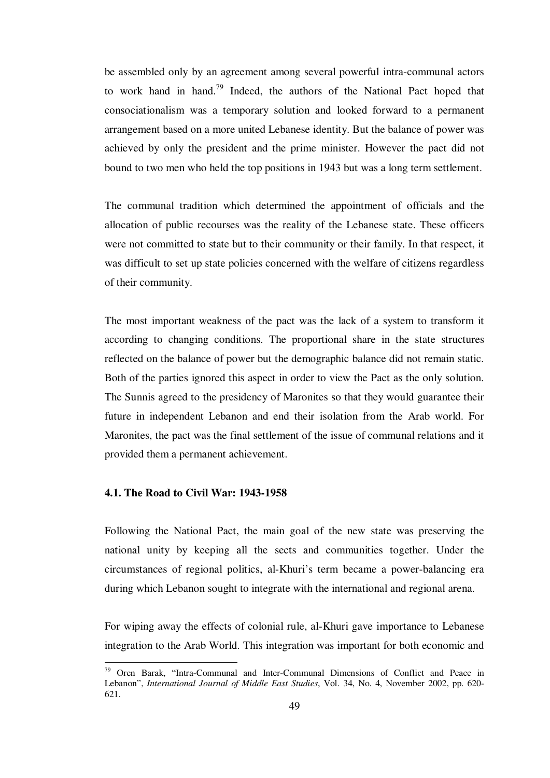be assembled only by an agreement among several powerful intra-communal actors to work hand in hand.<sup>79</sup> Indeed, the authors of the National Pact hoped that consociationalism was a temporary solution and looked forward to a permanent arrangement based on a more united Lebanese identity. But the balance of power was achieved by only the president and the prime minister. However the pact did not bound to two men who held the top positions in 1943 but was a long term settlement.

The communal tradition which determined the appointment of officials and the allocation of public recourses was the reality of the Lebanese state. These officers were not committed to state but to their community or their family. In that respect, it was difficult to set up state policies concerned with the welfare of citizens regardless of their community.

The most important weakness of the pact was the lack of a system to transform it according to changing conditions. The proportional share in the state structures reflected on the balance of power but the demographic balance did not remain static. Both of the parties ignored this aspect in order to view the Pact as the only solution. The Sunnis agreed to the presidency of Maronites so that they would guarantee their future in independent Lebanon and end their isolation from the Arab world. For Maronites, the pact was the final settlement of the issue of communal relations and it provided them a permanent achievement.

#### **4.1. The Road to Civil War: 1943-1958**

<u>.</u>

Following the National Pact, the main goal of the new state was preserving the national unity by keeping all the sects and communities together. Under the circumstances of regional politics, al-Khuri's term became a power-balancing era during which Lebanon sought to integrate with the international and regional arena.

For wiping away the effects of colonial rule, al-Khuri gave importance to Lebanese integration to the Arab World. This integration was important for both economic and

<sup>79</sup> Oren Barak, "Intra-Communal and Inter-Communal Dimensions of Conflict and Peace in Lebanon", *International Journal of Middle East Studies*, Vol. 34, No. 4, November 2002, pp. 620- 621.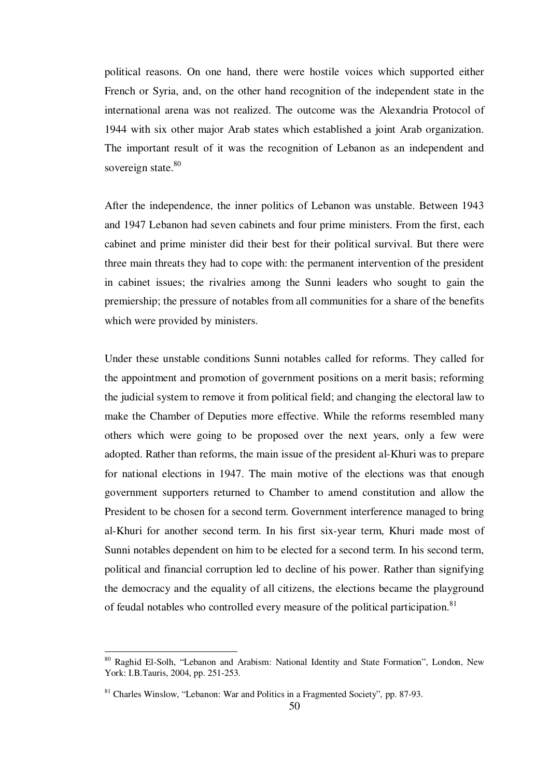political reasons. On one hand, there were hostile voices which supported either French or Syria, and, on the other hand recognition of the independent state in the international arena was not realized. The outcome was the Alexandria Protocol of 1944 with six other major Arab states which established a joint Arab organization. The important result of it was the recognition of Lebanon as an independent and sovereign state.<sup>80</sup>

After the independence, the inner politics of Lebanon was unstable. Between 1943 and 1947 Lebanon had seven cabinets and four prime ministers. From the first, each cabinet and prime minister did their best for their political survival. But there were three main threats they had to cope with: the permanent intervention of the president in cabinet issues; the rivalries among the Sunni leaders who sought to gain the premiership; the pressure of notables from all communities for a share of the benefits which were provided by ministers.

Under these unstable conditions Sunni notables called for reforms. They called for the appointment and promotion of government positions on a merit basis; reforming the judicial system to remove it from political field; and changing the electoral law to make the Chamber of Deputies more effective. While the reforms resembled many others which were going to be proposed over the next years, only a few were adopted. Rather than reforms, the main issue of the president al-Khuri was to prepare for national elections in 1947. The main motive of the elections was that enough government supporters returned to Chamber to amend constitution and allow the President to be chosen for a second term. Government interference managed to bring al-Khuri for another second term. In his first six-year term, Khuri made most of Sunni notables dependent on him to be elected for a second term. In his second term, political and financial corruption led to decline of his power. Rather than signifying the democracy and the equality of all citizens, the elections became the playground of feudal notables who controlled every measure of the political participation.<sup>81</sup>

1

<sup>&</sup>lt;sup>80</sup> Raghid El-Solh, "Lebanon and Arabism: National Identity and State Formation", London, New York: I.B.Tauris, 2004, pp. 251-253.

<sup>81</sup> Charles Winslow, "Lebanon: War and Politics in a Fragmented Society"*,* pp. 87-93.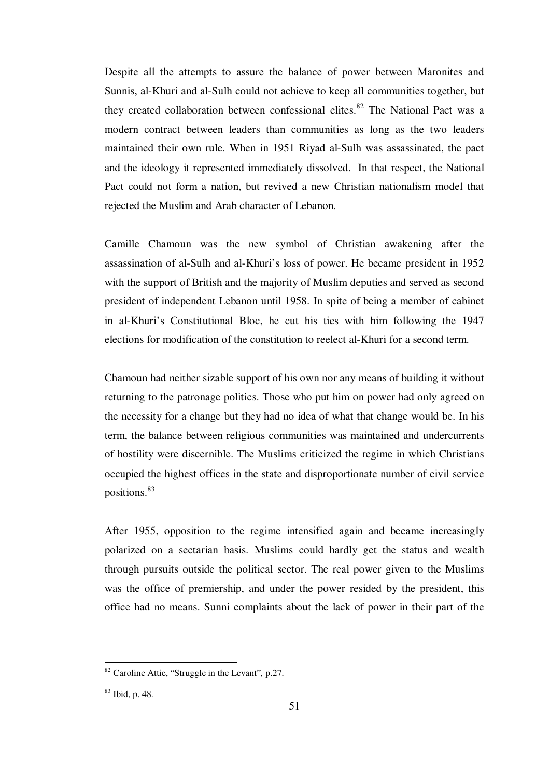Despite all the attempts to assure the balance of power between Maronites and Sunnis, al-Khuri and al-Sulh could not achieve to keep all communities together, but they created collaboration between confessional elites.<sup>82</sup> The National Pact was a modern contract between leaders than communities as long as the two leaders maintained their own rule. When in 1951 Riyad al-Sulh was assassinated, the pact and the ideology it represented immediately dissolved. In that respect, the National Pact could not form a nation, but revived a new Christian nationalism model that rejected the Muslim and Arab character of Lebanon.

Camille Chamoun was the new symbol of Christian awakening after the assassination of al-Sulh and al-Khuri's loss of power. He became president in 1952 with the support of British and the majority of Muslim deputies and served as second president of independent Lebanon until 1958. In spite of being a member of cabinet in al-Khuri's Constitutional Bloc, he cut his ties with him following the 1947 elections for modification of the constitution to reelect al-Khuri for a second term.

Chamoun had neither sizable support of his own nor any means of building it without returning to the patronage politics. Those who put him on power had only agreed on the necessity for a change but they had no idea of what that change would be. In his term, the balance between religious communities was maintained and undercurrents of hostility were discernible. The Muslims criticized the regime in which Christians occupied the highest offices in the state and disproportionate number of civil service positions.<sup>83</sup>

After 1955, opposition to the regime intensified again and became increasingly polarized on a sectarian basis. Muslims could hardly get the status and wealth through pursuits outside the political sector. The real power given to the Muslims was the office of premiership, and under the power resided by the president, this office had no means. Sunni complaints about the lack of power in their part of the

<sup>82</sup> Caroline Attie, "Struggle in the Levant"*,* p.27.

<sup>83</sup> Ibid, p. 48.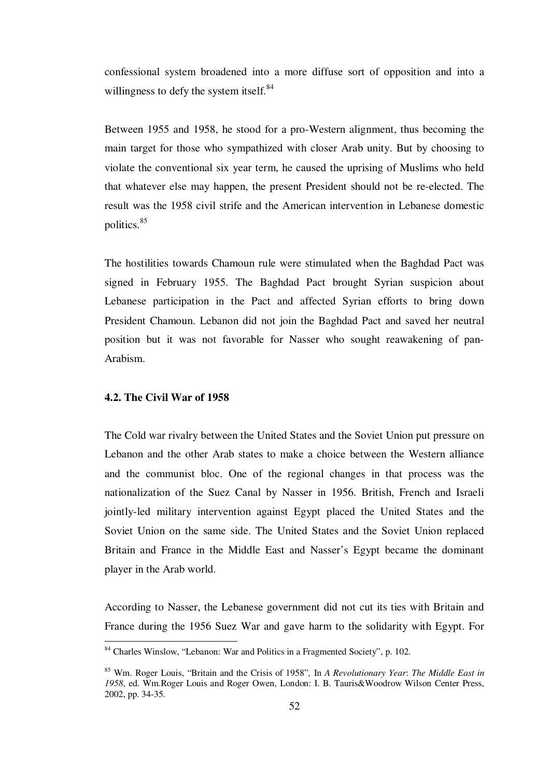confessional system broadened into a more diffuse sort of opposition and into a willingness to defy the system itself.<sup>84</sup>

Between 1955 and 1958, he stood for a pro-Western alignment, thus becoming the main target for those who sympathized with closer Arab unity. But by choosing to violate the conventional six year term, he caused the uprising of Muslims who held that whatever else may happen, the present President should not be re-elected. The result was the 1958 civil strife and the American intervention in Lebanese domestic politics.<sup>85</sup>

The hostilities towards Chamoun rule were stimulated when the Baghdad Pact was signed in February 1955. The Baghdad Pact brought Syrian suspicion about Lebanese participation in the Pact and affected Syrian efforts to bring down President Chamoun. Lebanon did not join the Baghdad Pact and saved her neutral position but it was not favorable for Nasser who sought reawakening of pan-Arabism.

## **4.2. The Civil War of 1958**

<u>.</u>

The Cold war rivalry between the United States and the Soviet Union put pressure on Lebanon and the other Arab states to make a choice between the Western alliance and the communist bloc. One of the regional changes in that process was the nationalization of the Suez Canal by Nasser in 1956. British, French and Israeli jointly-led military intervention against Egypt placed the United States and the Soviet Union on the same side. The United States and the Soviet Union replaced Britain and France in the Middle East and Nasser's Egypt became the dominant player in the Arab world.

According to Nasser, the Lebanese government did not cut its ties with Britain and France during the 1956 Suez War and gave harm to the solidarity with Egypt. For

<sup>84</sup> Charles Winslow, "Lebanon: War and Politics in a Fragmented Society", p. 102.

<sup>85</sup> Wm. Roger Louis, "Britain and the Crisis of 1958"*,* In *A Revolutionary Year*: *The Middle East in 1958*, ed. Wm.Roger Louis and Roger Owen, London: I. B. Tauris&Woodrow Wilson Center Press, 2002, pp. 34-35.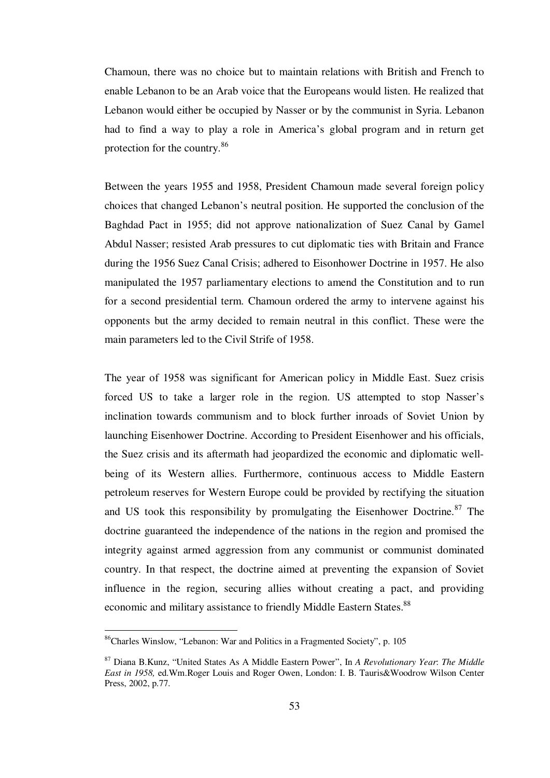Chamoun, there was no choice but to maintain relations with British and French to enable Lebanon to be an Arab voice that the Europeans would listen. He realized that Lebanon would either be occupied by Nasser or by the communist in Syria. Lebanon had to find a way to play a role in America's global program and in return get protection for the country.<sup>86</sup>

Between the years 1955 and 1958, President Chamoun made several foreign policy choices that changed Lebanon's neutral position. He supported the conclusion of the Baghdad Pact in 1955; did not approve nationalization of Suez Canal by Gamel Abdul Nasser; resisted Arab pressures to cut diplomatic ties with Britain and France during the 1956 Suez Canal Crisis; adhered to Eisonhower Doctrine in 1957. He also manipulated the 1957 parliamentary elections to amend the Constitution and to run for a second presidential term. Chamoun ordered the army to intervene against his opponents but the army decided to remain neutral in this conflict. These were the main parameters led to the Civil Strife of 1958.

The year of 1958 was significant for American policy in Middle East. Suez crisis forced US to take a larger role in the region. US attempted to stop Nasser's inclination towards communism and to block further inroads of Soviet Union by launching Eisenhower Doctrine. According to President Eisenhower and his officials, the Suez crisis and its aftermath had jeopardized the economic and diplomatic wellbeing of its Western allies. Furthermore, continuous access to Middle Eastern petroleum reserves for Western Europe could be provided by rectifying the situation and US took this responsibility by promulgating the Eisenhower Doctrine.<sup>87</sup> The doctrine guaranteed the independence of the nations in the region and promised the integrity against armed aggression from any communist or communist dominated country. In that respect, the doctrine aimed at preventing the expansion of Soviet influence in the region, securing allies without creating a pact, and providing economic and military assistance to friendly Middle Eastern States.<sup>88</sup>

<sup>86</sup>Charles Winslow, "Lebanon: War and Politics in a Fragmented Society", p. 105

<sup>87</sup> Diana B.Kunz, "United States As A Middle Eastern Power", In *A Revolutionary Year*: *The Middle East in 1958,* ed.Wm.Roger Louis and Roger Owen, London: I. B. Tauris&Woodrow Wilson Center Press, 2002, p.77.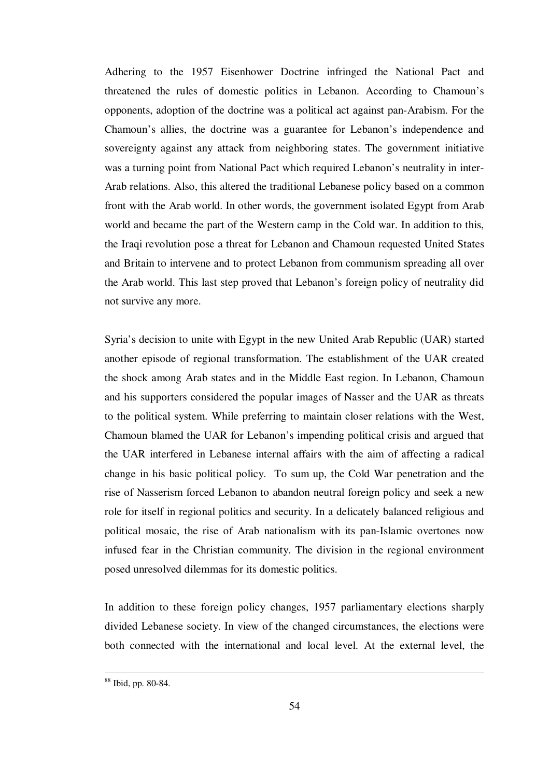Adhering to the 1957 Eisenhower Doctrine infringed the National Pact and threatened the rules of domestic politics in Lebanon. According to Chamoun's opponents, adoption of the doctrine was a political act against pan-Arabism. For the Chamoun's allies, the doctrine was a guarantee for Lebanon's independence and sovereignty against any attack from neighboring states. The government initiative was a turning point from National Pact which required Lebanon's neutrality in inter-Arab relations. Also, this altered the traditional Lebanese policy based on a common front with the Arab world. In other words, the government isolated Egypt from Arab world and became the part of the Western camp in the Cold war. In addition to this, the Iraqi revolution pose a threat for Lebanon and Chamoun requested United States and Britain to intervene and to protect Lebanon from communism spreading all over the Arab world. This last step proved that Lebanon's foreign policy of neutrality did not survive any more.

Syria's decision to unite with Egypt in the new United Arab Republic (UAR) started another episode of regional transformation. The establishment of the UAR created the shock among Arab states and in the Middle East region. In Lebanon, Chamoun and his supporters considered the popular images of Nasser and the UAR as threats to the political system. While preferring to maintain closer relations with the West, Chamoun blamed the UAR for Lebanon's impending political crisis and argued that the UAR interfered in Lebanese internal affairs with the aim of affecting a radical change in his basic political policy. To sum up, the Cold War penetration and the rise of Nasserism forced Lebanon to abandon neutral foreign policy and seek a new role for itself in regional politics and security. In a delicately balanced religious and political mosaic, the rise of Arab nationalism with its pan-Islamic overtones now infused fear in the Christian community. The division in the regional environment posed unresolved dilemmas for its domestic politics.

In addition to these foreign policy changes, 1957 parliamentary elections sharply divided Lebanese society. In view of the changed circumstances, the elections were both connected with the international and local level. At the external level, the

<sup>88</sup> Ibid, pp. 80-84.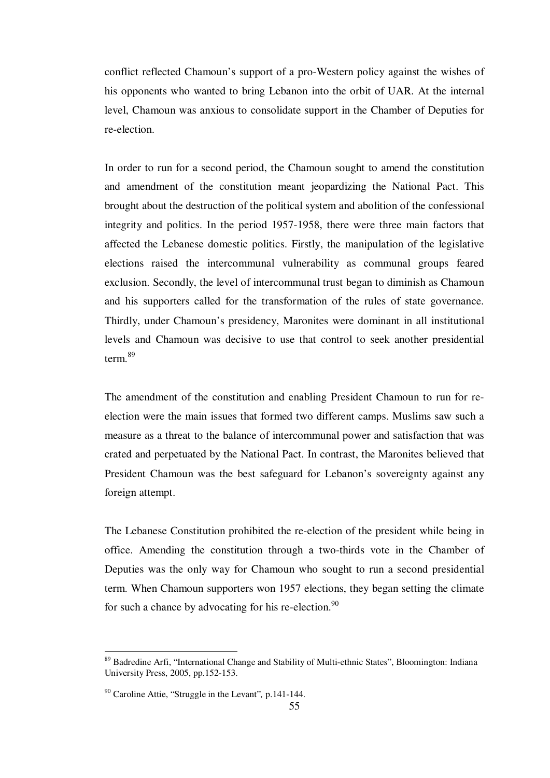conflict reflected Chamoun's support of a pro-Western policy against the wishes of his opponents who wanted to bring Lebanon into the orbit of UAR. At the internal level, Chamoun was anxious to consolidate support in the Chamber of Deputies for re-election.

In order to run for a second period, the Chamoun sought to amend the constitution and amendment of the constitution meant jeopardizing the National Pact. This brought about the destruction of the political system and abolition of the confessional integrity and politics. In the period 1957-1958, there were three main factors that affected the Lebanese domestic politics. Firstly, the manipulation of the legislative elections raised the intercommunal vulnerability as communal groups feared exclusion. Secondly, the level of intercommunal trust began to diminish as Chamoun and his supporters called for the transformation of the rules of state governance. Thirdly, under Chamoun's presidency, Maronites were dominant in all institutional levels and Chamoun was decisive to use that control to seek another presidential term.<sup>89</sup>

The amendment of the constitution and enabling President Chamoun to run for reelection were the main issues that formed two different camps. Muslims saw such a measure as a threat to the balance of intercommunal power and satisfaction that was crated and perpetuated by the National Pact. In contrast, the Maronites believed that President Chamoun was the best safeguard for Lebanon's sovereignty against any foreign attempt.

The Lebanese Constitution prohibited the re-election of the president while being in office. Amending the constitution through a two-thirds vote in the Chamber of Deputies was the only way for Chamoun who sought to run a second presidential term. When Chamoun supporters won 1957 elections, they began setting the climate for such a chance by advocating for his re-election. $90$ 

1

<sup>&</sup>lt;sup>89</sup> Badredine Arfi, "International Change and Stability of Multi-ethnic States", Bloomington: Indiana University Press, 2005, pp.152-153.

<sup>90</sup> Caroline Attie, "Struggle in the Levant"*,* p.141-144.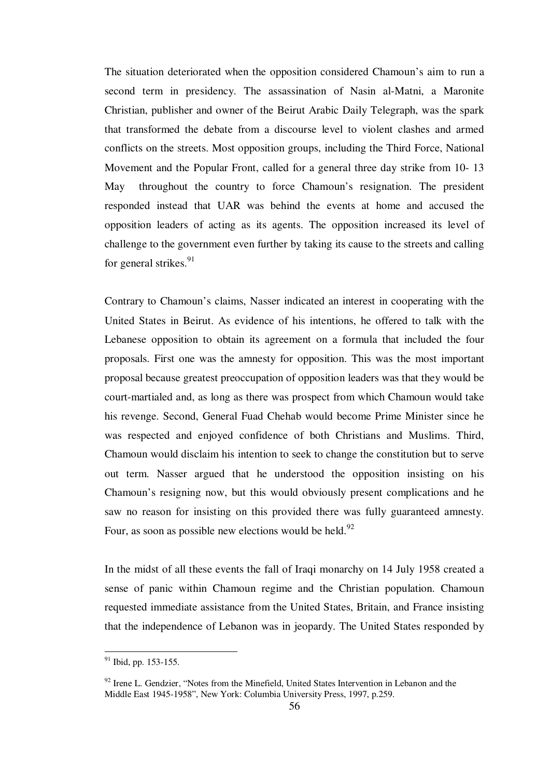The situation deteriorated when the opposition considered Chamoun's aim to run a second term in presidency. The assassination of Nasin al-Matni, a Maronite Christian, publisher and owner of the Beirut Arabic Daily Telegraph, was the spark that transformed the debate from a discourse level to violent clashes and armed conflicts on the streets. Most opposition groups, including the Third Force, National Movement and the Popular Front, called for a general three day strike from 10- 13 May throughout the country to force Chamoun's resignation. The president responded instead that UAR was behind the events at home and accused the opposition leaders of acting as its agents. The opposition increased its level of challenge to the government even further by taking its cause to the streets and calling for general strikes.<sup>91</sup>

Contrary to Chamoun's claims, Nasser indicated an interest in cooperating with the United States in Beirut. As evidence of his intentions, he offered to talk with the Lebanese opposition to obtain its agreement on a formula that included the four proposals. First one was the amnesty for opposition. This was the most important proposal because greatest preoccupation of opposition leaders was that they would be court-martialed and, as long as there was prospect from which Chamoun would take his revenge. Second, General Fuad Chehab would become Prime Minister since he was respected and enjoyed confidence of both Christians and Muslims. Third, Chamoun would disclaim his intention to seek to change the constitution but to serve out term. Nasser argued that he understood the opposition insisting on his Chamoun's resigning now, but this would obviously present complications and he saw no reason for insisting on this provided there was fully guaranteed amnesty. Four, as soon as possible new elections would be held. $92$ 

In the midst of all these events the fall of Iraqi monarchy on 14 July 1958 created a sense of panic within Chamoun regime and the Christian population. Chamoun requested immediate assistance from the United States, Britain, and France insisting that the independence of Lebanon was in jeopardy. The United States responded by

1

 $91$  Ibid, pp. 153-155.

 $92$  Irene L. Gendzier, "Notes from the Minefield, United States Intervention in Lebanon and the Middle East 1945-1958", New York: Columbia University Press, 1997, p.259.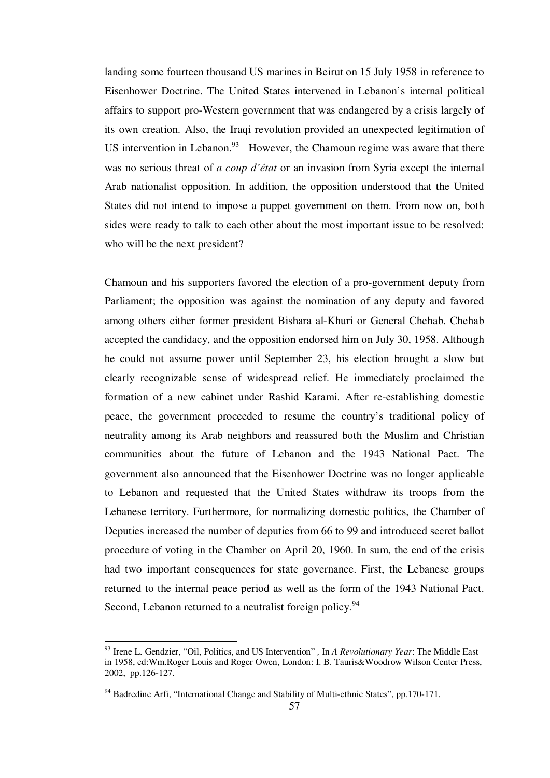landing some fourteen thousand US marines in Beirut on 15 July 1958 in reference to Eisenhower Doctrine. The United States intervened in Lebanon's internal political affairs to support pro-Western government that was endangered by a crisis largely of its own creation. Also, the Iraqi revolution provided an unexpected legitimation of US intervention in Lebanon. $93$  However, the Chamoun regime was aware that there was no serious threat of *a coup d'état* or an invasion from Syria except the internal Arab nationalist opposition. In addition, the opposition understood that the United States did not intend to impose a puppet government on them. From now on, both sides were ready to talk to each other about the most important issue to be resolved: who will be the next president?

Chamoun and his supporters favored the election of a pro-government deputy from Parliament; the opposition was against the nomination of any deputy and favored among others either former president Bishara al-Khuri or General Chehab. Chehab accepted the candidacy, and the opposition endorsed him on July 30, 1958. Although he could not assume power until September 23, his election brought a slow but clearly recognizable sense of widespread relief. He immediately proclaimed the formation of a new cabinet under Rashid Karami. After re-establishing domestic peace, the government proceeded to resume the country's traditional policy of neutrality among its Arab neighbors and reassured both the Muslim and Christian communities about the future of Lebanon and the 1943 National Pact. The government also announced that the Eisenhower Doctrine was no longer applicable to Lebanon and requested that the United States withdraw its troops from the Lebanese territory. Furthermore, for normalizing domestic politics, the Chamber of Deputies increased the number of deputies from 66 to 99 and introduced secret ballot procedure of voting in the Chamber on April 20, 1960. In sum, the end of the crisis had two important consequences for state governance. First, the Lebanese groups returned to the internal peace period as well as the form of the 1943 National Pact. Second, Lebanon returned to a neutralist foreign policy.<sup>94</sup>

<sup>93</sup> Irene L. Gendzier, "Oil, Politics, and US Intervention" *,* In *A Revolutionary Year*: The Middle East in 1958, ed:Wm.Roger Louis and Roger Owen, London: I. B. Tauris&Woodrow Wilson Center Press, 2002, pp.126-127.

 $94$  Badredine Arfi, "International Change and Stability of Multi-ethnic States", pp. 170-171.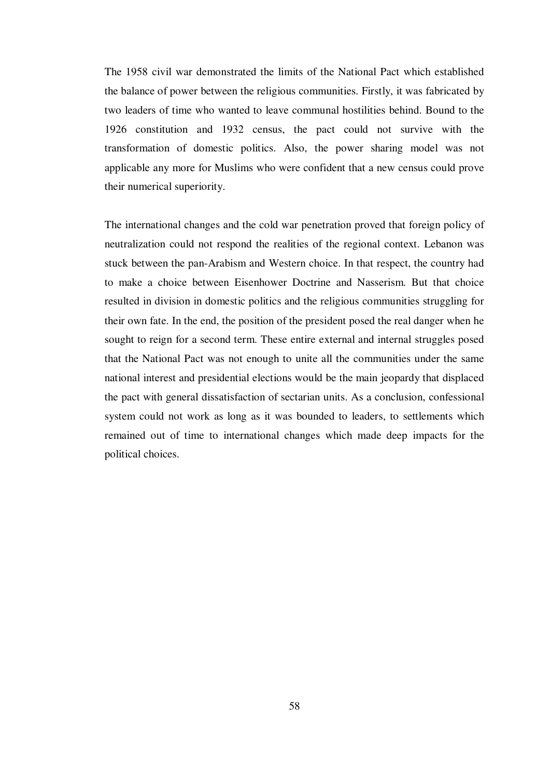The 1958 civil war demonstrated the limits of the National Pact which established the balance of power between the religious communities. Firstly, it was fabricated by two leaders of time who wanted to leave communal hostilities behind. Bound to the 1926 constitution and 1932 census, the pact could not survive with the transformation of domestic politics. Also, the power sharing model was not applicable any more for Muslims who were confident that a new census could prove their numerical superiority.

The international changes and the cold war penetration proved that foreign policy of neutralization could not respond the realities of the regional context. Lebanon was stuck between the pan-Arabism and Western choice. In that respect, the country had to make a choice between Eisenhower Doctrine and Nasserism. But that choice resulted in division in domestic politics and the religious communities struggling for their own fate. In the end, the position of the president posed the real danger when he sought to reign for a second term. These entire external and internal struggles posed that the National Pact was not enough to unite all the communities under the same national interest and presidential elections would be the main jeopardy that displaced the pact with general dissatisfaction of sectarian units. As a conclusion, confessional system could not work as long as it was bounded to leaders, to settlements which remained out of time to international changes which made deep impacts for the political choices.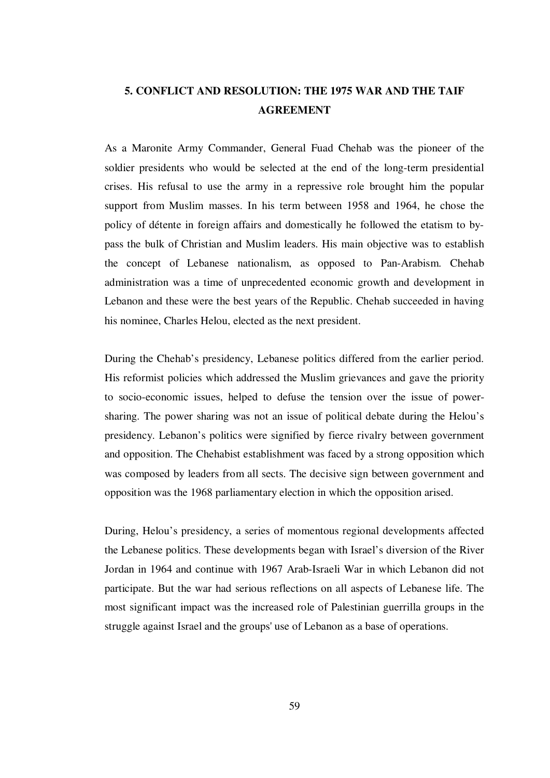# **5. CONFLICT AND RESOLUTION: THE 1975 WAR AND THE TAIF AGREEMENT**

As a Maronite Army Commander, General Fuad Chehab was the pioneer of the soldier presidents who would be selected at the end of the long-term presidential crises. His refusal to use the army in a repressive role brought him the popular support from Muslim masses. In his term between 1958 and 1964, he chose the policy of détente in foreign affairs and domestically he followed the etatism to bypass the bulk of Christian and Muslim leaders. His main objective was to establish the concept of Lebanese nationalism, as opposed to Pan-Arabism. Chehab administration was a time of unprecedented economic growth and development in Lebanon and these were the best years of the Republic. Chehab succeeded in having his nominee, Charles Helou, elected as the next president.

During the Chehab's presidency, Lebanese politics differed from the earlier period. His reformist policies which addressed the Muslim grievances and gave the priority to socio-economic issues, helped to defuse the tension over the issue of powersharing. The power sharing was not an issue of political debate during the Helou's presidency. Lebanon's politics were signified by fierce rivalry between government and opposition. The Chehabist establishment was faced by a strong opposition which was composed by leaders from all sects. The decisive sign between government and opposition was the 1968 parliamentary election in which the opposition arised.

During, Helou's presidency, a series of momentous regional developments affected the Lebanese politics. These developments began with Israel's diversion of the River Jordan in 1964 and continue with 1967 Arab-Israeli War in which Lebanon did not participate. But the war had serious reflections on all aspects of Lebanese life. The most significant impact was the increased role of Palestinian guerrilla groups in the struggle against Israel and the groups' use of Lebanon as a base of operations.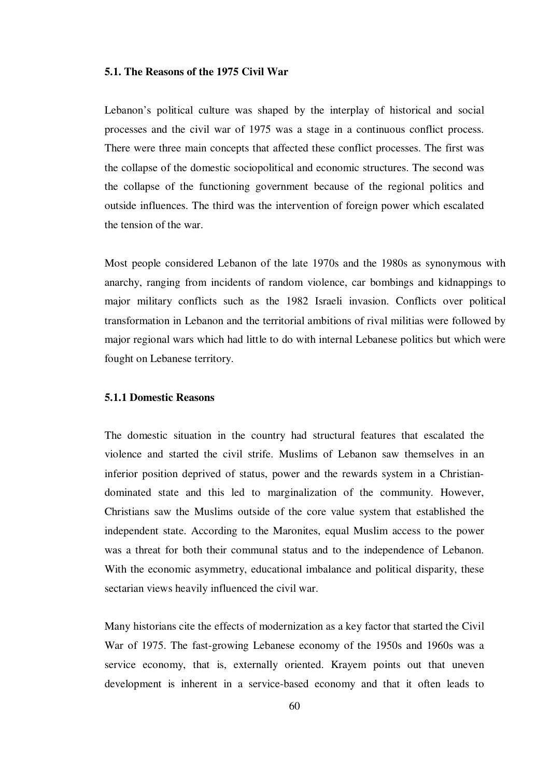# **5.1. The Reasons of the 1975 Civil War**

Lebanon's political culture was shaped by the interplay of historical and social processes and the civil war of 1975 was a stage in a continuous conflict process. There were three main concepts that affected these conflict processes. The first was the collapse of the domestic sociopolitical and economic structures. The second was the collapse of the functioning government because of the regional politics and outside influences. The third was the intervention of foreign power which escalated the tension of the war.

Most people considered Lebanon of the late 1970s and the 1980s as synonymous with anarchy, ranging from incidents of random violence, car bombings and kidnappings to major military conflicts such as the 1982 Israeli invasion. Conflicts over political transformation in Lebanon and the territorial ambitions of rival militias were followed by major regional wars which had little to do with internal Lebanese politics but which were fought on Lebanese territory.

# **5.1.1 Domestic Reasons**

The domestic situation in the country had structural features that escalated the violence and started the civil strife. Muslims of Lebanon saw themselves in an inferior position deprived of status, power and the rewards system in a Christiandominated state and this led to marginalization of the community. However, Christians saw the Muslims outside of the core value system that established the independent state. According to the Maronites, equal Muslim access to the power was a threat for both their communal status and to the independence of Lebanon. With the economic asymmetry, educational imbalance and political disparity, these sectarian views heavily influenced the civil war.

Many historians cite the effects of modernization as a key factor that started the Civil War of 1975. The fast-growing Lebanese economy of the 1950s and 1960s was a service economy, that is, externally oriented. Krayem points out that uneven development is inherent in a service-based economy and that it often leads to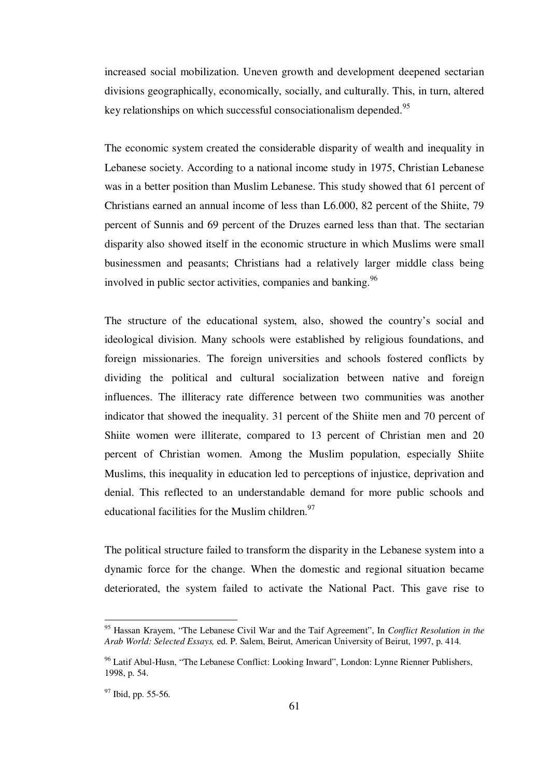increased social mobilization. Uneven growth and development deepened sectarian divisions geographically, economically, socially, and culturally. This, in turn, altered key relationships on which successful consociationalism depended.<sup>95</sup>

The economic system created the considerable disparity of wealth and inequality in Lebanese society. According to a national income study in 1975, Christian Lebanese was in a better position than Muslim Lebanese. This study showed that 61 percent of Christians earned an annual income of less than L6.000, 82 percent of the Shiite, 79 percent of Sunnis and 69 percent of the Druzes earned less than that. The sectarian disparity also showed itself in the economic structure in which Muslims were small businessmen and peasants; Christians had a relatively larger middle class being involved in public sector activities, companies and banking.<sup>96</sup>

The structure of the educational system, also, showed the country's social and ideological division. Many schools were established by religious foundations, and foreign missionaries. The foreign universities and schools fostered conflicts by dividing the political and cultural socialization between native and foreign influences. The illiteracy rate difference between two communities was another indicator that showed the inequality. 31 percent of the Shiite men and 70 percent of Shiite women were illiterate, compared to 13 percent of Christian men and 20 percent of Christian women. Among the Muslim population, especially Shiite Muslims, this inequality in education led to perceptions of injustice, deprivation and denial. This reflected to an understandable demand for more public schools and educational facilities for the Muslim children.  $97$ 

The political structure failed to transform the disparity in the Lebanese system into a dynamic force for the change. When the domestic and regional situation became deteriorated, the system failed to activate the National Pact. This gave rise to

<sup>95</sup> Hassan Krayem, "The Lebanese Civil War and the Taif Agreement", In *Conflict Resolution in the Arab World: Selected Essays,* ed. P. Salem, Beirut, American University of Beirut, 1997, p. 414.

 $96$  Latif Abul-Husn, "The Lebanese Conflict: Looking Inward", London: Lynne Rienner Publishers, 1998, p. 54.

<sup>&</sup>lt;sup>97</sup> Ibid, pp. 55-56.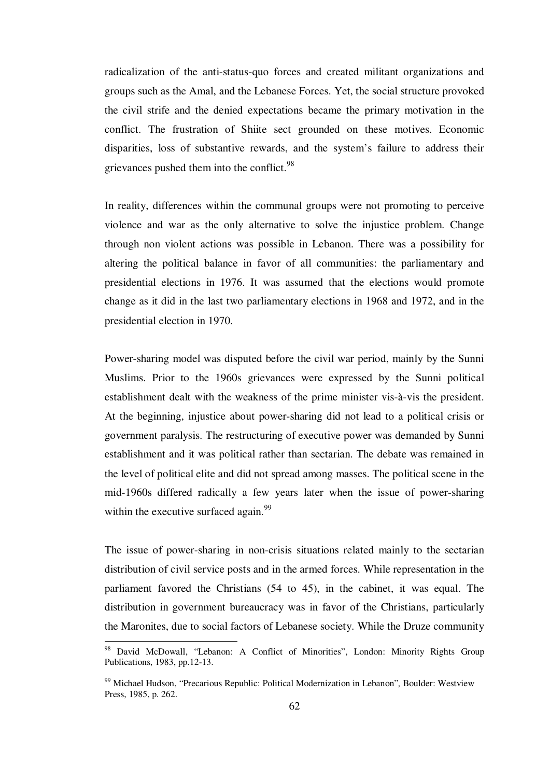radicalization of the anti-status-quo forces and created militant organizations and groups such as the Amal, and the Lebanese Forces. Yet, the social structure provoked the civil strife and the denied expectations became the primary motivation in the conflict. The frustration of Shiite sect grounded on these motives. Economic disparities, loss of substantive rewards, and the system's failure to address their grievances pushed them into the conflict.<sup>98</sup>

In reality, differences within the communal groups were not promoting to perceive violence and war as the only alternative to solve the injustice problem. Change through non violent actions was possible in Lebanon. There was a possibility for altering the political balance in favor of all communities: the parliamentary and presidential elections in 1976. It was assumed that the elections would promote change as it did in the last two parliamentary elections in 1968 and 1972, and in the presidential election in 1970.

Power-sharing model was disputed before the civil war period, mainly by the Sunni Muslims. Prior to the 1960s grievances were expressed by the Sunni political establishment dealt with the weakness of the prime minister vis-à-vis the president. At the beginning, injustice about power-sharing did not lead to a political crisis or government paralysis. The restructuring of executive power was demanded by Sunni establishment and it was political rather than sectarian. The debate was remained in the level of political elite and did not spread among masses. The political scene in the mid-1960s differed radically a few years later when the issue of power-sharing within the executive surfaced again.  $99$ 

The issue of power-sharing in non-crisis situations related mainly to the sectarian distribution of civil service posts and in the armed forces. While representation in the parliament favored the Christians (54 to 45), in the cabinet, it was equal. The distribution in government bureaucracy was in favor of the Christians, particularly the Maronites, due to social factors of Lebanese society. While the Druze community

<sup>98</sup> David McDowall, "Lebanon: A Conflict of Minorities", London: Minority Rights Group Publications, 1983, pp.12-13.

<sup>99</sup> Michael Hudson, "Precarious Republic: Political Modernization in Lebanon"*,* Boulder: Westview Press, 1985, p. 262.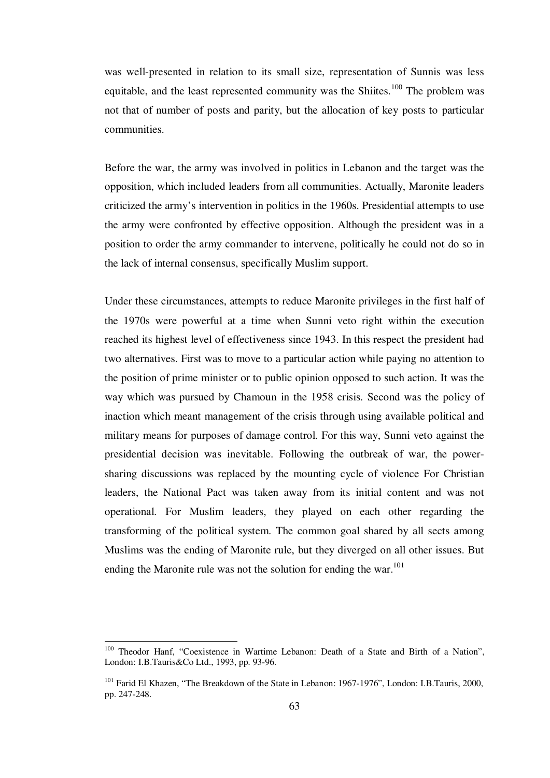was well-presented in relation to its small size, representation of Sunnis was less equitable, and the least represented community was the Shiites.<sup>100</sup> The problem was not that of number of posts and parity, but the allocation of key posts to particular communities.

Before the war, the army was involved in politics in Lebanon and the target was the opposition, which included leaders from all communities. Actually, Maronite leaders criticized the army's intervention in politics in the 1960s. Presidential attempts to use the army were confronted by effective opposition. Although the president was in a position to order the army commander to intervene, politically he could not do so in the lack of internal consensus, specifically Muslim support.

Under these circumstances, attempts to reduce Maronite privileges in the first half of the 1970s were powerful at a time when Sunni veto right within the execution reached its highest level of effectiveness since 1943. In this respect the president had two alternatives. First was to move to a particular action while paying no attention to the position of prime minister or to public opinion opposed to such action. It was the way which was pursued by Chamoun in the 1958 crisis. Second was the policy of inaction which meant management of the crisis through using available political and military means for purposes of damage control. For this way, Sunni veto against the presidential decision was inevitable. Following the outbreak of war, the powersharing discussions was replaced by the mounting cycle of violence For Christian leaders, the National Pact was taken away from its initial content and was not operational. For Muslim leaders, they played on each other regarding the transforming of the political system. The common goal shared by all sects among Muslims was the ending of Maronite rule, but they diverged on all other issues. But ending the Maronite rule was not the solution for ending the war.<sup>101</sup>

<sup>&</sup>lt;sup>100</sup> Theodor Hanf, "Coexistence in Wartime Lebanon: Death of a State and Birth of a Nation", London: I.B.Tauris&Co Ltd., 1993, pp. 93-96.

<sup>101</sup> Farid El Khazen, "The Breakdown of the State in Lebanon: 1967-1976", London: I.B.Tauris, 2000, pp. 247-248.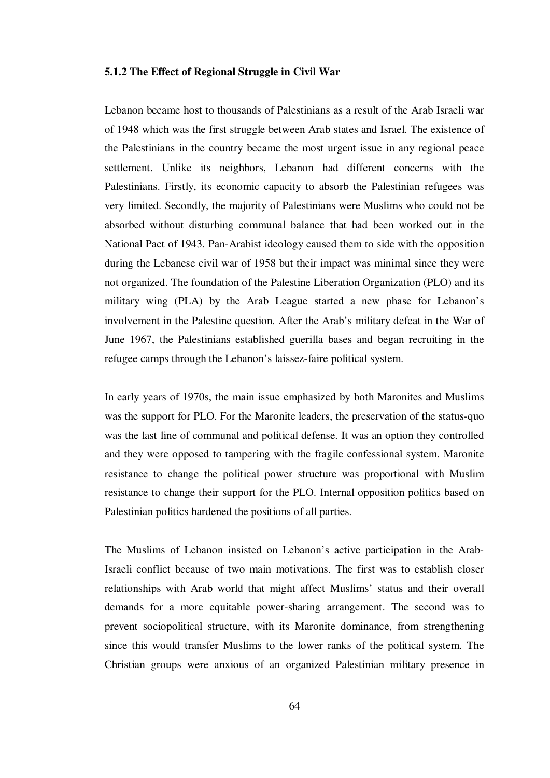#### **5.1.2 The Effect of Regional Struggle in Civil War**

Lebanon became host to thousands of Palestinians as a result of the Arab Israeli war of 1948 which was the first struggle between Arab states and Israel. The existence of the Palestinians in the country became the most urgent issue in any regional peace settlement. Unlike its neighbors, Lebanon had different concerns with the Palestinians. Firstly, its economic capacity to absorb the Palestinian refugees was very limited. Secondly, the majority of Palestinians were Muslims who could not be absorbed without disturbing communal balance that had been worked out in the National Pact of 1943. Pan-Arabist ideology caused them to side with the opposition during the Lebanese civil war of 1958 but their impact was minimal since they were not organized. The foundation of the Palestine Liberation Organization (PLO) and its military wing (PLA) by the Arab League started a new phase for Lebanon's involvement in the Palestine question. After the Arab's military defeat in the War of June 1967, the Palestinians established guerilla bases and began recruiting in the refugee camps through the Lebanon's laissez-faire political system.

In early years of 1970s, the main issue emphasized by both Maronites and Muslims was the support for PLO. For the Maronite leaders, the preservation of the status-quo was the last line of communal and political defense. It was an option they controlled and they were opposed to tampering with the fragile confessional system. Maronite resistance to change the political power structure was proportional with Muslim resistance to change their support for the PLO. Internal opposition politics based on Palestinian politics hardened the positions of all parties.

The Muslims of Lebanon insisted on Lebanon's active participation in the Arab-Israeli conflict because of two main motivations. The first was to establish closer relationships with Arab world that might affect Muslims' status and their overall demands for a more equitable power-sharing arrangement. The second was to prevent sociopolitical structure, with its Maronite dominance, from strengthening since this would transfer Muslims to the lower ranks of the political system. The Christian groups were anxious of an organized Palestinian military presence in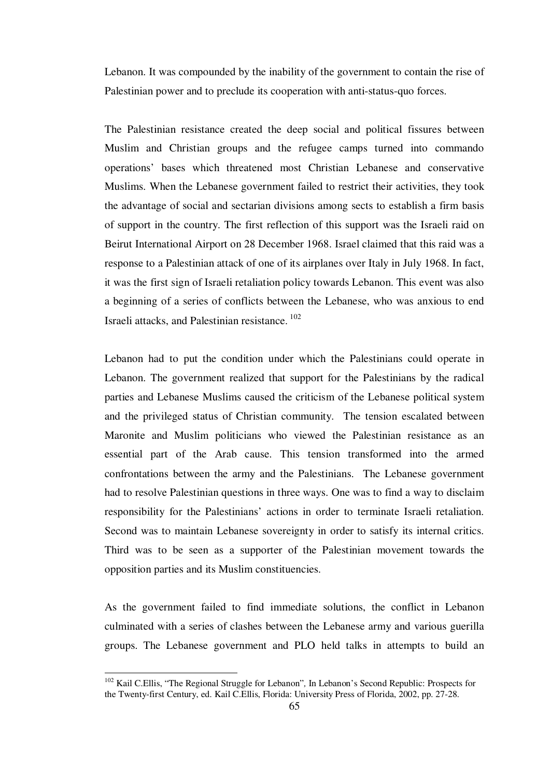Lebanon. It was compounded by the inability of the government to contain the rise of Palestinian power and to preclude its cooperation with anti-status-quo forces.

The Palestinian resistance created the deep social and political fissures between Muslim and Christian groups and the refugee camps turned into commando operations' bases which threatened most Christian Lebanese and conservative Muslims. When the Lebanese government failed to restrict their activities, they took the advantage of social and sectarian divisions among sects to establish a firm basis of support in the country. The first reflection of this support was the Israeli raid on Beirut International Airport on 28 December 1968. Israel claimed that this raid was a response to a Palestinian attack of one of its airplanes over Italy in July 1968. In fact, it was the first sign of Israeli retaliation policy towards Lebanon. This event was also a beginning of a series of conflicts between the Lebanese, who was anxious to end Israeli attacks, and Palestinian resistance.<sup>102</sup>

Lebanon had to put the condition under which the Palestinians could operate in Lebanon. The government realized that support for the Palestinians by the radical parties and Lebanese Muslims caused the criticism of the Lebanese political system and the privileged status of Christian community. The tension escalated between Maronite and Muslim politicians who viewed the Palestinian resistance as an essential part of the Arab cause. This tension transformed into the armed confrontations between the army and the Palestinians. The Lebanese government had to resolve Palestinian questions in three ways. One was to find a way to disclaim responsibility for the Palestinians' actions in order to terminate Israeli retaliation. Second was to maintain Lebanese sovereignty in order to satisfy its internal critics. Third was to be seen as a supporter of the Palestinian movement towards the opposition parties and its Muslim constituencies.

As the government failed to find immediate solutions, the conflict in Lebanon culminated with a series of clashes between the Lebanese army and various guerilla groups. The Lebanese government and PLO held talks in attempts to build an

<sup>102</sup> Kail C.Ellis, "The Regional Struggle for Lebanon"*,* In Lebanon's Second Republic: Prospects for the Twenty-first Century, ed. Kail C.Ellis, Florida: University Press of Florida, 2002, pp. 27-28.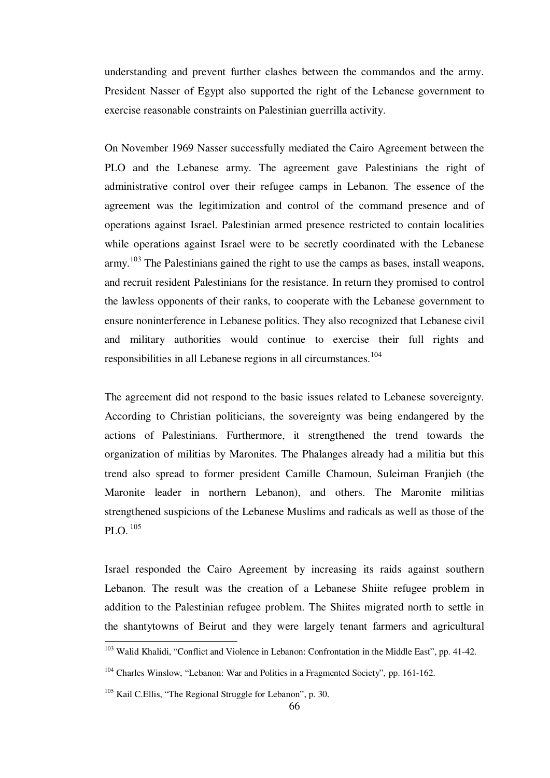understanding and prevent further clashes between the commandos and the army. President Nasser of Egypt also supported the right of the Lebanese government to exercise reasonable constraints on Palestinian guerrilla activity.

On November 1969 Nasser successfully mediated the Cairo Agreement between the PLO and the Lebanese army. The agreement gave Palestinians the right of administrative control over their refugee camps in Lebanon. The essence of the agreement was the legitimization and control of the command presence and of operations against Israel. Palestinian armed presence restricted to contain localities while operations against Israel were to be secretly coordinated with the Lebanese army.<sup>103</sup> The Palestinians gained the right to use the camps as bases, install weapons, and recruit resident Palestinians for the resistance. In return they promised to control the lawless opponents of their ranks, to cooperate with the Lebanese government to ensure noninterference in Lebanese politics. They also recognized that Lebanese civil and military authorities would continue to exercise their full rights and responsibilities in all Lebanese regions in all circumstances.<sup>104</sup>

The agreement did not respond to the basic issues related to Lebanese sovereignty. According to Christian politicians, the sovereignty was being endangered by the actions of Palestinians. Furthermore, it strengthened the trend towards the organization of militias by Maronites. The Phalanges already had a militia but this trend also spread to former president Camille Chamoun, Suleiman Franjieh (the Maronite leader in northern Lebanon), and others. The Maronite militias strengthened suspicions of the Lebanese Muslims and radicals as well as those of the PLO.<sup>105</sup>

Israel responded the Cairo Agreement by increasing its raids against southern Lebanon. The result was the creation of a Lebanese Shiite refugee problem in addition to the Palestinian refugee problem. The Shiites migrated north to settle in the shantytowns of Beirut and they were largely tenant farmers and agricultural

<sup>&</sup>lt;sup>103</sup> Walid Khalidi, "Conflict and Violence in Lebanon: Confrontation in the Middle East", pp. 41-42.

<sup>104</sup> Charles Winslow, "Lebanon: War and Politics in a Fragmented Society"*,* pp. 161-162.

<sup>&</sup>lt;sup>105</sup> Kail C.Ellis, "The Regional Struggle for Lebanon", p. 30.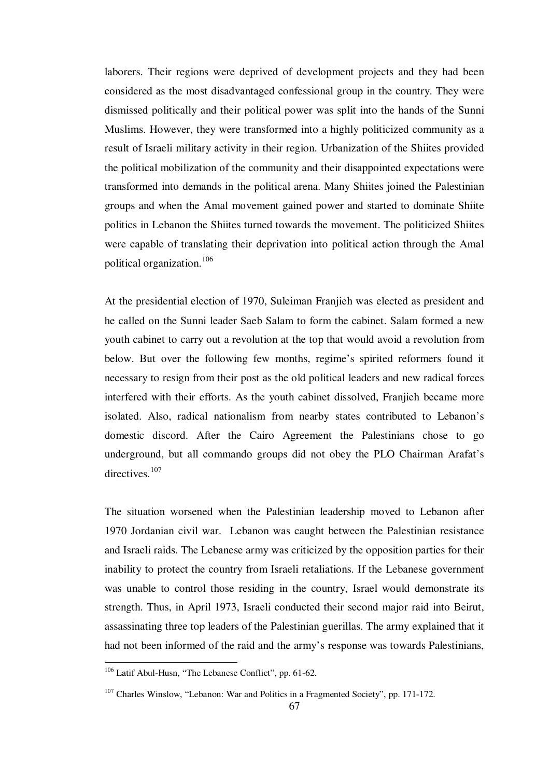laborers. Their regions were deprived of development projects and they had been considered as the most disadvantaged confessional group in the country. They were dismissed politically and their political power was split into the hands of the Sunni Muslims. However, they were transformed into a highly politicized community as a result of Israeli military activity in their region. Urbanization of the Shiites provided the political mobilization of the community and their disappointed expectations were transformed into demands in the political arena. Many Shiites joined the Palestinian groups and when the Amal movement gained power and started to dominate Shiite politics in Lebanon the Shiites turned towards the movement. The politicized Shiites were capable of translating their deprivation into political action through the Amal political organization.<sup>106</sup>

At the presidential election of 1970, Suleiman Franjieh was elected as president and he called on the Sunni leader Saeb Salam to form the cabinet. Salam formed a new youth cabinet to carry out a revolution at the top that would avoid a revolution from below. But over the following few months, regime's spirited reformers found it necessary to resign from their post as the old political leaders and new radical forces interfered with their efforts. As the youth cabinet dissolved, Franjieh became more isolated. Also, radical nationalism from nearby states contributed to Lebanon's domestic discord. After the Cairo Agreement the Palestinians chose to go underground, but all commando groups did not obey the PLO Chairman Arafat's directives.<sup>107</sup>

The situation worsened when the Palestinian leadership moved to Lebanon after 1970 Jordanian civil war. Lebanon was caught between the Palestinian resistance and Israeli raids. The Lebanese army was criticized by the opposition parties for their inability to protect the country from Israeli retaliations. If the Lebanese government was unable to control those residing in the country, Israel would demonstrate its strength. Thus, in April 1973, Israeli conducted their second major raid into Beirut, assassinating three top leaders of the Palestinian guerillas. The army explained that it had not been informed of the raid and the army's response was towards Palestinians,

<sup>106</sup> Latif Abul-Husn, "The Lebanese Conflict", pp. 61-62.

 $107$  Charles Winslow, "Lebanon: War and Politics in a Fragmented Society", pp. 171-172.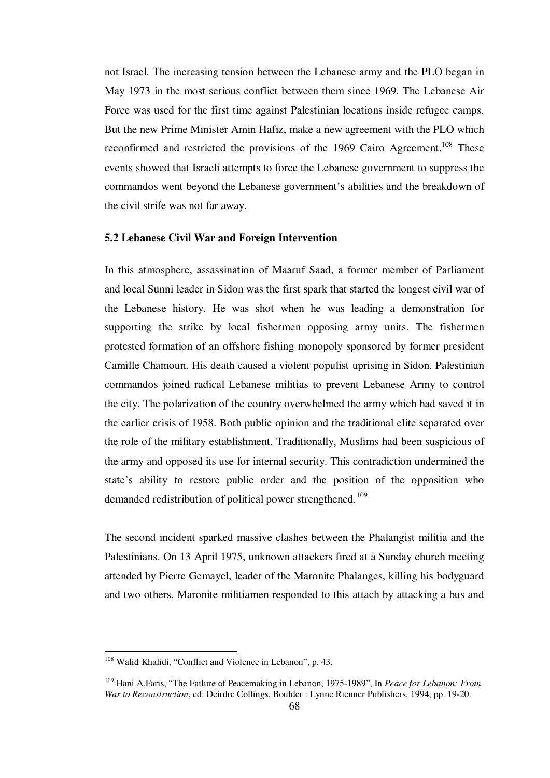not Israel. The increasing tension between the Lebanese army and the PLO began in May 1973 in the most serious conflict between them since 1969. The Lebanese Air Force was used for the first time against Palestinian locations inside refugee camps. But the new Prime Minister Amin Hafiz, make a new agreement with the PLO which reconfirmed and restricted the provisions of the 1969 Cairo Agreement.<sup>108</sup> These events showed that Israeli attempts to force the Lebanese government to suppress the commandos went beyond the Lebanese government's abilities and the breakdown of the civil strife was not far away.

# **5.2 Lebanese Civil War and Foreign Intervention**

In this atmosphere, assassination of Maaruf Saad, a former member of Parliament and local Sunni leader in Sidon was the first spark that started the longest civil war of the Lebanese history. He was shot when he was leading a demonstration for supporting the strike by local fishermen opposing army units. The fishermen protested formation of an offshore fishing monopoly sponsored by former president Camille Chamoun. His death caused a violent populist uprising in Sidon. Palestinian commandos joined radical Lebanese militias to prevent Lebanese Army to control the city. The polarization of the country overwhelmed the army which had saved it in the earlier crisis of 1958. Both public opinion and the traditional elite separated over the role of the military establishment. Traditionally, Muslims had been suspicious of the army and opposed its use for internal security. This contradiction undermined the state's ability to restore public order and the position of the opposition who demanded redistribution of political power strengthened.<sup>109</sup>

The second incident sparked massive clashes between the Phalangist militia and the Palestinians. On 13 April 1975, unknown attackers fired at a Sunday church meeting attended by Pierre Gemayel, leader of the Maronite Phalanges, killing his bodyguard and two others. Maronite militiamen responded to this attach by attacking a bus and

1

<sup>&</sup>lt;sup>108</sup> Walid Khalidi, "Conflict and Violence in Lebanon", p. 43.

<sup>109</sup> Hani A.Faris, "The Failure of Peacemaking in Lebanon, 1975-1989", In *Peace for Lebanon: From War to Reconstruction*, ed: Deirdre Collings, Boulder : Lynne Rienner Publishers, 1994, pp. 19-20.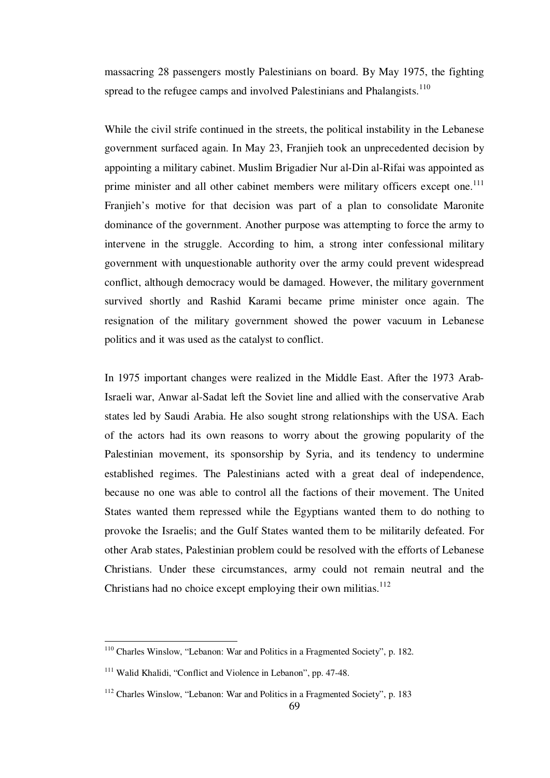massacring 28 passengers mostly Palestinians on board. By May 1975, the fighting spread to the refugee camps and involved Palestinians and Phalangists.<sup>110</sup>

While the civil strife continued in the streets, the political instability in the Lebanese government surfaced again. In May 23, Franjieh took an unprecedented decision by appointing a military cabinet. Muslim Brigadier Nur al-Din al-Rifai was appointed as prime minister and all other cabinet members were military officers except one.<sup>111</sup> Franjieh's motive for that decision was part of a plan to consolidate Maronite dominance of the government. Another purpose was attempting to force the army to intervene in the struggle. According to him, a strong inter confessional military government with unquestionable authority over the army could prevent widespread conflict, although democracy would be damaged. However, the military government survived shortly and Rashid Karami became prime minister once again. The resignation of the military government showed the power vacuum in Lebanese politics and it was used as the catalyst to conflict.

In 1975 important changes were realized in the Middle East. After the 1973 Arab-Israeli war, Anwar al-Sadat left the Soviet line and allied with the conservative Arab states led by Saudi Arabia. He also sought strong relationships with the USA. Each of the actors had its own reasons to worry about the growing popularity of the Palestinian movement, its sponsorship by Syria, and its tendency to undermine established regimes. The Palestinians acted with a great deal of independence, because no one was able to control all the factions of their movement. The United States wanted them repressed while the Egyptians wanted them to do nothing to provoke the Israelis; and the Gulf States wanted them to be militarily defeated. For other Arab states, Palestinian problem could be resolved with the efforts of Lebanese Christians. Under these circumstances, army could not remain neutral and the Christians had no choice except employing their own militias. $112$ 

<sup>110</sup> Charles Winslow, "Lebanon: War and Politics in a Fragmented Society", p. 182.

<sup>111</sup> Walid Khalidi, "Conflict and Violence in Lebanon", pp. 47-48.

<sup>&</sup>lt;sup>112</sup> Charles Winslow, "Lebanon: War and Politics in a Fragmented Society", p. 183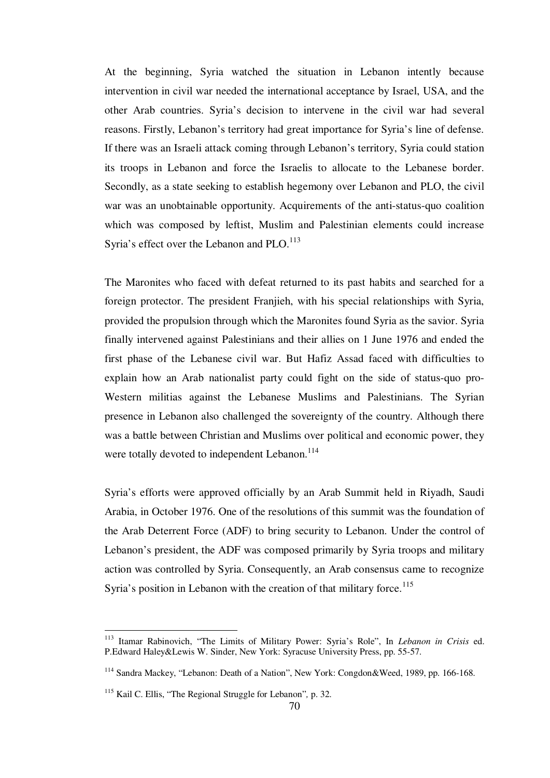At the beginning, Syria watched the situation in Lebanon intently because intervention in civil war needed the international acceptance by Israel, USA, and the other Arab countries. Syria's decision to intervene in the civil war had several reasons. Firstly, Lebanon's territory had great importance for Syria's line of defense. If there was an Israeli attack coming through Lebanon's territory, Syria could station its troops in Lebanon and force the Israelis to allocate to the Lebanese border. Secondly, as a state seeking to establish hegemony over Lebanon and PLO, the civil war was an unobtainable opportunity. Acquirements of the anti-status-quo coalition which was composed by leftist, Muslim and Palestinian elements could increase Syria's effect over the Lebanon and PLO.<sup>113</sup>

The Maronites who faced with defeat returned to its past habits and searched for a foreign protector. The president Franjieh, with his special relationships with Syria, provided the propulsion through which the Maronites found Syria as the savior. Syria finally intervened against Palestinians and their allies on 1 June 1976 and ended the first phase of the Lebanese civil war. But Hafiz Assad faced with difficulties to explain how an Arab nationalist party could fight on the side of status-quo pro-Western militias against the Lebanese Muslims and Palestinians. The Syrian presence in Lebanon also challenged the sovereignty of the country. Although there was a battle between Christian and Muslims over political and economic power, they were totally devoted to independent Lebanon.<sup>114</sup>

Syria's efforts were approved officially by an Arab Summit held in Riyadh, Saudi Arabia, in October 1976. One of the resolutions of this summit was the foundation of the Arab Deterrent Force (ADF) to bring security to Lebanon. Under the control of Lebanon's president, the ADF was composed primarily by Syria troops and military action was controlled by Syria. Consequently, an Arab consensus came to recognize Syria's position in Lebanon with the creation of that military force.<sup>115</sup>

<sup>113</sup> Itamar Rabinovich, "The Limits of Military Power: Syria's Role", In *Lebanon in Crisis* ed. P.Edward Haley&Lewis W. Sinder, New York: Syracuse University Press, pp. 55-57.

<sup>114</sup> Sandra Mackey, "Lebanon: Death of a Nation", New York: Congdon&Weed, 1989, pp. 166-168.

<sup>115</sup> Kail C. Ellis, "The Regional Struggle for Lebanon"*,* p. 32.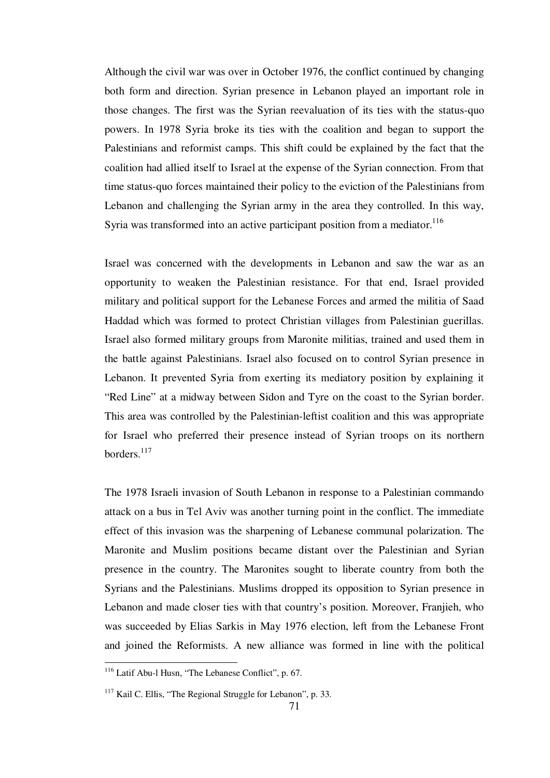Although the civil war was over in October 1976, the conflict continued by changing both form and direction. Syrian presence in Lebanon played an important role in those changes. The first was the Syrian reevaluation of its ties with the status-quo powers. In 1978 Syria broke its ties with the coalition and began to support the Palestinians and reformist camps. This shift could be explained by the fact that the coalition had allied itself to Israel at the expense of the Syrian connection. From that time status-quo forces maintained their policy to the eviction of the Palestinians from Lebanon and challenging the Syrian army in the area they controlled. In this way, Syria was transformed into an active participant position from a mediator.<sup>116</sup>

Israel was concerned with the developments in Lebanon and saw the war as an opportunity to weaken the Palestinian resistance. For that end, Israel provided military and political support for the Lebanese Forces and armed the militia of Saad Haddad which was formed to protect Christian villages from Palestinian guerillas. Israel also formed military groups from Maronite militias, trained and used them in the battle against Palestinians. Israel also focused on to control Syrian presence in Lebanon. It prevented Syria from exerting its mediatory position by explaining it "Red Line" at a midway between Sidon and Tyre on the coast to the Syrian border. This area was controlled by the Palestinian-leftist coalition and this was appropriate for Israel who preferred their presence instead of Syrian troops on its northern borders.<sup>117</sup>

The 1978 Israeli invasion of South Lebanon in response to a Palestinian commando attack on a bus in Tel Aviv was another turning point in the conflict. The immediate effect of this invasion was the sharpening of Lebanese communal polarization. The Maronite and Muslim positions became distant over the Palestinian and Syrian presence in the country. The Maronites sought to liberate country from both the Syrians and the Palestinians. Muslims dropped its opposition to Syrian presence in Lebanon and made closer ties with that country's position. Moreover, Franjieh, who was succeeded by Elias Sarkis in May 1976 election, left from the Lebanese Front and joined the Reformists. A new alliance was formed in line with the political

<sup>116</sup> Latif Abu-l Husn, "The Lebanese Conflict", p. 67.

<sup>&</sup>lt;sup>117</sup> Kail C. Ellis, "The Regional Struggle for Lebanon", p. 33.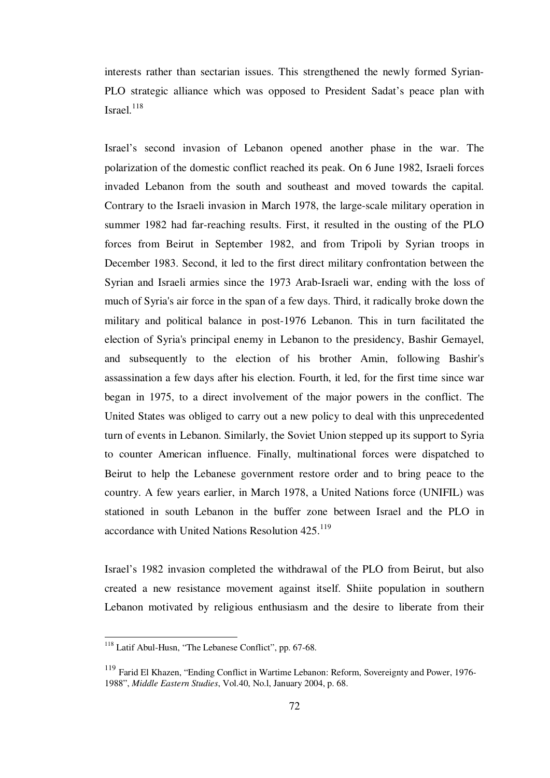interests rather than sectarian issues. This strengthened the newly formed Syrian-PLO strategic alliance which was opposed to President Sadat's peace plan with Israel.<sup>118</sup>

Israel's second invasion of Lebanon opened another phase in the war. The polarization of the domestic conflict reached its peak. On 6 June 1982, Israeli forces invaded Lebanon from the south and southeast and moved towards the capital. Contrary to the Israeli invasion in March 1978, the large-scale military operation in summer 1982 had far-reaching results. First, it resulted in the ousting of the PLO forces from Beirut in September 1982, and from Tripoli by Syrian troops in December 1983. Second, it led to the first direct military confrontation between the Syrian and Israeli armies since the 1973 Arab-Israeli war, ending with the loss of much of Syria's air force in the span of a few days. Third, it radically broke down the military and political balance in post-1976 Lebanon. This in turn facilitated the election of Syria's principal enemy in Lebanon to the presidency, Bashir Gemayel, and subsequently to the election of his brother Amin, following Bashir's assassination a few days after his election. Fourth, it led, for the first time since war began in 1975, to a direct involvement of the major powers in the conflict. The United States was obliged to carry out a new policy to deal with this unprecedented turn of events in Lebanon. Similarly, the Soviet Union stepped up its support to Syria to counter American influence. Finally, multinational forces were dispatched to Beirut to help the Lebanese government restore order and to bring peace to the country. A few years earlier, in March 1978, a United Nations force (UNIFIL) was stationed in south Lebanon in the buffer zone between Israel and the PLO in accordance with United Nations Resolution  $425.^{119}$ 

Israel's 1982 invasion completed the withdrawal of the PLO from Beirut, but also created a new resistance movement against itself. Shiite population in southern Lebanon motivated by religious enthusiasm and the desire to liberate from their

1

<sup>&</sup>lt;sup>118</sup> Latif Abul-Husn, "The Lebanese Conflict", pp. 67-68.

<sup>&</sup>lt;sup>119</sup> Farid El Khazen, "Ending Conflict in Wartime Lebanon: Reform, Sovereignty and Power, 1976-1988", *Middle Eastern Studies*, Vol.40, No.l, January 2004, p. 68.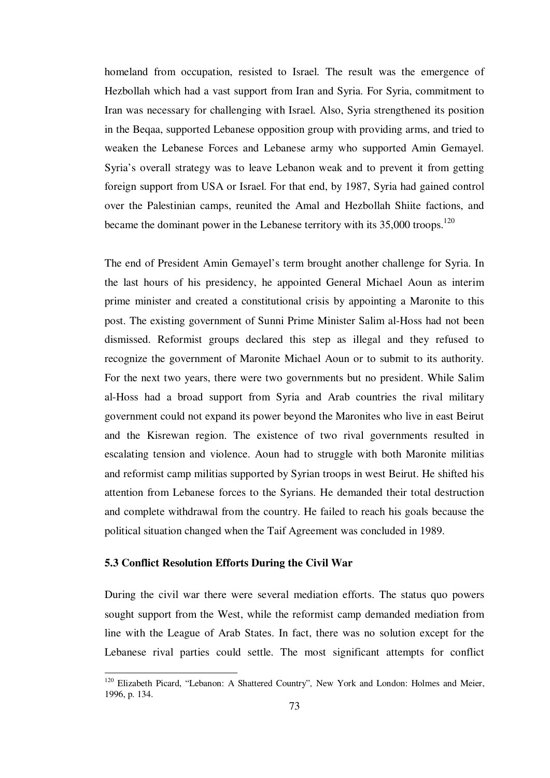homeland from occupation, resisted to Israel. The result was the emergence of Hezbollah which had a vast support from Iran and Syria. For Syria, commitment to Iran was necessary for challenging with Israel. Also, Syria strengthened its position in the Beqaa, supported Lebanese opposition group with providing arms, and tried to weaken the Lebanese Forces and Lebanese army who supported Amin Gemayel. Syria's overall strategy was to leave Lebanon weak and to prevent it from getting foreign support from USA or Israel. For that end, by 1987, Syria had gained control over the Palestinian camps, reunited the Amal and Hezbollah Shiite factions, and became the dominant power in the Lebanese territory with its  $35,000$  troops.<sup>120</sup>

The end of President Amin Gemayel's term brought another challenge for Syria. In the last hours of his presidency, he appointed General Michael Aoun as interim prime minister and created a constitutional crisis by appointing a Maronite to this post. The existing government of Sunni Prime Minister Salim al-Hoss had not been dismissed. Reformist groups declared this step as illegal and they refused to recognize the government of Maronite Michael Aoun or to submit to its authority. For the next two years, there were two governments but no president. While Salim al-Hoss had a broad support from Syria and Arab countries the rival military government could not expand its power beyond the Maronites who live in east Beirut and the Kisrewan region. The existence of two rival governments resulted in escalating tension and violence. Aoun had to struggle with both Maronite militias and reformist camp militias supported by Syrian troops in west Beirut. He shifted his attention from Lebanese forces to the Syrians. He demanded their total destruction and complete withdrawal from the country. He failed to reach his goals because the political situation changed when the Taif Agreement was concluded in 1989.

# **5.3 Conflict Resolution Efforts During the Civil War**

<u>.</u>

During the civil war there were several mediation efforts. The status quo powers sought support from the West, while the reformist camp demanded mediation from line with the League of Arab States. In fact, there was no solution except for the Lebanese rival parties could settle. The most significant attempts for conflict

<sup>120</sup> Elizabeth Picard, "Lebanon: A Shattered Country"*,* New York and London: Holmes and Meier, 1996, p. 134.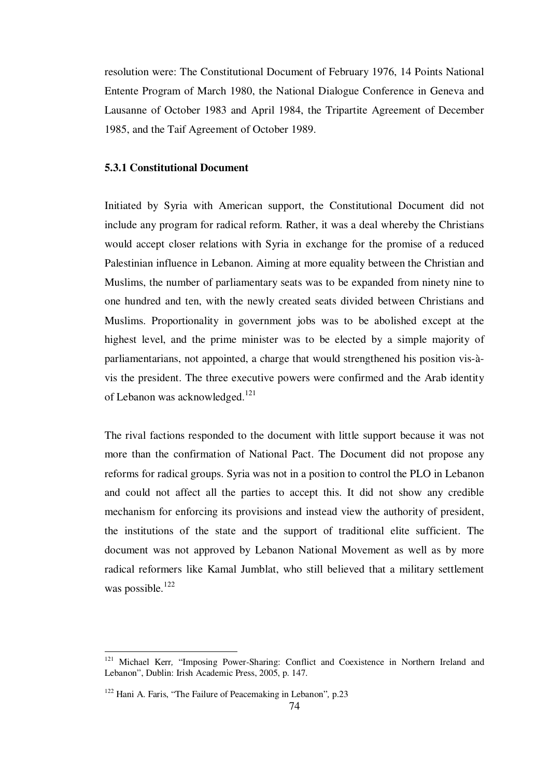resolution were: The Constitutional Document of February 1976, 14 Points National Entente Program of March 1980, the National Dialogue Conference in Geneva and Lausanne of October 1983 and April 1984, the Tripartite Agreement of December 1985, and the Taif Agreement of October 1989.

# **5.3.1 Constitutional Document**

Initiated by Syria with American support, the Constitutional Document did not include any program for radical reform. Rather, it was a deal whereby the Christians would accept closer relations with Syria in exchange for the promise of a reduced Palestinian influence in Lebanon. Aiming at more equality between the Christian and Muslims, the number of parliamentary seats was to be expanded from ninety nine to one hundred and ten, with the newly created seats divided between Christians and Muslims. Proportionality in government jobs was to be abolished except at the highest level, and the prime minister was to be elected by a simple majority of parliamentarians, not appointed, a charge that would strengthened his position vis-àvis the president. The three executive powers were confirmed and the Arab identity of Lebanon was acknowledged.<sup>121</sup>

The rival factions responded to the document with little support because it was not more than the confirmation of National Pact. The Document did not propose any reforms for radical groups. Syria was not in a position to control the PLO in Lebanon and could not affect all the parties to accept this. It did not show any credible mechanism for enforcing its provisions and instead view the authority of president, the institutions of the state and the support of traditional elite sufficient. The document was not approved by Lebanon National Movement as well as by more radical reformers like Kamal Jumblat, who still believed that a military settlement was possible. $122$ 

1

<sup>&</sup>lt;sup>121</sup> Michael Kerr, "Imposing Power-Sharing: Conflict and Coexistence in Northern Ireland and Lebanon", Dublin: Irish Academic Press, 2005, p. 147.

<sup>122</sup> Hani A. Faris, "The Failure of Peacemaking in Lebanon"*,* p.23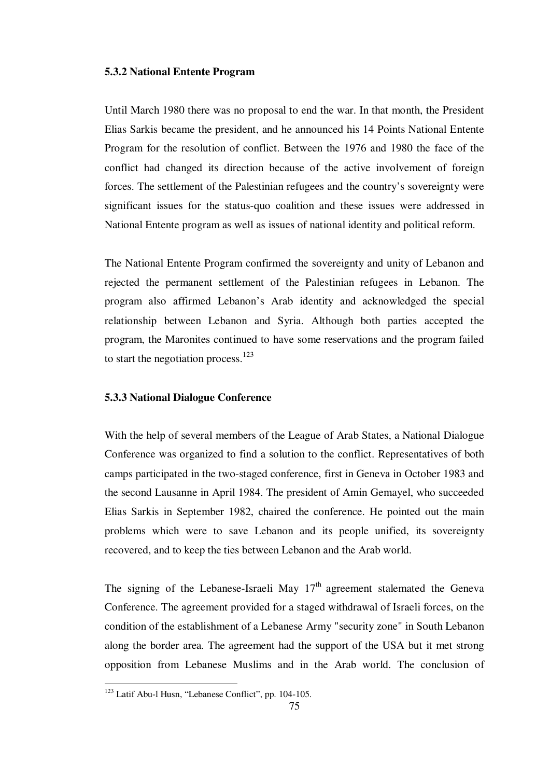#### **5.3.2 National Entente Program**

Until March 1980 there was no proposal to end the war. In that month, the President Elias Sarkis became the president, and he announced his 14 Points National Entente Program for the resolution of conflict. Between the 1976 and 1980 the face of the conflict had changed its direction because of the active involvement of foreign forces. The settlement of the Palestinian refugees and the country's sovereignty were significant issues for the status-quo coalition and these issues were addressed in National Entente program as well as issues of national identity and political reform.

The National Entente Program confirmed the sovereignty and unity of Lebanon and rejected the permanent settlement of the Palestinian refugees in Lebanon. The program also affirmed Lebanon's Arab identity and acknowledged the special relationship between Lebanon and Syria. Although both parties accepted the program, the Maronites continued to have some reservations and the program failed to start the negotiation process. $123$ 

# **5.3.3 National Dialogue Conference**

With the help of several members of the League of Arab States, a National Dialogue Conference was organized to find a solution to the conflict. Representatives of both camps participated in the two-staged conference, first in Geneva in October 1983 and the second Lausanne in April 1984. The president of Amin Gemayel, who succeeded Elias Sarkis in September 1982, chaired the conference. He pointed out the main problems which were to save Lebanon and its people unified, its sovereignty recovered, and to keep the ties between Lebanon and the Arab world.

The signing of the Lebanese-Israeli May  $17<sup>th</sup>$  agreement stalemated the Geneva Conference. The agreement provided for a staged withdrawal of Israeli forces, on the condition of the establishment of a Lebanese Army "security zone" in South Lebanon along the border area. The agreement had the support of the USA but it met strong opposition from Lebanese Muslims and in the Arab world. The conclusion of

<sup>&</sup>lt;sup>123</sup> Latif Abu-l Husn, "Lebanese Conflict", pp. 104-105.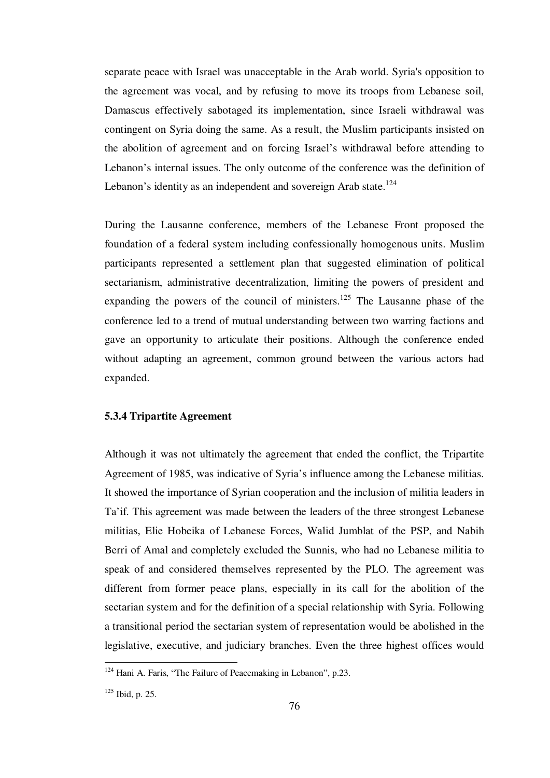separate peace with Israel was unacceptable in the Arab world. Syria's opposition to the agreement was vocal, and by refusing to move its troops from Lebanese soil, Damascus effectively sabotaged its implementation, since Israeli withdrawal was contingent on Syria doing the same. As a result, the Muslim participants insisted on the abolition of agreement and on forcing Israel's withdrawal before attending to Lebanon's internal issues. The only outcome of the conference was the definition of Lebanon's identity as an independent and sovereign Arab state.<sup>124</sup>

During the Lausanne conference, members of the Lebanese Front proposed the foundation of a federal system including confessionally homogenous units. Muslim participants represented a settlement plan that suggested elimination of political sectarianism, administrative decentralization, limiting the powers of president and expanding the powers of the council of ministers.<sup>125</sup> The Lausanne phase of the conference led to a trend of mutual understanding between two warring factions and gave an opportunity to articulate their positions. Although the conference ended without adapting an agreement, common ground between the various actors had expanded.

## **5.3.4 Tripartite Agreement**

Although it was not ultimately the agreement that ended the conflict, the Tripartite Agreement of 1985, was indicative of Syria's influence among the Lebanese militias. It showed the importance of Syrian cooperation and the inclusion of militia leaders in Ta'if. This agreement was made between the leaders of the three strongest Lebanese militias, Elie Hobeika of Lebanese Forces, Walid Jumblat of the PSP, and Nabih Berri of Amal and completely excluded the Sunnis, who had no Lebanese militia to speak of and considered themselves represented by the PLO. The agreement was different from former peace plans, especially in its call for the abolition of the sectarian system and for the definition of a special relationship with Syria. Following a transitional period the sectarian system of representation would be abolished in the legislative, executive, and judiciary branches. Even the three highest offices would

<sup>&</sup>lt;sup>124</sup> Hani A. Faris, "The Failure of Peacemaking in Lebanon", p.23.

<sup>125</sup> Ibid, p. 25.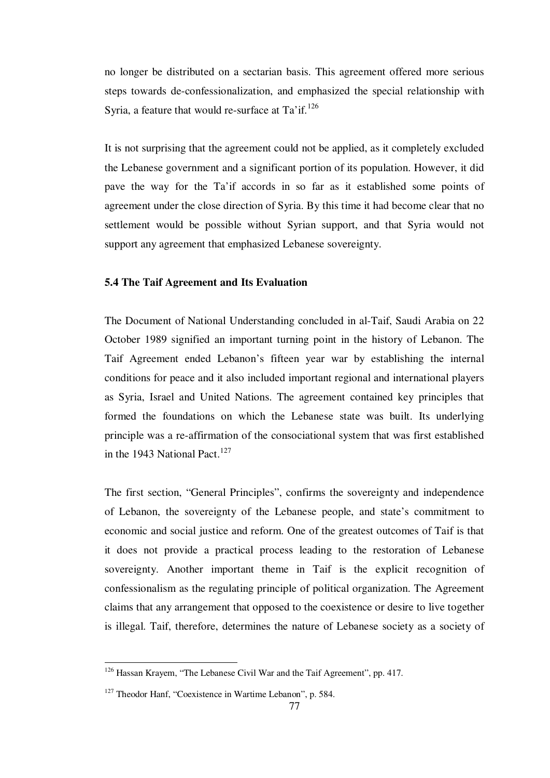no longer be distributed on a sectarian basis. This agreement offered more serious steps towards de-confessionalization, and emphasized the special relationship with Syria, a feature that would re-surface at Ta'if.<sup>126</sup>

It is not surprising that the agreement could not be applied, as it completely excluded the Lebanese government and a significant portion of its population. However, it did pave the way for the Ta'if accords in so far as it established some points of agreement under the close direction of Syria. By this time it had become clear that no settlement would be possible without Syrian support, and that Syria would not support any agreement that emphasized Lebanese sovereignty.

## **5.4 The Taif Agreement and Its Evaluation**

The Document of National Understanding concluded in al-Taif, Saudi Arabia on 22 October 1989 signified an important turning point in the history of Lebanon. The Taif Agreement ended Lebanon's fifteen year war by establishing the internal conditions for peace and it also included important regional and international players as Syria, Israel and United Nations. The agreement contained key principles that formed the foundations on which the Lebanese state was built. Its underlying principle was a re-affirmation of the consociational system that was first established in the 1943 National Pact.<sup>127</sup>

The first section, "General Principles", confirms the sovereignty and independence of Lebanon, the sovereignty of the Lebanese people, and state's commitment to economic and social justice and reform. One of the greatest outcomes of Taif is that it does not provide a practical process leading to the restoration of Lebanese sovereignty. Another important theme in Taif is the explicit recognition of confessionalism as the regulating principle of political organization. The Agreement claims that any arrangement that opposed to the coexistence or desire to live together is illegal. Taif, therefore, determines the nature of Lebanese society as a society of

<sup>&</sup>lt;sup>126</sup> Hassan Krayem, "The Lebanese Civil War and the Taif Agreement", pp. 417.

<sup>&</sup>lt;sup>127</sup> Theodor Hanf, "Coexistence in Wartime Lebanon", p. 584.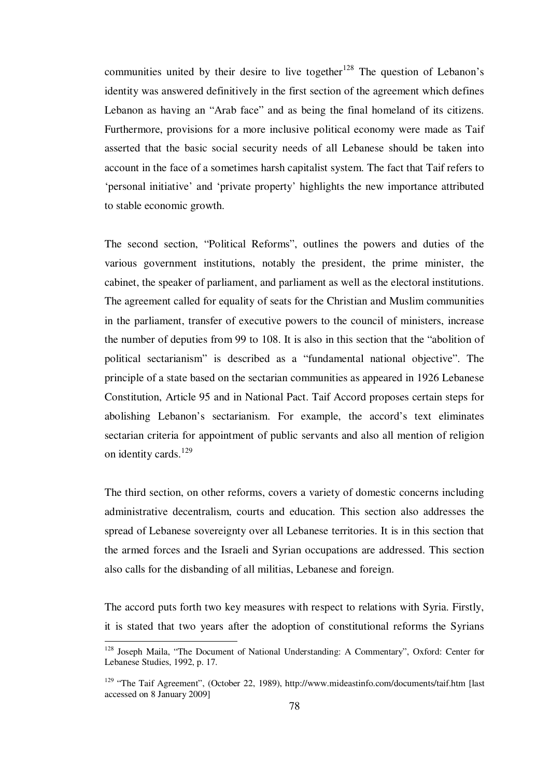communities united by their desire to live together<sup>128</sup> The question of Lebanon's identity was answered definitively in the first section of the agreement which defines Lebanon as having an "Arab face" and as being the final homeland of its citizens. Furthermore, provisions for a more inclusive political economy were made as Taif asserted that the basic social security needs of all Lebanese should be taken into account in the face of a sometimes harsh capitalist system. The fact that Taif refers to 'personal initiative' and 'private property' highlights the new importance attributed to stable economic growth.

The second section, "Political Reforms", outlines the powers and duties of the various government institutions, notably the president, the prime minister, the cabinet, the speaker of parliament, and parliament as well as the electoral institutions. The agreement called for equality of seats for the Christian and Muslim communities in the parliament, transfer of executive powers to the council of ministers, increase the number of deputies from 99 to 108. It is also in this section that the "abolition of political sectarianism" is described as a "fundamental national objective". The principle of a state based on the sectarian communities as appeared in 1926 Lebanese Constitution, Article 95 and in National Pact. Taif Accord proposes certain steps for abolishing Lebanon's sectarianism. For example, the accord's text eliminates sectarian criteria for appointment of public servants and also all mention of religion on identity cards. $129$ 

The third section, on other reforms, covers a variety of domestic concerns including administrative decentralism, courts and education. This section also addresses the spread of Lebanese sovereignty over all Lebanese territories. It is in this section that the armed forces and the Israeli and Syrian occupations are addressed. This section also calls for the disbanding of all militias, Lebanese and foreign.

The accord puts forth two key measures with respect to relations with Syria. Firstly, it is stated that two years after the adoption of constitutional reforms the Syrians

<sup>128</sup> Joseph Maila, "The Document of National Understanding: A Commentary", Oxford: Center for Lebanese Studies, 1992, p. 17.

<sup>&</sup>lt;sup>129</sup> "The Taif Agreement", (October 22, 1989), http://www.mideastinfo.com/documents/taif.htm [last accessed on 8 January 2009]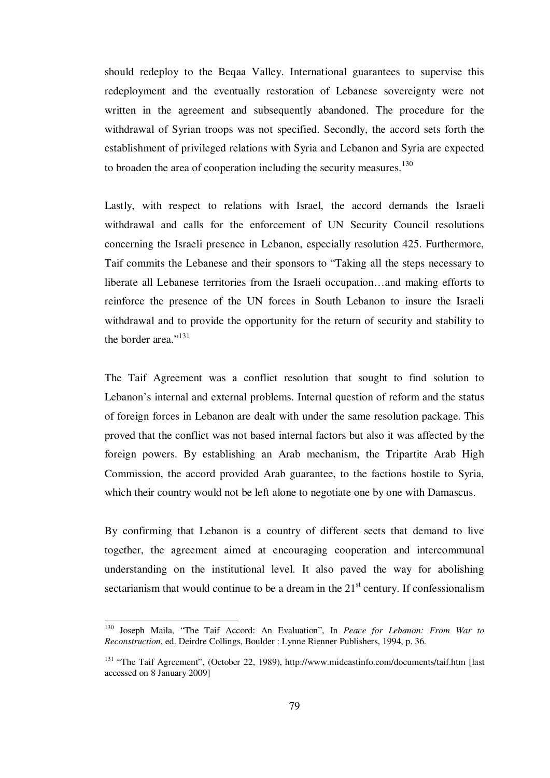should redeploy to the Beqaa Valley. International guarantees to supervise this redeployment and the eventually restoration of Lebanese sovereignty were not written in the agreement and subsequently abandoned. The procedure for the withdrawal of Syrian troops was not specified. Secondly, the accord sets forth the establishment of privileged relations with Syria and Lebanon and Syria are expected to broaden the area of cooperation including the security measures. $130$ 

Lastly, with respect to relations with Israel, the accord demands the Israeli withdrawal and calls for the enforcement of UN Security Council resolutions concerning the Israeli presence in Lebanon, especially resolution 425. Furthermore, Taif commits the Lebanese and their sponsors to "Taking all the steps necessary to liberate all Lebanese territories from the Israeli occupation…and making efforts to reinforce the presence of the UN forces in South Lebanon to insure the Israeli withdrawal and to provide the opportunity for the return of security and stability to the border area."<sup>131</sup>

The Taif Agreement was a conflict resolution that sought to find solution to Lebanon's internal and external problems. Internal question of reform and the status of foreign forces in Lebanon are dealt with under the same resolution package. This proved that the conflict was not based internal factors but also it was affected by the foreign powers. By establishing an Arab mechanism, the Tripartite Arab High Commission, the accord provided Arab guarantee, to the factions hostile to Syria, which their country would not be left alone to negotiate one by one with Damascus.

By confirming that Lebanon is a country of different sects that demand to live together, the agreement aimed at encouraging cooperation and intercommunal understanding on the institutional level. It also paved the way for abolishing sectarianism that would continue to be a dream in the  $21<sup>st</sup>$  century. If confessionalism

<sup>130</sup> Joseph Maila, "The Taif Accord: An Evaluation", In *Peace for Lebanon: From War to Reconstruction*, ed. Deirdre Collings, Boulder : Lynne Rienner Publishers, 1994, p. 36.

<sup>&</sup>lt;sup>131</sup> "The Taif Agreement", (October 22, 1989), http://www.mideastinfo.com/documents/taif.htm [last accessed on 8 January 2009]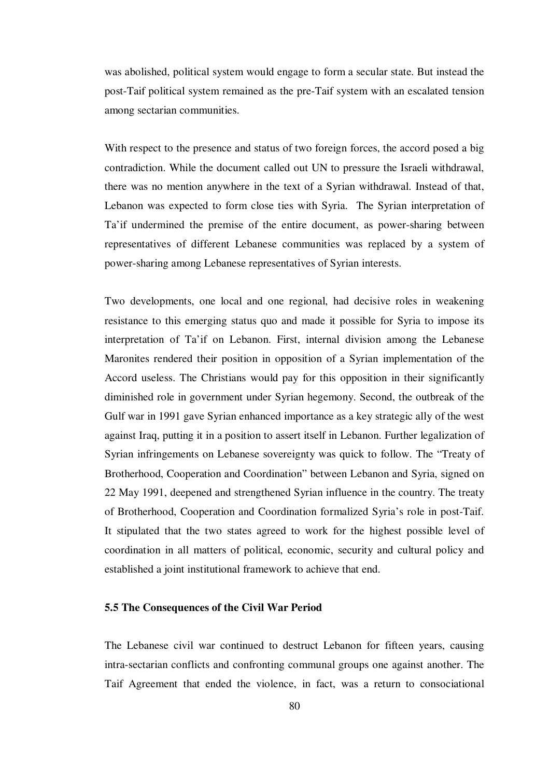was abolished, political system would engage to form a secular state. But instead the post-Taif political system remained as the pre-Taif system with an escalated tension among sectarian communities.

With respect to the presence and status of two foreign forces, the accord posed a big contradiction. While the document called out UN to pressure the Israeli withdrawal, there was no mention anywhere in the text of a Syrian withdrawal. Instead of that, Lebanon was expected to form close ties with Syria. The Syrian interpretation of Ta'if undermined the premise of the entire document, as power-sharing between representatives of different Lebanese communities was replaced by a system of power-sharing among Lebanese representatives of Syrian interests.

Two developments, one local and one regional, had decisive roles in weakening resistance to this emerging status quo and made it possible for Syria to impose its interpretation of Ta'if on Lebanon. First, internal division among the Lebanese Maronites rendered their position in opposition of a Syrian implementation of the Accord useless. The Christians would pay for this opposition in their significantly diminished role in government under Syrian hegemony. Second, the outbreak of the Gulf war in 1991 gave Syrian enhanced importance as a key strategic ally of the west against Iraq, putting it in a position to assert itself in Lebanon. Further legalization of Syrian infringements on Lebanese sovereignty was quick to follow. The "Treaty of Brotherhood, Cooperation and Coordination" between Lebanon and Syria, signed on 22 May 1991, deepened and strengthened Syrian influence in the country. The treaty of Brotherhood, Cooperation and Coordination formalized Syria's role in post-Taif. It stipulated that the two states agreed to work for the highest possible level of coordination in all matters of political, economic, security and cultural policy and established a joint institutional framework to achieve that end.

#### **5.5 The Consequences of the Civil War Period**

The Lebanese civil war continued to destruct Lebanon for fifteen years, causing intra-sectarian conflicts and confronting communal groups one against another. The Taif Agreement that ended the violence, in fact, was a return to consociational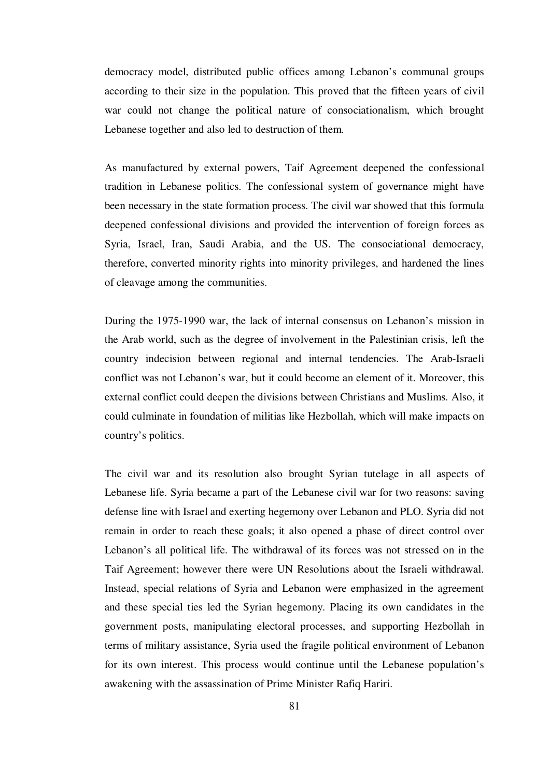democracy model, distributed public offices among Lebanon's communal groups according to their size in the population. This proved that the fifteen years of civil war could not change the political nature of consociationalism, which brought Lebanese together and also led to destruction of them.

As manufactured by external powers, Taif Agreement deepened the confessional tradition in Lebanese politics. The confessional system of governance might have been necessary in the state formation process. The civil war showed that this formula deepened confessional divisions and provided the intervention of foreign forces as Syria, Israel, Iran, Saudi Arabia, and the US. The consociational democracy, therefore, converted minority rights into minority privileges, and hardened the lines of cleavage among the communities.

During the 1975-1990 war, the lack of internal consensus on Lebanon's mission in the Arab world, such as the degree of involvement in the Palestinian crisis, left the country indecision between regional and internal tendencies. The Arab-Israeli conflict was not Lebanon's war, but it could become an element of it. Moreover, this external conflict could deepen the divisions between Christians and Muslims. Also, it could culminate in foundation of militias like Hezbollah, which will make impacts on country's politics.

The civil war and its resolution also brought Syrian tutelage in all aspects of Lebanese life. Syria became a part of the Lebanese civil war for two reasons: saving defense line with Israel and exerting hegemony over Lebanon and PLO. Syria did not remain in order to reach these goals; it also opened a phase of direct control over Lebanon's all political life. The withdrawal of its forces was not stressed on in the Taif Agreement; however there were UN Resolutions about the Israeli withdrawal. Instead, special relations of Syria and Lebanon were emphasized in the agreement and these special ties led the Syrian hegemony. Placing its own candidates in the government posts, manipulating electoral processes, and supporting Hezbollah in terms of military assistance, Syria used the fragile political environment of Lebanon for its own interest. This process would continue until the Lebanese population's awakening with the assassination of Prime Minister Rafiq Hariri.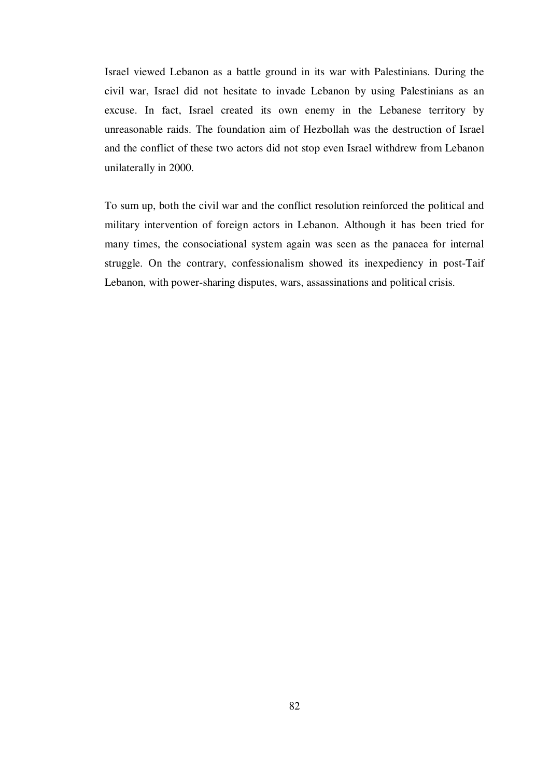Israel viewed Lebanon as a battle ground in its war with Palestinians. During the civil war, Israel did not hesitate to invade Lebanon by using Palestinians as an excuse. In fact, Israel created its own enemy in the Lebanese territory by unreasonable raids. The foundation aim of Hezbollah was the destruction of Israel and the conflict of these two actors did not stop even Israel withdrew from Lebanon unilaterally in 2000.

To sum up, both the civil war and the conflict resolution reinforced the political and military intervention of foreign actors in Lebanon. Although it has been tried for many times, the consociational system again was seen as the panacea for internal struggle. On the contrary, confessionalism showed its inexpediency in post-Taif Lebanon, with power-sharing disputes, wars, assassinations and political crisis.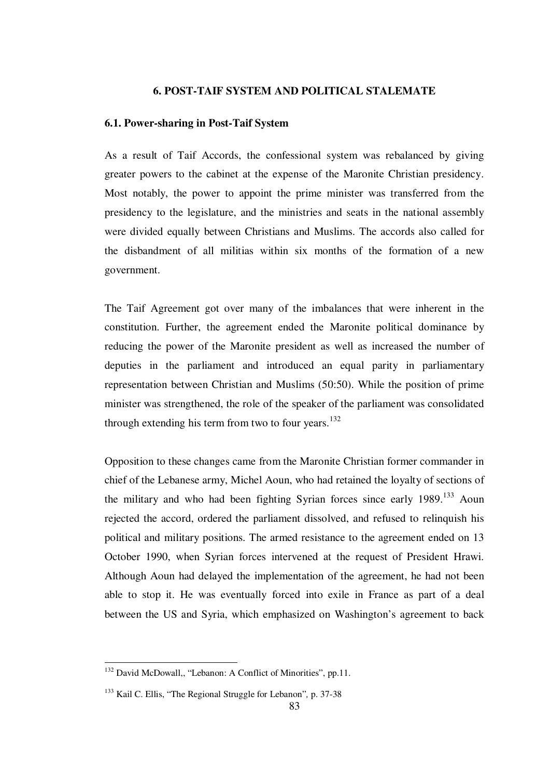#### **6. POST-TAIF SYSTEM AND POLITICAL STALEMATE**

#### **6.1. Power-sharing in Post-Taif System**

As a result of Taif Accords, the confessional system was rebalanced by giving greater powers to the cabinet at the expense of the Maronite Christian presidency. Most notably, the power to appoint the prime minister was transferred from the presidency to the legislature, and the ministries and seats in the national assembly were divided equally between Christians and Muslims. The accords also called for the disbandment of all militias within six months of the formation of a new government.

The Taif Agreement got over many of the imbalances that were inherent in the constitution. Further, the agreement ended the Maronite political dominance by reducing the power of the Maronite president as well as increased the number of deputies in the parliament and introduced an equal parity in parliamentary representation between Christian and Muslims (50:50). While the position of prime minister was strengthened, the role of the speaker of the parliament was consolidated through extending his term from two to four years.<sup>132</sup>

Opposition to these changes came from the Maronite Christian former commander in chief of the Lebanese army, Michel Aoun, who had retained the loyalty of sections of the military and who had been fighting Syrian forces since early 1989.<sup>133</sup> Aoun rejected the accord, ordered the parliament dissolved, and refused to relinquish his political and military positions. The armed resistance to the agreement ended on 13 October 1990, when Syrian forces intervened at the request of President Hrawi. Although Aoun had delayed the implementation of the agreement, he had not been able to stop it. He was eventually forced into exile in France as part of a deal between the US and Syria, which emphasized on Washington's agreement to back

<sup>132</sup> David McDowall,, "Lebanon: A Conflict of Minorities", pp.11.

<sup>133</sup> Kail C. Ellis, "The Regional Struggle for Lebanon"*,* p. 37-38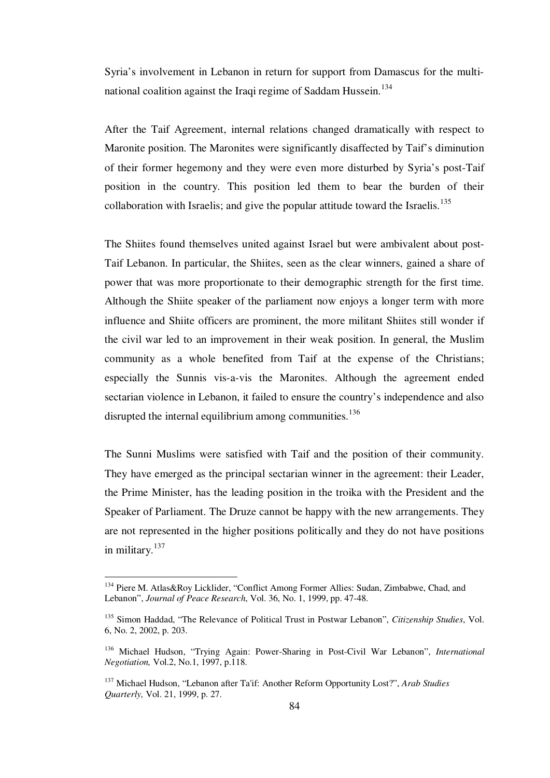Syria's involvement in Lebanon in return for support from Damascus for the multinational coalition against the Iraqi regime of Saddam Hussein.<sup>134</sup>

After the Taif Agreement, internal relations changed dramatically with respect to Maronite position. The Maronites were significantly disaffected by Taif's diminution of their former hegemony and they were even more disturbed by Syria's post-Taif position in the country. This position led them to bear the burden of their collaboration with Israelis; and give the popular attitude toward the Israelis.<sup>135</sup>

The Shiites found themselves united against Israel but were ambivalent about post-Taif Lebanon. In particular, the Shiites, seen as the clear winners, gained a share of power that was more proportionate to their demographic strength for the first time. Although the Shiite speaker of the parliament now enjoys a longer term with more influence and Shiite officers are prominent, the more militant Shiites still wonder if the civil war led to an improvement in their weak position. In general, the Muslim community as a whole benefited from Taif at the expense of the Christians; especially the Sunnis vis-a-vis the Maronites. Although the agreement ended sectarian violence in Lebanon, it failed to ensure the country's independence and also disrupted the internal equilibrium among communities.<sup>136</sup>

The Sunni Muslims were satisfied with Taif and the position of their community. They have emerged as the principal sectarian winner in the agreement: their Leader, the Prime Minister, has the leading position in the troika with the President and the Speaker of Parliament. The Druze cannot be happy with the new arrangements. They are not represented in the higher positions politically and they do not have positions in military.<sup>137</sup>

<sup>134</sup> Piere M. Atlas&Roy Licklider, "Conflict Among Former Allies: Sudan, Zimbabwe, Chad, and Lebanon", *Journal of Peace Research*, Vol. 36, No. 1, 1999, pp. 47-48.

<sup>135</sup> Simon Haddad, "The Relevance of Political Trust in Postwar Lebanon", *Citizenship Studies*, Vol. 6, No. 2, 2002, p. 203.

<sup>136</sup> Michael Hudson, "Trying Again: Power-Sharing in Post-Civil War Lebanon", *International Negotiation,* Vol.2, No.1, 1997, p.118.

<sup>137</sup> Michael Hudson, "Lebanon after Ta'if: Another Reform Opportunity Lost?", *Arab Studies Quarterly,* Vol. 21, 1999, p. 27.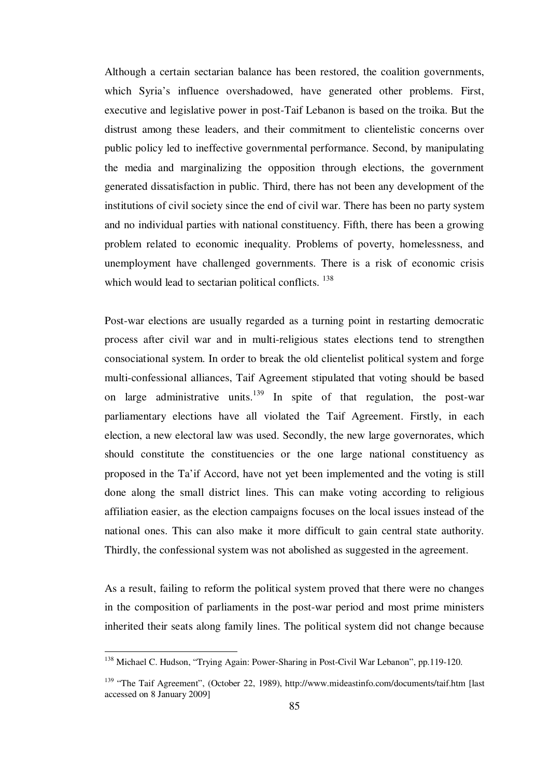Although a certain sectarian balance has been restored, the coalition governments, which Syria's influence overshadowed, have generated other problems. First, executive and legislative power in post-Taif Lebanon is based on the troika. But the distrust among these leaders, and their commitment to clientelistic concerns over public policy led to ineffective governmental performance. Second, by manipulating the media and marginalizing the opposition through elections, the government generated dissatisfaction in public. Third, there has not been any development of the institutions of civil society since the end of civil war. There has been no party system and no individual parties with national constituency. Fifth, there has been a growing problem related to economic inequality. Problems of poverty, homelessness, and unemployment have challenged governments. There is a risk of economic crisis which would lead to sectarian political conflicts. <sup>138</sup>

Post-war elections are usually regarded as a turning point in restarting democratic process after civil war and in multi-religious states elections tend to strengthen consociational system. In order to break the old clientelist political system and forge multi-confessional alliances, Taif Agreement stipulated that voting should be based on large administrative units.<sup>139</sup> In spite of that regulation, the post-war parliamentary elections have all violated the Taif Agreement. Firstly, in each election, a new electoral law was used. Secondly, the new large governorates, which should constitute the constituencies or the one large national constituency as proposed in the Ta'if Accord, have not yet been implemented and the voting is still done along the small district lines. This can make voting according to religious affiliation easier, as the election campaigns focuses on the local issues instead of the national ones. This can also make it more difficult to gain central state authority. Thirdly, the confessional system was not abolished as suggested in the agreement.

As a result, failing to reform the political system proved that there were no changes in the composition of parliaments in the post-war period and most prime ministers inherited their seats along family lines. The political system did not change because

1

<sup>&</sup>lt;sup>138</sup> Michael C. Hudson, "Trying Again: Power-Sharing in Post-Civil War Lebanon", pp.119-120.

<sup>139</sup> "The Taif Agreement", (October 22, 1989), http://www.mideastinfo.com/documents/taif.htm [last accessed on 8 January 2009]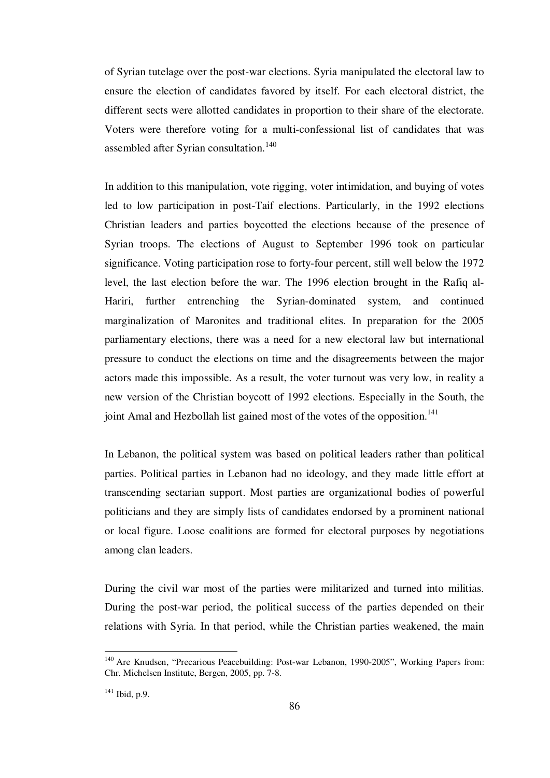of Syrian tutelage over the post-war elections. Syria manipulated the electoral law to ensure the election of candidates favored by itself. For each electoral district, the different sects were allotted candidates in proportion to their share of the electorate. Voters were therefore voting for a multi-confessional list of candidates that was assembled after Syrian consultation.<sup>140</sup>

In addition to this manipulation, vote rigging, voter intimidation, and buying of votes led to low participation in post-Taif elections. Particularly, in the 1992 elections Christian leaders and parties boycotted the elections because of the presence of Syrian troops. The elections of August to September 1996 took on particular significance. Voting participation rose to forty-four percent, still well below the 1972 level, the last election before the war. The 1996 election brought in the Rafiq al-Hariri, further entrenching the Syrian-dominated system, and continued marginalization of Maronites and traditional elites. In preparation for the 2005 parliamentary elections, there was a need for a new electoral law but international pressure to conduct the elections on time and the disagreements between the major actors made this impossible. As a result, the voter turnout was very low, in reality a new version of the Christian boycott of 1992 elections. Especially in the South, the joint Amal and Hezbollah list gained most of the votes of the opposition.<sup>141</sup>

In Lebanon, the political system was based on political leaders rather than political parties. Political parties in Lebanon had no ideology, and they made little effort at transcending sectarian support. Most parties are organizational bodies of powerful politicians and they are simply lists of candidates endorsed by a prominent national or local figure. Loose coalitions are formed for electoral purposes by negotiations among clan leaders.

During the civil war most of the parties were militarized and turned into militias. During the post-war period, the political success of the parties depended on their relations with Syria. In that period, while the Christian parties weakened, the main

1

<sup>&</sup>lt;sup>140</sup> Are Knudsen, "Precarious Peacebuilding: Post-war Lebanon, 1990-2005", Working Papers from: Chr. Michelsen Institute, Bergen, 2005, pp. 7-8.

 $141$  Ibid, p.9.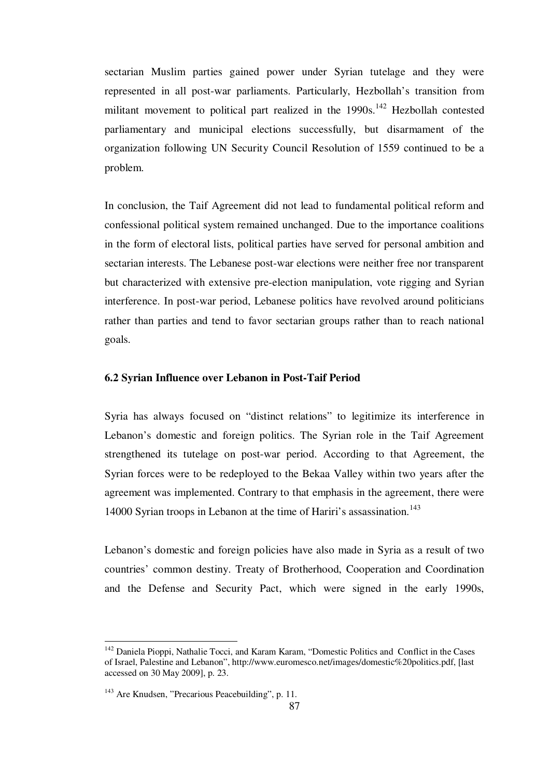sectarian Muslim parties gained power under Syrian tutelage and they were represented in all post-war parliaments. Particularly, Hezbollah's transition from militant movement to political part realized in the 1990s.<sup>142</sup> Hezbollah contested parliamentary and municipal elections successfully, but disarmament of the organization following UN Security Council Resolution of 1559 continued to be a problem.

In conclusion, the Taif Agreement did not lead to fundamental political reform and confessional political system remained unchanged. Due to the importance coalitions in the form of electoral lists, political parties have served for personal ambition and sectarian interests. The Lebanese post-war elections were neither free nor transparent but characterized with extensive pre-election manipulation, vote rigging and Syrian interference. In post-war period, Lebanese politics have revolved around politicians rather than parties and tend to favor sectarian groups rather than to reach national goals.

### **6.2 Syrian Influence over Lebanon in Post-Taif Period**

Syria has always focused on "distinct relations" to legitimize its interference in Lebanon's domestic and foreign politics. The Syrian role in the Taif Agreement strengthened its tutelage on post-war period. According to that Agreement, the Syrian forces were to be redeployed to the Bekaa Valley within two years after the agreement was implemented. Contrary to that emphasis in the agreement, there were 14000 Syrian troops in Lebanon at the time of Hariri's assassination.<sup>143</sup>

Lebanon's domestic and foreign policies have also made in Syria as a result of two countries' common destiny. Treaty of Brotherhood, Cooperation and Coordination and the Defense and Security Pact, which were signed in the early 1990s,

<sup>&</sup>lt;sup>142</sup> Daniela Pioppi, Nathalie Tocci, and Karam Karam, "Domestic Politics and Conflict in the Cases of Israel, Palestine and Lebanon", http://www.euromesco.net/images/domestic%20politics.pdf, [last accessed on 30 May 2009], p. 23.

<sup>&</sup>lt;sup>143</sup> Are Knudsen, "Precarious Peacebuilding", p. 11.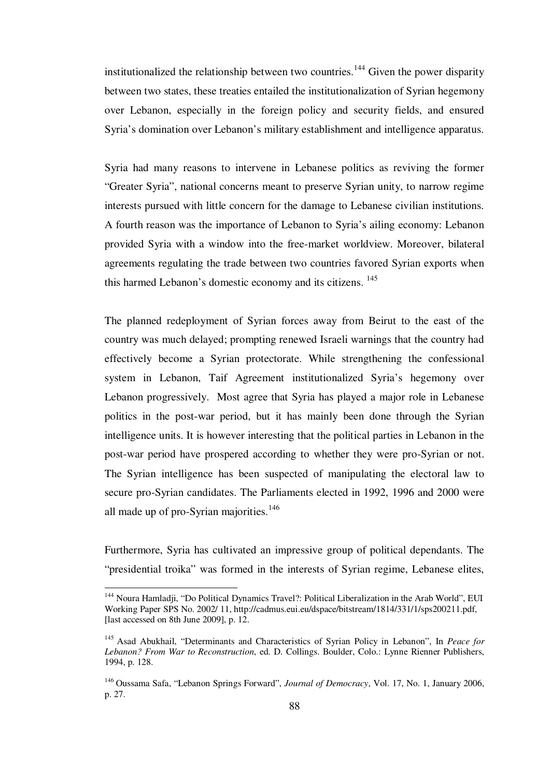institutionalized the relationship between two countries.<sup>144</sup> Given the power disparity between two states, these treaties entailed the institutionalization of Syrian hegemony over Lebanon, especially in the foreign policy and security fields, and ensured Syria's domination over Lebanon's military establishment and intelligence apparatus.

Syria had many reasons to intervene in Lebanese politics as reviving the former "Greater Syria", national concerns meant to preserve Syrian unity, to narrow regime interests pursued with little concern for the damage to Lebanese civilian institutions. A fourth reason was the importance of Lebanon to Syria's ailing economy: Lebanon provided Syria with a window into the free-market worldview. Moreover, bilateral agreements regulating the trade between two countries favored Syrian exports when this harmed Lebanon's domestic economy and its citizens. <sup>145</sup>

The planned redeployment of Syrian forces away from Beirut to the east of the country was much delayed; prompting renewed Israeli warnings that the country had effectively become a Syrian protectorate. While strengthening the confessional system in Lebanon, Taif Agreement institutionalized Syria's hegemony over Lebanon progressively. Most agree that Syria has played a major role in Lebanese politics in the post-war period, but it has mainly been done through the Syrian intelligence units. It is however interesting that the political parties in Lebanon in the post-war period have prospered according to whether they were pro-Syrian or not. The Syrian intelligence has been suspected of manipulating the electoral law to secure pro-Syrian candidates. The Parliaments elected in 1992, 1996 and 2000 were all made up of pro-Syrian majorities. $146$ 

Furthermore, Syria has cultivated an impressive group of political dependants. The "presidential troika" was formed in the interests of Syrian regime, Lebanese elites,

<sup>&</sup>lt;sup>144</sup> Noura Hamladji, "Do Political Dynamics Travel?: Political Liberalization in the Arab World", EUI Working Paper SPS No. 2002/ 11, http://cadmus.eui.eu/dspace/bitstream/1814/331/1/sps200211.pdf, [last accessed on 8th June 2009], p. 12.

<sup>&</sup>lt;sup>145</sup> Asad Abukhail, "Determinants and Characteristics of Syrian Policy in Lebanon", In *Peace for Lebanon? From War to Reconstruction*, ed. D. Collings. Boulder, Colo.: Lynne Rienner Publishers, 1994, p. 128.

<sup>146</sup>Oussama Safa, "Lebanon Springs Forward", *Journal of Democracy*, Vol. 17, No. 1, January 2006, p. 27.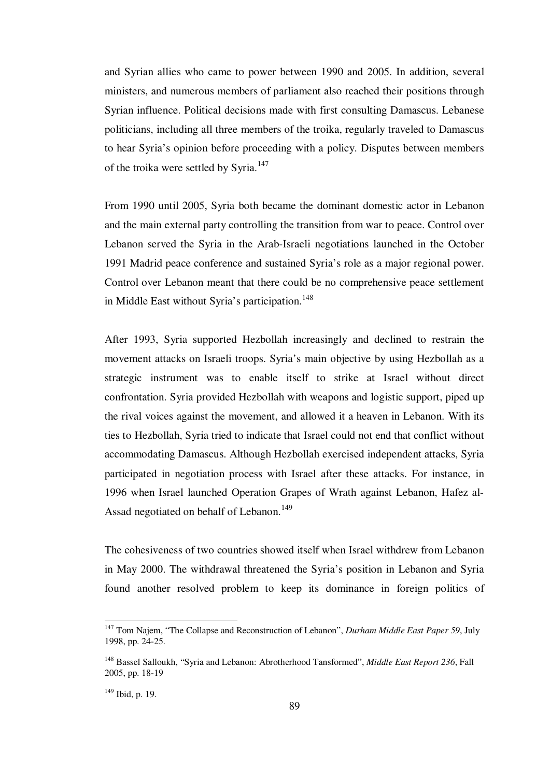and Syrian allies who came to power between 1990 and 2005. In addition, several ministers, and numerous members of parliament also reached their positions through Syrian influence. Political decisions made with first consulting Damascus. Lebanese politicians, including all three members of the troika, regularly traveled to Damascus to hear Syria's opinion before proceeding with a policy. Disputes between members of the troika were settled by Syria.<sup>147</sup>

From 1990 until 2005, Syria both became the dominant domestic actor in Lebanon and the main external party controlling the transition from war to peace. Control over Lebanon served the Syria in the Arab-Israeli negotiations launched in the October 1991 Madrid peace conference and sustained Syria's role as a major regional power. Control over Lebanon meant that there could be no comprehensive peace settlement in Middle East without Syria's participation.<sup>148</sup>

After 1993, Syria supported Hezbollah increasingly and declined to restrain the movement attacks on Israeli troops. Syria's main objective by using Hezbollah as a strategic instrument was to enable itself to strike at Israel without direct confrontation. Syria provided Hezbollah with weapons and logistic support, piped up the rival voices against the movement, and allowed it a heaven in Lebanon. With its ties to Hezbollah, Syria tried to indicate that Israel could not end that conflict without accommodating Damascus. Although Hezbollah exercised independent attacks, Syria participated in negotiation process with Israel after these attacks. For instance, in 1996 when Israel launched Operation Grapes of Wrath against Lebanon, Hafez al-Assad negotiated on behalf of Lebanon.<sup>149</sup>

The cohesiveness of two countries showed itself when Israel withdrew from Lebanon in May 2000. The withdrawal threatened the Syria's position in Lebanon and Syria found another resolved problem to keep its dominance in foreign politics of

<sup>&</sup>lt;sup>147</sup> Tom Najem, "The Collapse and Reconstruction of Lebanon", *Durham Middle East Paper 59*, July 1998, pp. 24-25.

<sup>148</sup> Bassel Salloukh, "Syria and Lebanon: Abrotherhood Tansformed", *Middle East Report 236*, Fall 2005, pp. 18-19

<sup>149</sup> Ibid, p. 19.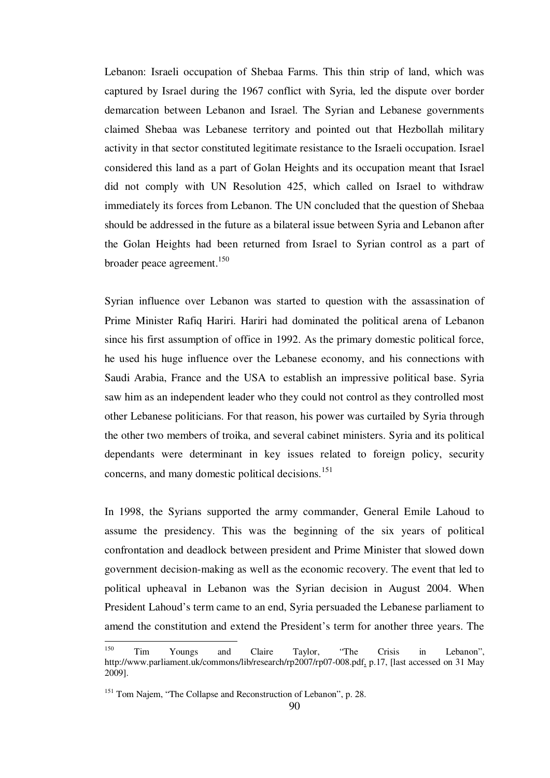Lebanon: Israeli occupation of Shebaa Farms. This thin strip of land, which was captured by Israel during the 1967 conflict with Syria, led the dispute over border demarcation between Lebanon and Israel. The Syrian and Lebanese governments claimed Shebaa was Lebanese territory and pointed out that Hezbollah military activity in that sector constituted legitimate resistance to the Israeli occupation. Israel considered this land as a part of Golan Heights and its occupation meant that Israel did not comply with UN Resolution 425, which called on Israel to withdraw immediately its forces from Lebanon. The UN concluded that the question of Shebaa should be addressed in the future as a bilateral issue between Syria and Lebanon after the Golan Heights had been returned from Israel to Syrian control as a part of broader peace agreement.<sup>150</sup>

Syrian influence over Lebanon was started to question with the assassination of Prime Minister Rafiq Hariri. Hariri had dominated the political arena of Lebanon since his first assumption of office in 1992. As the primary domestic political force, he used his huge influence over the Lebanese economy, and his connections with Saudi Arabia, France and the USA to establish an impressive political base. Syria saw him as an independent leader who they could not control as they controlled most other Lebanese politicians. For that reason, his power was curtailed by Syria through the other two members of troika, and several cabinet ministers. Syria and its political dependants were determinant in key issues related to foreign policy, security concerns, and many domestic political decisions.<sup>151</sup>

In 1998, the Syrians supported the army commander, General Emile Lahoud to assume the presidency. This was the beginning of the six years of political confrontation and deadlock between president and Prime Minister that slowed down government decision-making as well as the economic recovery. The event that led to political upheaval in Lebanon was the Syrian decision in August 2004. When President Lahoud's term came to an end, Syria persuaded the Lebanese parliament to amend the constitution and extend the President's term for another three years. The

<sup>150</sup> <sup>150</sup> Tim Youngs and Claire Taylor, "The Crisis in Lebanon", http://www.parliament.uk/commons/lib/research/rp2007/rp07-008.pdf, p.17, [last accessed on 31 May 2009].

<sup>&</sup>lt;sup>151</sup> Tom Najem, "The Collapse and Reconstruction of Lebanon", p. 28.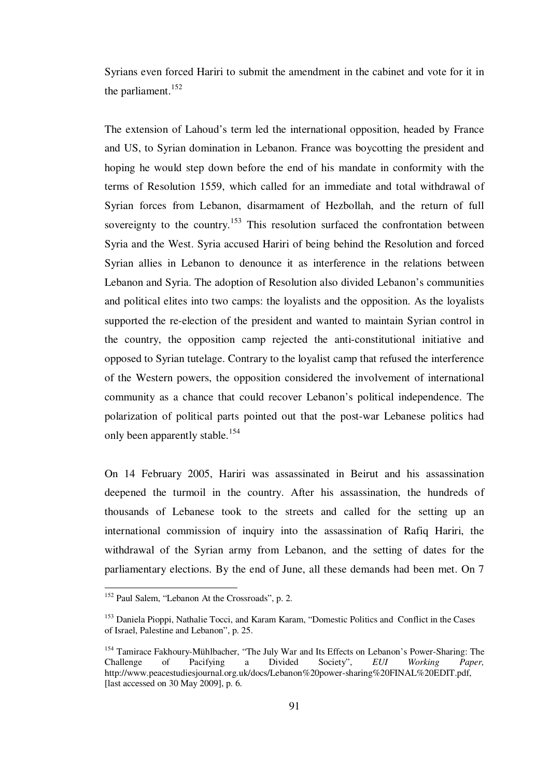Syrians even forced Hariri to submit the amendment in the cabinet and vote for it in the parliament. $152$ 

The extension of Lahoud's term led the international opposition, headed by France and US, to Syrian domination in Lebanon. France was boycotting the president and hoping he would step down before the end of his mandate in conformity with the terms of Resolution 1559, which called for an immediate and total withdrawal of Syrian forces from Lebanon, disarmament of Hezbollah, and the return of full sovereignty to the country.<sup>153</sup> This resolution surfaced the confrontation between Syria and the West. Syria accused Hariri of being behind the Resolution and forced Syrian allies in Lebanon to denounce it as interference in the relations between Lebanon and Syria. The adoption of Resolution also divided Lebanon's communities and political elites into two camps: the loyalists and the opposition. As the loyalists supported the re-election of the president and wanted to maintain Syrian control in the country, the opposition camp rejected the anti-constitutional initiative and opposed to Syrian tutelage. Contrary to the loyalist camp that refused the interference of the Western powers, the opposition considered the involvement of international community as a chance that could recover Lebanon's political independence. The polarization of political parts pointed out that the post-war Lebanese politics had only been apparently stable.<sup>154</sup>

On 14 February 2005, Hariri was assassinated in Beirut and his assassination deepened the turmoil in the country. After his assassination, the hundreds of thousands of Lebanese took to the streets and called for the setting up an international commission of inquiry into the assassination of Rafiq Hariri, the withdrawal of the Syrian army from Lebanon, and the setting of dates for the parliamentary elections. By the end of June, all these demands had been met. On 7

<sup>&</sup>lt;sup>152</sup> Paul Salem, "Lebanon At the Crossroads", p. 2.

<sup>&</sup>lt;sup>153</sup> Daniela Pioppi, Nathalie Tocci, and Karam Karam, "Domestic Politics and Conflict in the Cases of Israel, Palestine and Lebanon", p. 25.

<sup>&</sup>lt;sup>154</sup> Tamirace Fakhoury-Mühlbacher, "The July War and Its Effects on Lebanon's Power-Sharing: The Challenge of Pacifying a Divided Society". *EUI Working Paper*. Challenge of Pacifying a Divided Society", *EUI Working Paper,* http://www.peacestudiesjournal.org.uk/docs/Lebanon%20power-sharing%20FINAL%20EDIT.pdf, [last accessed on 30 May 2009], p. 6.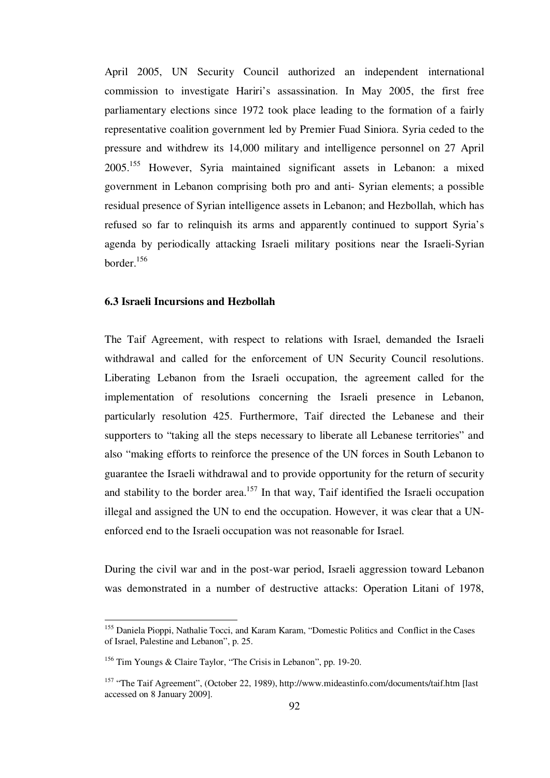April 2005, UN Security Council authorized an independent international commission to investigate Hariri's assassination. In May 2005, the first free parliamentary elections since 1972 took place leading to the formation of a fairly representative coalition government led by Premier Fuad Siniora. Syria ceded to the pressure and withdrew its 14,000 military and intelligence personnel on 27 April 2005.<sup>155</sup> However, Syria maintained significant assets in Lebanon: a mixed government in Lebanon comprising both pro and anti- Syrian elements; a possible residual presence of Syrian intelligence assets in Lebanon; and Hezbollah, which has refused so far to relinquish its arms and apparently continued to support Syria's agenda by periodically attacking Israeli military positions near the Israeli-Syrian border.<sup>156</sup>

# **6.3 Israeli Incursions and Hezbollah**

The Taif Agreement, with respect to relations with Israel, demanded the Israeli withdrawal and called for the enforcement of UN Security Council resolutions. Liberating Lebanon from the Israeli occupation, the agreement called for the implementation of resolutions concerning the Israeli presence in Lebanon, particularly resolution 425. Furthermore, Taif directed the Lebanese and their supporters to "taking all the steps necessary to liberate all Lebanese territories" and also "making efforts to reinforce the presence of the UN forces in South Lebanon to guarantee the Israeli withdrawal and to provide opportunity for the return of security and stability to the border area.<sup>157</sup> In that way, Taif identified the Israeli occupation illegal and assigned the UN to end the occupation. However, it was clear that a UNenforced end to the Israeli occupation was not reasonable for Israel.

During the civil war and in the post-war period, Israeli aggression toward Lebanon was demonstrated in a number of destructive attacks: Operation Litani of 1978,

<sup>&</sup>lt;sup>155</sup> Daniela Pioppi, Nathalie Tocci, and Karam Karam, "Domestic Politics and Conflict in the Cases of Israel, Palestine and Lebanon", p. 25.

<sup>156</sup> Tim Youngs & Claire Taylor, "The Crisis in Lebanon", pp. 19-20.

<sup>157</sup> "The Taif Agreement", (October 22, 1989), http://www.mideastinfo.com/documents/taif.htm [last accessed on 8 January 2009].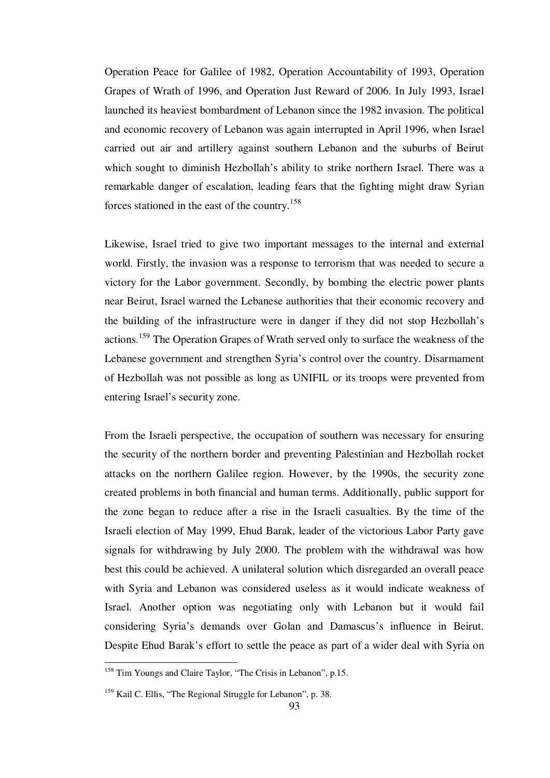Operation Peace for Galilee of 1982, Operation Accountability of 1993, Operation Grapes of Wrath of 1996, and Operation Just Reward of 2006. In July 1993, Israel launched its heaviest bombardment of Lebanon since the 1982 invasion. The political and economic recovery of Lebanon was again interrupted in April 1996, when Israel carried out air and artillery against southern Lebanon and the suburbs of Beirut which sought to diminish Hezbollah's ability to strike northern Israel. There was a remarkable danger of escalation, leading fears that the fighting might draw Syrian forces stationed in the east of the country.<sup>158</sup>

Likewise, Israel tried to give two important messages to the internal and external world. Firstly, the invasion was a response to terrorism that was needed to secure a victory for the Labor government. Secondly, by bombing the electric power plants near Beirut, Israel warned the Lebanese authorities that their economic recovery and the building of the infrastructure were in danger if they did not stop Hezbollah's actions.<sup>159</sup> The Operation Grapes of Wrath served only to surface the weakness of the Lebanese government and strengthen Syria's control over the country. Disarmament of Hezbollah was not possible as long as UNIFIL or its troops were prevented from entering Israel's security zone.

From the Israeli perspective, the occupation of southern was necessary for ensuring the security of the northern border and preventing Palestinian and Hezbollah rocket attacks on the northern Galilee region. However, by the 1990s, the security zone created problems in both financial and human terms. Additionally, public support for the zone began to reduce after a rise in the Israeli casualties. By the time of the Israeli election of May 1999, Ehud Barak, leader of the victorious Labor Party gave signals for withdrawing by July 2000. The problem with the withdrawal was how best this could be achieved. A unilateral solution which disregarded an overall peace with Syria and Lebanon was considered useless as it would indicate weakness of Israel. Another option was negotiating only with Lebanon but it would fail considering Syria's demands over Golan and Damascus's influence in Beirut. Despite Ehud Barak's effort to settle the peace as part of a wider deal with Syria on

<sup>&</sup>lt;sup>158</sup> Tim Youngs and Claire Taylor, "The Crisis in Lebanon", p.15.

<sup>&</sup>lt;sup>159</sup> Kail C. Ellis, "The Regional Struggle for Lebanon", p. 38.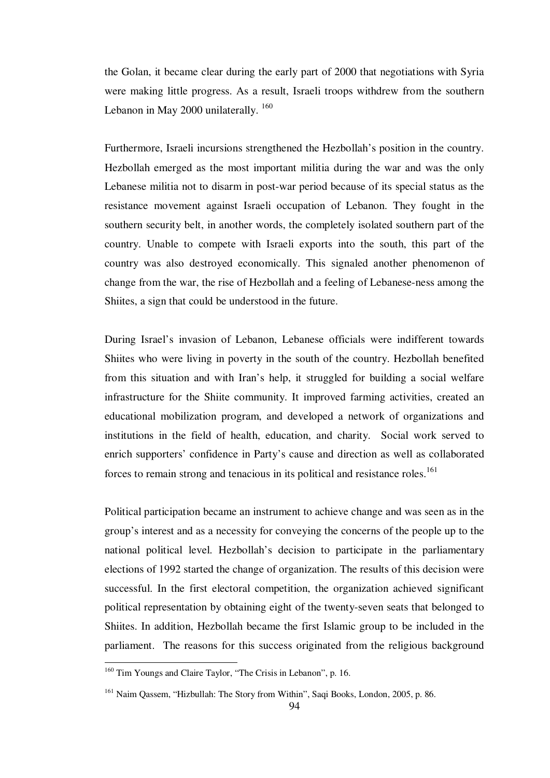the Golan, it became clear during the early part of 2000 that negotiations with Syria were making little progress. As a result, Israeli troops withdrew from the southern Lebanon in May 2000 unilaterally.<sup>160</sup>

Furthermore, Israeli incursions strengthened the Hezbollah's position in the country. Hezbollah emerged as the most important militia during the war and was the only Lebanese militia not to disarm in post-war period because of its special status as the resistance movement against Israeli occupation of Lebanon. They fought in the southern security belt, in another words, the completely isolated southern part of the country. Unable to compete with Israeli exports into the south, this part of the country was also destroyed economically. This signaled another phenomenon of change from the war, the rise of Hezbollah and a feeling of Lebanese-ness among the Shiites, a sign that could be understood in the future.

During Israel's invasion of Lebanon, Lebanese officials were indifferent towards Shiites who were living in poverty in the south of the country. Hezbollah benefited from this situation and with Iran's help, it struggled for building a social welfare infrastructure for the Shiite community. It improved farming activities, created an educational mobilization program, and developed a network of organizations and institutions in the field of health, education, and charity. Social work served to enrich supporters' confidence in Party's cause and direction as well as collaborated forces to remain strong and tenacious in its political and resistance roles.<sup>161</sup>

Political participation became an instrument to achieve change and was seen as in the group's interest and as a necessity for conveying the concerns of the people up to the national political level. Hezbollah's decision to participate in the parliamentary elections of 1992 started the change of organization. The results of this decision were successful. In the first electoral competition, the organization achieved significant political representation by obtaining eight of the twenty-seven seats that belonged to Shiites. In addition, Hezbollah became the first Islamic group to be included in the parliament. The reasons for this success originated from the religious background

<sup>&</sup>lt;sup>160</sup> Tim Youngs and Claire Taylor, "The Crisis in Lebanon", p. 16.

<sup>&</sup>lt;sup>161</sup> Naim Qassem, "Hizbullah: The Story from Within", Saqi Books, London, 2005, p. 86.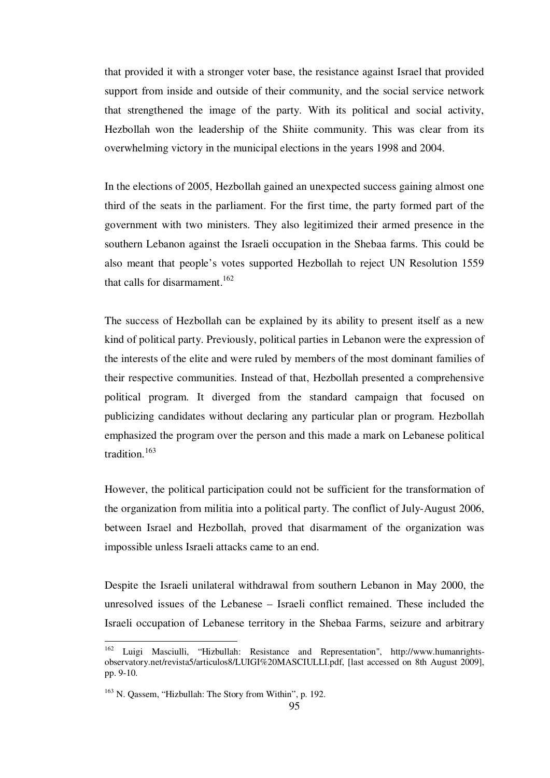that provided it with a stronger voter base, the resistance against Israel that provided support from inside and outside of their community, and the social service network that strengthened the image of the party. With its political and social activity, Hezbollah won the leadership of the Shiite community. This was clear from its overwhelming victory in the municipal elections in the years 1998 and 2004.

In the elections of 2005, Hezbollah gained an unexpected success gaining almost one third of the seats in the parliament. For the first time, the party formed part of the government with two ministers. They also legitimized their armed presence in the southern Lebanon against the Israeli occupation in the Shebaa farms. This could be also meant that people's votes supported Hezbollah to reject UN Resolution 1559 that calls for disarmament.<sup>162</sup>

The success of Hezbollah can be explained by its ability to present itself as a new kind of political party. Previously, political parties in Lebanon were the expression of the interests of the elite and were ruled by members of the most dominant families of their respective communities. Instead of that, Hezbollah presented a comprehensive political program. It diverged from the standard campaign that focused on publicizing candidates without declaring any particular plan or program. Hezbollah emphasized the program over the person and this made a mark on Lebanese political tradition.<sup>163</sup>

However, the political participation could not be sufficient for the transformation of the organization from militia into a political party. The conflict of July-August 2006, between Israel and Hezbollah, proved that disarmament of the organization was impossible unless Israeli attacks came to an end.

Despite the Israeli unilateral withdrawal from southern Lebanon in May 2000, the unresolved issues of the Lebanese – Israeli conflict remained. These included the Israeli occupation of Lebanese territory in the Shebaa Farms, seizure and arbitrary

<sup>162</sup> Luigi Masciulli, "Hizbullah: Resistance and Representation", http://www.humanrightsobservatory.net/revista5/articulos8/LUIGI%20MASCIULLI.pdf, [last accessed on 8th August 2009], pp. 9-10.

<sup>163</sup> N. Qassem, "Hizbullah: The Story from Within", p. 192.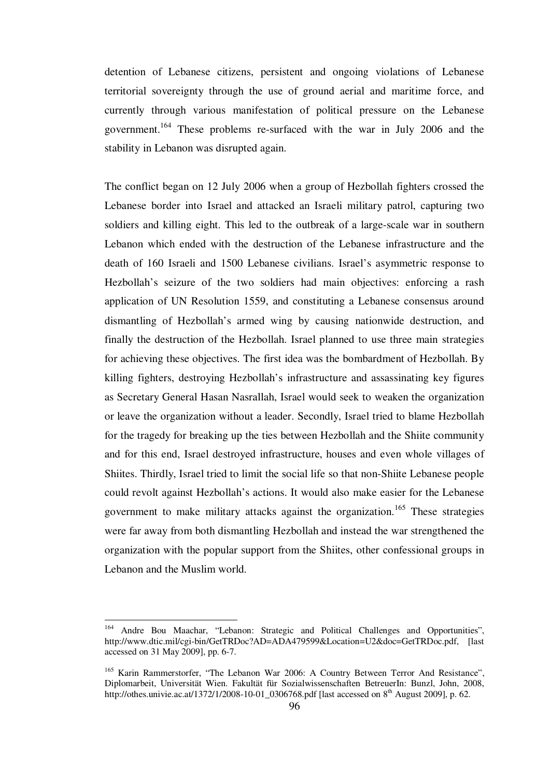detention of Lebanese citizens, persistent and ongoing violations of Lebanese territorial sovereignty through the use of ground aerial and maritime force, and currently through various manifestation of political pressure on the Lebanese government.<sup>164</sup> These problems re-surfaced with the war in July 2006 and the stability in Lebanon was disrupted again.

The conflict began on 12 July 2006 when a group of Hezbollah fighters crossed the Lebanese border into Israel and attacked an Israeli military patrol, capturing two soldiers and killing eight. This led to the outbreak of a large-scale war in southern Lebanon which ended with the destruction of the Lebanese infrastructure and the death of 160 Israeli and 1500 Lebanese civilians. Israel's asymmetric response to Hezbollah's seizure of the two soldiers had main objectives: enforcing a rash application of UN Resolution 1559, and constituting a Lebanese consensus around dismantling of Hezbollah's armed wing by causing nationwide destruction, and finally the destruction of the Hezbollah. Israel planned to use three main strategies for achieving these objectives. The first idea was the bombardment of Hezbollah. By killing fighters, destroying Hezbollah's infrastructure and assassinating key figures as Secretary General Hasan Nasrallah, Israel would seek to weaken the organization or leave the organization without a leader. Secondly, Israel tried to blame Hezbollah for the tragedy for breaking up the ties between Hezbollah and the Shiite community and for this end, Israel destroyed infrastructure, houses and even whole villages of Shiites. Thirdly, Israel tried to limit the social life so that non-Shiite Lebanese people could revolt against Hezbollah's actions. It would also make easier for the Lebanese government to make military attacks against the organization.<sup>165</sup> These strategies were far away from both dismantling Hezbollah and instead the war strengthened the organization with the popular support from the Shiites, other confessional groups in Lebanon and the Muslim world.

<sup>164</sup> <sup>164</sup> Andre Bou Maachar, "Lebanon: Strategic and Political Challenges and Opportunities", http://www.dtic.mil/cgi-bin/GetTRDoc?AD=ADA479599&Location=U2&doc=GetTRDoc.pdf, [last] accessed on 31 May 2009], pp. 6-7.

<sup>&</sup>lt;sup>165</sup> Karin Rammerstorfer, "The Lebanon War 2006: A Country Between Terror And Resistance", Diplomarbeit, Universität Wien. Fakultät für Sozialwissenschaften BetreuerIn: Bunzl, John, 2008, http://othes.univie.ac.at/1372/1/2008-10-01\_0306768.pdf [last accessed on 8<sup>th</sup> August 2009], p. 62.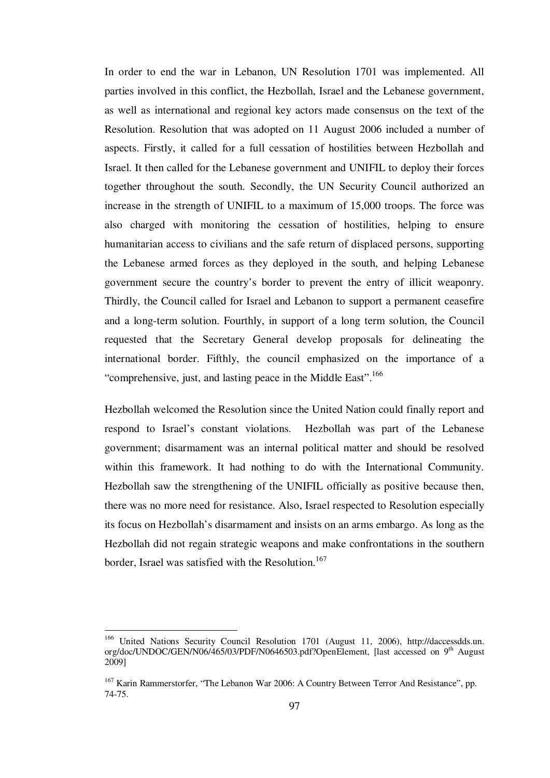In order to end the war in Lebanon, UN Resolution 1701 was implemented. All parties involved in this conflict, the Hezbollah, Israel and the Lebanese government, as well as international and regional key actors made consensus on the text of the Resolution. Resolution that was adopted on 11 August 2006 included a number of aspects. Firstly, it called for a full cessation of hostilities between Hezbollah and Israel. It then called for the Lebanese government and UNIFIL to deploy their forces together throughout the south. Secondly, the UN Security Council authorized an increase in the strength of UNIFIL to a maximum of 15,000 troops. The force was also charged with monitoring the cessation of hostilities, helping to ensure humanitarian access to civilians and the safe return of displaced persons, supporting the Lebanese armed forces as they deployed in the south, and helping Lebanese government secure the country's border to prevent the entry of illicit weaponry. Thirdly, the Council called for Israel and Lebanon to support a permanent ceasefire and a long-term solution. Fourthly, in support of a long term solution, the Council requested that the Secretary General develop proposals for delineating the international border. Fifthly, the council emphasized on the importance of a "comprehensive, just, and lasting peace in the Middle East".<sup>166</sup>

Hezbollah welcomed the Resolution since the United Nation could finally report and respond to Israel's constant violations. Hezbollah was part of the Lebanese government; disarmament was an internal political matter and should be resolved within this framework. It had nothing to do with the International Community. Hezbollah saw the strengthening of the UNIFIL officially as positive because then, there was no more need for resistance. Also, Israel respected to Resolution especially its focus on Hezbollah's disarmament and insists on an arms embargo. As long as the Hezbollah did not regain strategic weapons and make confrontations in the southern border, Israel was satisfied with the Resolution.<sup>167</sup>

<sup>166</sup> United Nations Security Council Resolution 1701 (August 11, 2006), http://daccessdds.un. org/doc/UNDOC/GEN/N06/465/03/PDF/N0646503.pdf?OpenElement, [last accessed on 9<sup>th</sup> August 2009]

<sup>&</sup>lt;sup>167</sup> Karin Rammerstorfer, "The Lebanon War 2006: A Country Between Terror And Resistance", pp. 74-75.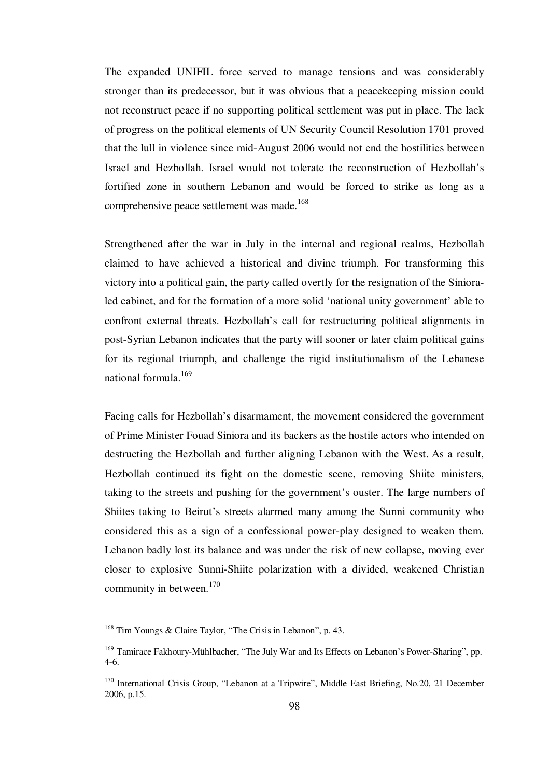The expanded UNIFIL force served to manage tensions and was considerably stronger than its predecessor, but it was obvious that a peacekeeping mission could not reconstruct peace if no supporting political settlement was put in place. The lack of progress on the political elements of UN Security Council Resolution 1701 proved that the lull in violence since mid-August 2006 would not end the hostilities between Israel and Hezbollah. Israel would not tolerate the reconstruction of Hezbollah's fortified zone in southern Lebanon and would be forced to strike as long as a comprehensive peace settlement was made.<sup>168</sup>

Strengthened after the war in July in the internal and regional realms, Hezbollah claimed to have achieved a historical and divine triumph. For transforming this victory into a political gain, the party called overtly for the resignation of the Sinioraled cabinet, and for the formation of a more solid 'national unity government' able to confront external threats. Hezbollah's call for restructuring political alignments in post-Syrian Lebanon indicates that the party will sooner or later claim political gains for its regional triumph, and challenge the rigid institutionalism of the Lebanese national formula.<sup>169</sup>

Facing calls for Hezbollah's disarmament, the movement considered the government of Prime Minister Fouad Siniora and its backers as the hostile actors who intended on destructing the Hezbollah and further aligning Lebanon with the West. As a result, Hezbollah continued its fight on the domestic scene, removing Shiite ministers, taking to the streets and pushing for the government's ouster. The large numbers of Shiites taking to Beirut's streets alarmed many among the Sunni community who considered this as a sign of a confessional power-play designed to weaken them. Lebanon badly lost its balance and was under the risk of new collapse, moving ever closer to explosive Sunni-Shiite polarization with a divided, weakened Christian community in between. $170$ 

<sup>&</sup>lt;sup>168</sup> Tim Youngs & Claire Taylor, "The Crisis in Lebanon", p. 43.

<sup>&</sup>lt;sup>169</sup> Tamirace Fakhoury-Mühlbacher, "The July War and Its Effects on Lebanon's Power-Sharing", pp. 4-6.

<sup>&</sup>lt;sup>170</sup> International Crisis Group, "Lebanon at a Tripwire", Middle East Briefing, No.20, 21 December 2006, p.15.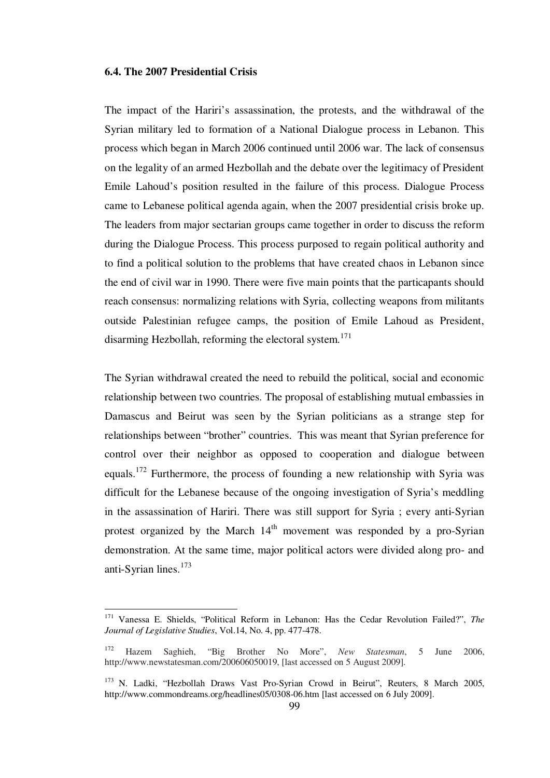#### **6.4. The 2007 Presidential Crisis**

1

The impact of the Hariri's assassination, the protests, and the withdrawal of the Syrian military led to formation of a National Dialogue process in Lebanon. This process which began in March 2006 continued until 2006 war. The lack of consensus on the legality of an armed Hezbollah and the debate over the legitimacy of President Emile Lahoud's position resulted in the failure of this process. Dialogue Process came to Lebanese political agenda again, when the 2007 presidential crisis broke up. The leaders from major sectarian groups came together in order to discuss the reform during the Dialogue Process. This process purposed to regain political authority and to find a political solution to the problems that have created chaos in Lebanon since the end of civil war in 1990. There were five main points that the particapants should reach consensus: normalizing relations with Syria, collecting weapons from militants outside Palestinian refugee camps, the position of Emile Lahoud as President, disarming Hezbollah, reforming the electoral system.<sup>171</sup>

The Syrian withdrawal created the need to rebuild the political, social and economic relationship between two countries. The proposal of establishing mutual embassies in Damascus and Beirut was seen by the Syrian politicians as a strange step for relationships between "brother" countries. This was meant that Syrian preference for control over their neighbor as opposed to cooperation and dialogue between equals.<sup>172</sup> Furthermore, the process of founding a new relationship with Syria was difficult for the Lebanese because of the ongoing investigation of Syria's meddling in the assassination of Hariri. There was still support for Syria ; every anti-Syrian protest organized by the March  $14<sup>th</sup>$  movement was responded by a pro-Syrian demonstration. At the same time, major political actors were divided along pro- and anti-Syrian lines.<sup>173</sup>

<sup>171</sup> Vanessa E. Shields, "Political Reform in Lebanon: Has the Cedar Revolution Failed?", *The Journal of Legislative Studies*, Vol.14, No. 4, pp. 477-478.

<sup>172</sup> Hazem Saghieh, "Big Brother No More", *New Statesman*, 5 June 2006, http://www.newstatesman.com/200606050019, [last accessed on 5 August 2009].

<sup>&</sup>lt;sup>173</sup> N. Ladki, "Hezbollah Draws Vast Pro-Syrian Crowd in Beirut", Reuters, 8 March 2005, http://www.commondreams.org/headlines05/0308-06.htm [last accessed on 6 July 2009].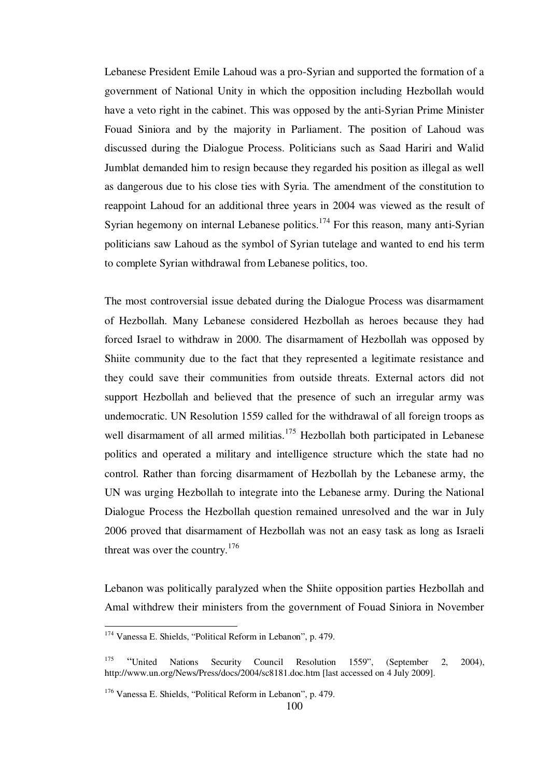Lebanese President Emile Lahoud was a pro-Syrian and supported the formation of a government of National Unity in which the opposition including Hezbollah would have a veto right in the cabinet. This was opposed by the anti-Syrian Prime Minister Fouad Siniora and by the majority in Parliament. The position of Lahoud was discussed during the Dialogue Process. Politicians such as Saad Hariri and Walid Jumblat demanded him to resign because they regarded his position as illegal as well as dangerous due to his close ties with Syria. The amendment of the constitution to reappoint Lahoud for an additional three years in 2004 was viewed as the result of Syrian hegemony on internal Lebanese politics.<sup>174</sup> For this reason, many anti-Syrian politicians saw Lahoud as the symbol of Syrian tutelage and wanted to end his term to complete Syrian withdrawal from Lebanese politics, too.

The most controversial issue debated during the Dialogue Process was disarmament of Hezbollah. Many Lebanese considered Hezbollah as heroes because they had forced Israel to withdraw in 2000. The disarmament of Hezbollah was opposed by Shiite community due to the fact that they represented a legitimate resistance and they could save their communities from outside threats. External actors did not support Hezbollah and believed that the presence of such an irregular army was undemocratic. UN Resolution 1559 called for the withdrawal of all foreign troops as well disarmament of all armed militias.<sup>175</sup> Hezbollah both participated in Lebanese politics and operated a military and intelligence structure which the state had no control. Rather than forcing disarmament of Hezbollah by the Lebanese army, the UN was urging Hezbollah to integrate into the Lebanese army. During the National Dialogue Process the Hezbollah question remained unresolved and the war in July 2006 proved that disarmament of Hezbollah was not an easy task as long as Israeli threat was over the country.<sup>176</sup>

Lebanon was politically paralyzed when the Shiite opposition parties Hezbollah and Amal withdrew their ministers from the government of Fouad Siniora in November

<sup>&</sup>lt;sup>174</sup> Vanessa E. Shields, "Political Reform in Lebanon", p. 479.

<sup>&</sup>lt;sup>175</sup> "United Nations Security Council Resolution 1559", (September 2, 2004), http://www.un.org/News/Press/docs/2004/sc8181.doc.htm [last accessed on 4 July 2009].

<sup>176</sup> Vanessa E. Shields, "Political Reform in Lebanon", p. 479.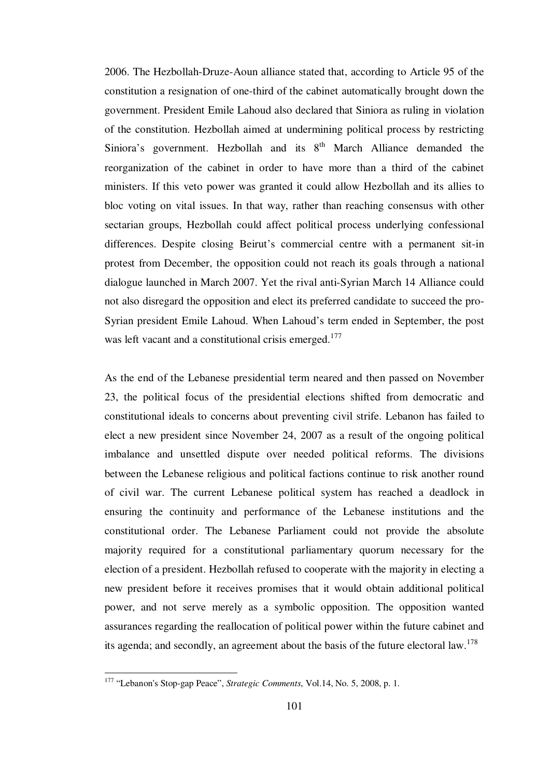2006. The Hezbollah-Druze-Aoun alliance stated that, according to Article 95 of the constitution a resignation of one-third of the cabinet automatically brought down the government. President Emile Lahoud also declared that Siniora as ruling in violation of the constitution. Hezbollah aimed at undermining political process by restricting Siniora's government. Hezbollah and its  $8<sup>th</sup>$  March Alliance demanded the reorganization of the cabinet in order to have more than a third of the cabinet ministers. If this veto power was granted it could allow Hezbollah and its allies to bloc voting on vital issues. In that way, rather than reaching consensus with other sectarian groups, Hezbollah could affect political process underlying confessional differences. Despite closing Beirut's commercial centre with a permanent sit-in protest from December, the opposition could not reach its goals through a national dialogue launched in March 2007. Yet the rival anti-Syrian March 14 Alliance could not also disregard the opposition and elect its preferred candidate to succeed the pro-Syrian president Emile Lahoud. When Lahoud's term ended in September, the post was left vacant and a constitutional crisis emerged.<sup>177</sup>

As the end of the Lebanese presidential term neared and then passed on November 23, the political focus of the presidential elections shifted from democratic and constitutional ideals to concerns about preventing civil strife. Lebanon has failed to elect a new president since November 24, 2007 as a result of the ongoing political imbalance and unsettled dispute over needed political reforms. The divisions between the Lebanese religious and political factions continue to risk another round of civil war. The current Lebanese political system has reached a deadlock in ensuring the continuity and performance of the Lebanese institutions and the constitutional order. The Lebanese Parliament could not provide the absolute majority required for a constitutional parliamentary quorum necessary for the election of a president. Hezbollah refused to cooperate with the majority in electing a new president before it receives promises that it would obtain additional political power, and not serve merely as a symbolic opposition. The opposition wanted assurances regarding the reallocation of political power within the future cabinet and its agenda; and secondly, an agreement about the basis of the future electoral law.<sup>178</sup>

<sup>177</sup> "Lebanon's Stop-gap Peace", *Strategic Comments*, Vol.14, No. 5, 2008, p. 1.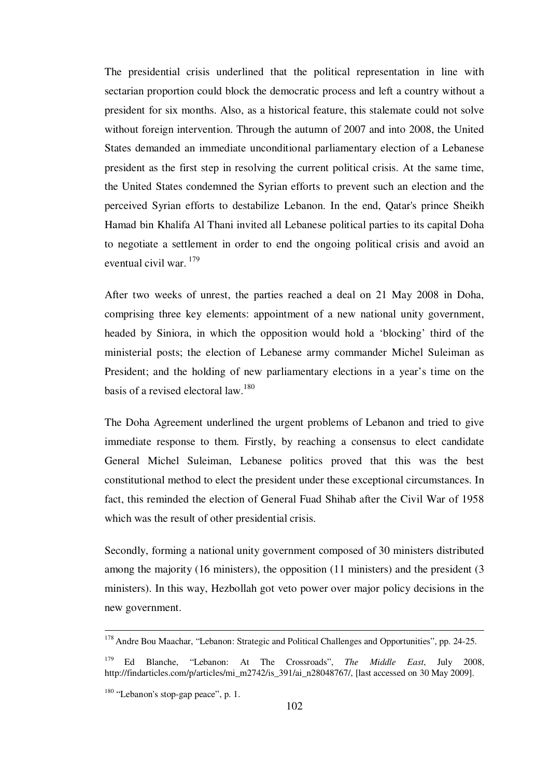The presidential crisis underlined that the political representation in line with sectarian proportion could block the democratic process and left a country without a president for six months. Also, as a historical feature, this stalemate could not solve without foreign intervention. Through the autumn of 2007 and into 2008, the United States demanded an immediate unconditional parliamentary election of a Lebanese president as the first step in resolving the current political crisis. At the same time, the United States condemned the Syrian efforts to prevent such an election and the perceived Syrian efforts to destabilize Lebanon. In the end, Qatar's prince Sheikh Hamad bin Khalifa Al Thani invited all Lebanese political parties to its capital Doha to negotiate a settlement in order to end the ongoing political crisis and avoid an eventual civil war.<sup>179</sup>

After two weeks of unrest, the parties reached a deal on 21 May 2008 in Doha, comprising three key elements: appointment of a new national unity government, headed by Siniora, in which the opposition would hold a 'blocking' third of the ministerial posts; the election of Lebanese army commander Michel Suleiman as President; and the holding of new parliamentary elections in a year's time on the basis of a revised electoral law.<sup>180</sup>

The Doha Agreement underlined the urgent problems of Lebanon and tried to give immediate response to them. Firstly, by reaching a consensus to elect candidate General Michel Suleiman, Lebanese politics proved that this was the best constitutional method to elect the president under these exceptional circumstances. In fact, this reminded the election of General Fuad Shihab after the Civil War of 1958 which was the result of other presidential crisis.

Secondly, forming a national unity government composed of 30 ministers distributed among the majority (16 ministers), the opposition (11 ministers) and the president (3 ministers). In this way, Hezbollah got veto power over major policy decisions in the new government.

<sup>&</sup>lt;sup>178</sup> Andre Bou Maachar, "Lebanon: Strategic and Political Challenges and Opportunities", pp. 24-25.

<sup>179</sup>Ed Blanche, "Lebanon: At The Crossroads", *The Middle East*, July 2008, http://findarticles.com/p/articles/mi\_m2742/is\_391/ai\_n28048767/, [last accessed on 30 May 2009].

<sup>180</sup> "Lebanon's stop-gap peace", p. 1.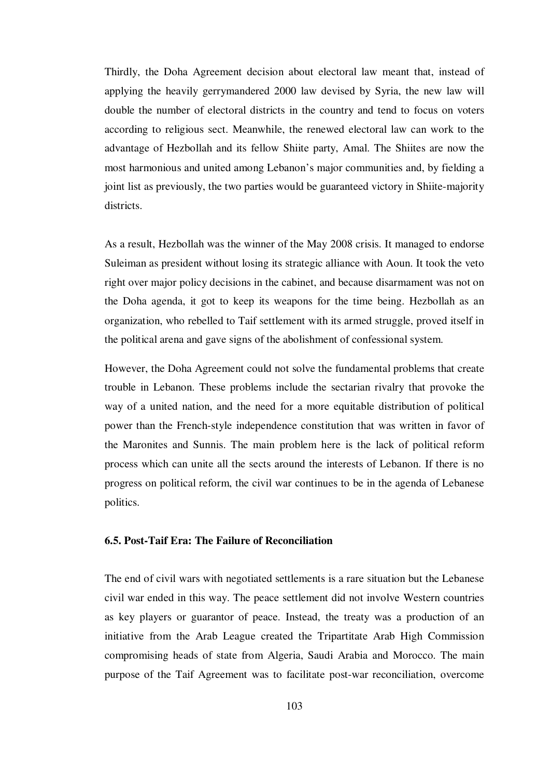Thirdly, the Doha Agreement decision about electoral law meant that, instead of applying the heavily gerrymandered 2000 law devised by Syria, the new law will double the number of electoral districts in the country and tend to focus on voters according to religious sect. Meanwhile, the renewed electoral law can work to the advantage of Hezbollah and its fellow Shiite party, Amal. The Shiites are now the most harmonious and united among Lebanon's major communities and, by fielding a joint list as previously, the two parties would be guaranteed victory in Shiite-majority districts.

As a result, Hezbollah was the winner of the May 2008 crisis. It managed to endorse Suleiman as president without losing its strategic alliance with Aoun. It took the veto right over major policy decisions in the cabinet, and because disarmament was not on the Doha agenda, it got to keep its weapons for the time being. Hezbollah as an organization, who rebelled to Taif settlement with its armed struggle, proved itself in the political arena and gave signs of the abolishment of confessional system.

However, the Doha Agreement could not solve the fundamental problems that create trouble in Lebanon. These problems include the sectarian rivalry that provoke the way of a united nation, and the need for a more equitable distribution of political power than the French-style independence constitution that was written in favor of the Maronites and Sunnis. The main problem here is the lack of political reform process which can unite all the sects around the interests of Lebanon. If there is no progress on political reform, the civil war continues to be in the agenda of Lebanese politics.

# **6.5. Post-Taif Era: The Failure of Reconciliation**

The end of civil wars with negotiated settlements is a rare situation but the Lebanese civil war ended in this way. The peace settlement did not involve Western countries as key players or guarantor of peace. Instead, the treaty was a production of an initiative from the Arab League created the Tripartitate Arab High Commission compromising heads of state from Algeria, Saudi Arabia and Morocco. The main purpose of the Taif Agreement was to facilitate post-war reconciliation, overcome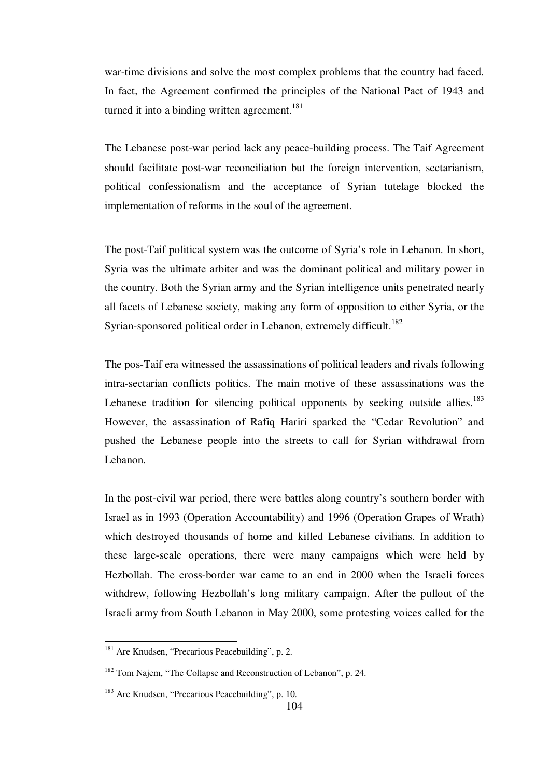war-time divisions and solve the most complex problems that the country had faced. In fact, the Agreement confirmed the principles of the National Pact of 1943 and turned it into a binding written agreement.<sup>181</sup>

The Lebanese post-war period lack any peace-building process. The Taif Agreement should facilitate post-war reconciliation but the foreign intervention, sectarianism, political confessionalism and the acceptance of Syrian tutelage blocked the implementation of reforms in the soul of the agreement.

The post-Taif political system was the outcome of Syria's role in Lebanon. In short, Syria was the ultimate arbiter and was the dominant political and military power in the country. Both the Syrian army and the Syrian intelligence units penetrated nearly all facets of Lebanese society, making any form of opposition to either Syria, or the Syrian-sponsored political order in Lebanon, extremely difficult.<sup>182</sup>

The pos-Taif era witnessed the assassinations of political leaders and rivals following intra-sectarian conflicts politics. The main motive of these assassinations was the Lebanese tradition for silencing political opponents by seeking outside allies.<sup>183</sup> However, the assassination of Rafiq Hariri sparked the "Cedar Revolution" and pushed the Lebanese people into the streets to call for Syrian withdrawal from Lebanon.

In the post-civil war period, there were battles along country's southern border with Israel as in 1993 (Operation Accountability) and 1996 (Operation Grapes of Wrath) which destroyed thousands of home and killed Lebanese civilians. In addition to these large-scale operations, there were many campaigns which were held by Hezbollah. The cross-border war came to an end in 2000 when the Israeli forces withdrew, following Hezbollah's long military campaign. After the pullout of the Israeli army from South Lebanon in May 2000, some protesting voices called for the

<sup>&</sup>lt;sup>181</sup> Are Knudsen, "Precarious Peacebuilding", p. 2.

<sup>182</sup> Tom Najem, "The Collapse and Reconstruction of Lebanon", p. 24.

<sup>183</sup> Are Knudsen, "Precarious Peacebuilding", p. 10.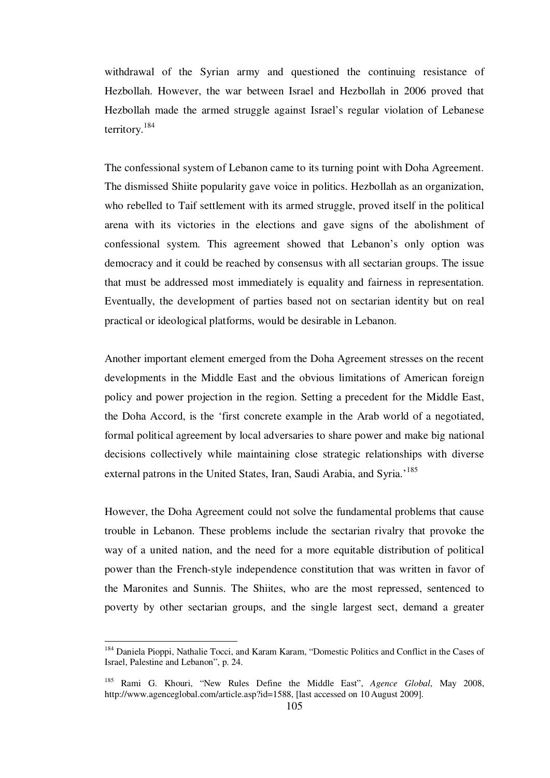withdrawal of the Syrian army and questioned the continuing resistance of Hezbollah. However, the war between Israel and Hezbollah in 2006 proved that Hezbollah made the armed struggle against Israel's regular violation of Lebanese territory.<sup>184</sup>

The confessional system of Lebanon came to its turning point with Doha Agreement. The dismissed Shiite popularity gave voice in politics. Hezbollah as an organization, who rebelled to Taif settlement with its armed struggle, proved itself in the political arena with its victories in the elections and gave signs of the abolishment of confessional system. This agreement showed that Lebanon's only option was democracy and it could be reached by consensus with all sectarian groups. The issue that must be addressed most immediately is equality and fairness in representation. Eventually, the development of parties based not on sectarian identity but on real practical or ideological platforms, would be desirable in Lebanon.

Another important element emerged from the Doha Agreement stresses on the recent developments in the Middle East and the obvious limitations of American foreign policy and power projection in the region. Setting a precedent for the Middle East, the Doha Accord, is the 'first concrete example in the Arab world of a negotiated, formal political agreement by local adversaries to share power and make big national decisions collectively while maintaining close strategic relationships with diverse external patrons in the United States, Iran, Saudi Arabia, and Syria.<sup>185</sup>

However, the Doha Agreement could not solve the fundamental problems that cause trouble in Lebanon. These problems include the sectarian rivalry that provoke the way of a united nation, and the need for a more equitable distribution of political power than the French-style independence constitution that was written in favor of the Maronites and Sunnis. The Shiites, who are the most repressed, sentenced to poverty by other sectarian groups, and the single largest sect, demand a greater

<sup>&</sup>lt;sup>184</sup> Daniela Pioppi, Nathalie Tocci, and Karam Karam, "Domestic Politics and Conflict in the Cases of Israel, Palestine and Lebanon", p. 24.

<sup>185</sup> Rami G. Khouri, "New Rules Define the Middle East", *Agence Global*, May 2008, http://www.agenceglobal.com/article.asp?id=1588, [last accessed on 10 August 2009].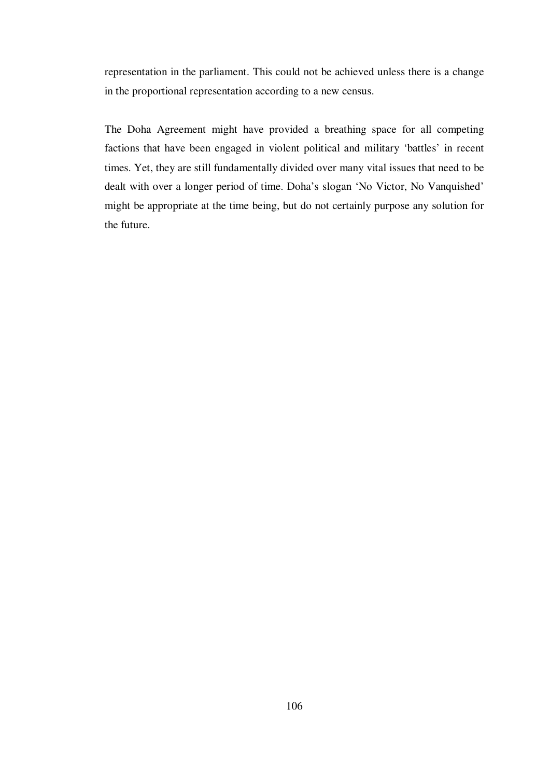representation in the parliament. This could not be achieved unless there is a change in the proportional representation according to a new census.

The Doha Agreement might have provided a breathing space for all competing factions that have been engaged in violent political and military 'battles' in recent times. Yet, they are still fundamentally divided over many vital issues that need to be dealt with over a longer period of time. Doha's slogan 'No Victor, No Vanquished' might be appropriate at the time being, but do not certainly purpose any solution for the future.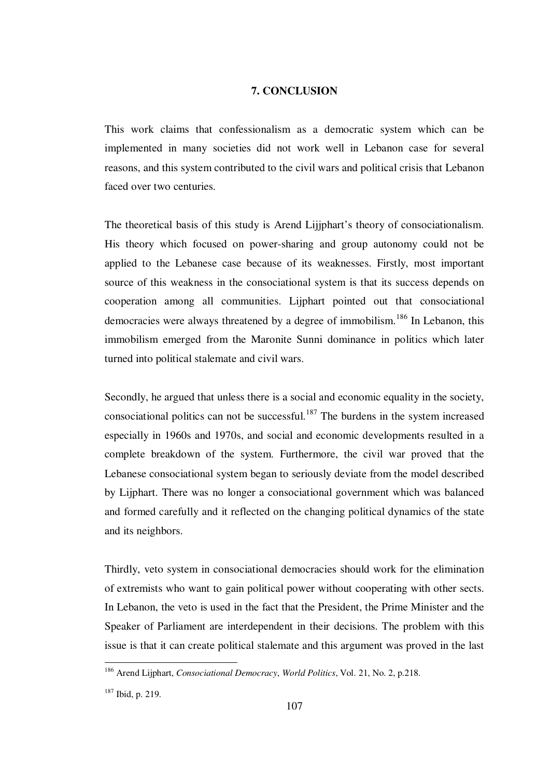# **7. CONCLUSION**

This work claims that confessionalism as a democratic system which can be implemented in many societies did not work well in Lebanon case for several reasons, and this system contributed to the civil wars and political crisis that Lebanon faced over two centuries.

The theoretical basis of this study is Arend Lijjphart's theory of consociationalism. His theory which focused on power-sharing and group autonomy could not be applied to the Lebanese case because of its weaknesses. Firstly, most important source of this weakness in the consociational system is that its success depends on cooperation among all communities. Lijphart pointed out that consociational democracies were always threatened by a degree of immobilism.<sup>186</sup> In Lebanon, this immobilism emerged from the Maronite Sunni dominance in politics which later turned into political stalemate and civil wars.

Secondly, he argued that unless there is a social and economic equality in the society, consociational politics can not be successful. $187$  The burdens in the system increased especially in 1960s and 1970s, and social and economic developments resulted in a complete breakdown of the system. Furthermore, the civil war proved that the Lebanese consociational system began to seriously deviate from the model described by Lijphart. There was no longer a consociational government which was balanced and formed carefully and it reflected on the changing political dynamics of the state and its neighbors.

Thirdly, veto system in consociational democracies should work for the elimination of extremists who want to gain political power without cooperating with other sects. In Lebanon, the veto is used in the fact that the President, the Prime Minister and the Speaker of Parliament are interdependent in their decisions. The problem with this issue is that it can create political stalemate and this argument was proved in the last

<sup>186</sup> Arend Lijphart, *Consociational Democracy*, *World Politics*, Vol. 21, No. 2, p.218.

<sup>187</sup> Ibid, p. 219.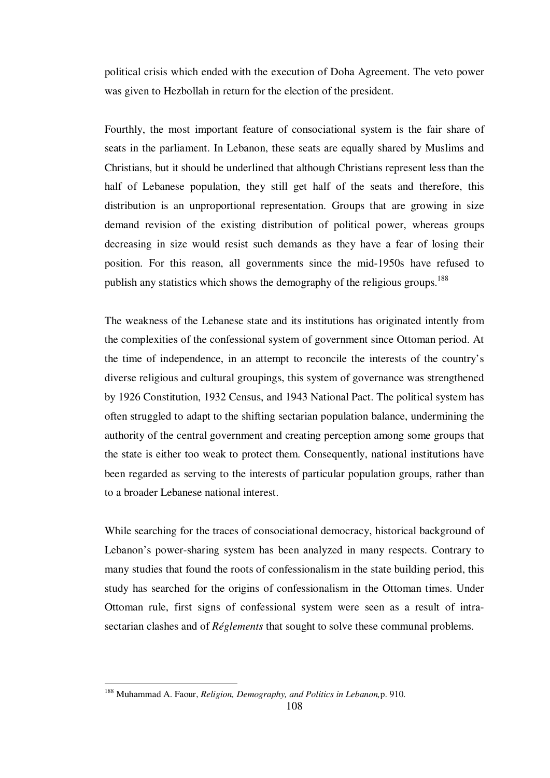political crisis which ended with the execution of Doha Agreement. The veto power was given to Hezbollah in return for the election of the president.

Fourthly, the most important feature of consociational system is the fair share of seats in the parliament. In Lebanon, these seats are equally shared by Muslims and Christians, but it should be underlined that although Christians represent less than the half of Lebanese population, they still get half of the seats and therefore, this distribution is an unproportional representation. Groups that are growing in size demand revision of the existing distribution of political power, whereas groups decreasing in size would resist such demands as they have a fear of losing their position. For this reason, all governments since the mid-1950s have refused to publish any statistics which shows the demography of the religious groups.<sup>188</sup>

The weakness of the Lebanese state and its institutions has originated intently from the complexities of the confessional system of government since Ottoman period. At the time of independence, in an attempt to reconcile the interests of the country's diverse religious and cultural groupings, this system of governance was strengthened by 1926 Constitution, 1932 Census, and 1943 National Pact. The political system has often struggled to adapt to the shifting sectarian population balance, undermining the authority of the central government and creating perception among some groups that the state is either too weak to protect them. Consequently, national institutions have been regarded as serving to the interests of particular population groups, rather than to a broader Lebanese national interest.

While searching for the traces of consociational democracy, historical background of Lebanon's power-sharing system has been analyzed in many respects. Contrary to many studies that found the roots of confessionalism in the state building period, this study has searched for the origins of confessionalism in the Ottoman times. Under Ottoman rule, first signs of confessional system were seen as a result of intrasectarian clashes and of *Réglements* that sought to solve these communal problems.

<sup>188</sup> Muhammad A. Faour, *Religion, Demography, and Politics in Lebanon,*p. 910.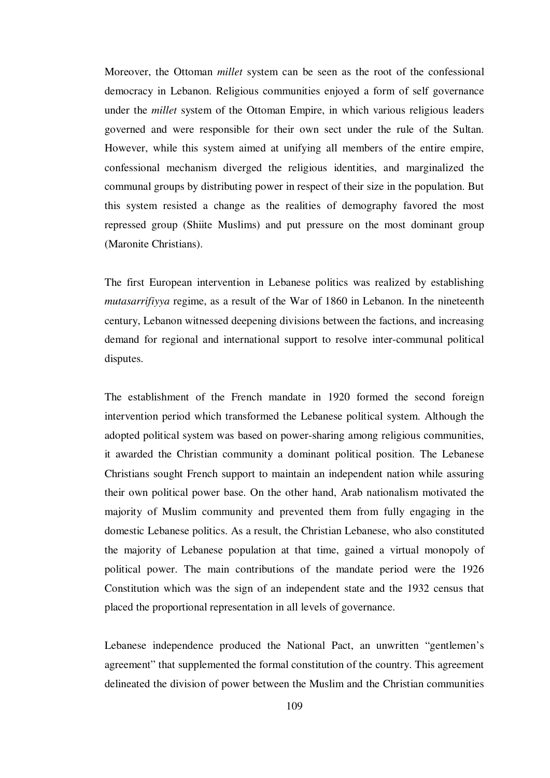Moreover, the Ottoman *millet* system can be seen as the root of the confessional democracy in Lebanon. Religious communities enjoyed a form of self governance under the *millet* system of the Ottoman Empire, in which various religious leaders governed and were responsible for their own sect under the rule of the Sultan. However, while this system aimed at unifying all members of the entire empire, confessional mechanism diverged the religious identities, and marginalized the communal groups by distributing power in respect of their size in the population. But this system resisted a change as the realities of demography favored the most repressed group (Shiite Muslims) and put pressure on the most dominant group (Maronite Christians).

The first European intervention in Lebanese politics was realized by establishing *mutasarrifiyya* regime, as a result of the War of 1860 in Lebanon. In the nineteenth century, Lebanon witnessed deepening divisions between the factions, and increasing demand for regional and international support to resolve inter-communal political disputes.

The establishment of the French mandate in 1920 formed the second foreign intervention period which transformed the Lebanese political system. Although the adopted political system was based on power-sharing among religious communities, it awarded the Christian community a dominant political position. The Lebanese Christians sought French support to maintain an independent nation while assuring their own political power base. On the other hand, Arab nationalism motivated the majority of Muslim community and prevented them from fully engaging in the domestic Lebanese politics. As a result, the Christian Lebanese, who also constituted the majority of Lebanese population at that time, gained a virtual monopoly of political power. The main contributions of the mandate period were the 1926 Constitution which was the sign of an independent state and the 1932 census that placed the proportional representation in all levels of governance.

Lebanese independence produced the National Pact, an unwritten "gentlemen's agreement" that supplemented the formal constitution of the country. This agreement delineated the division of power between the Muslim and the Christian communities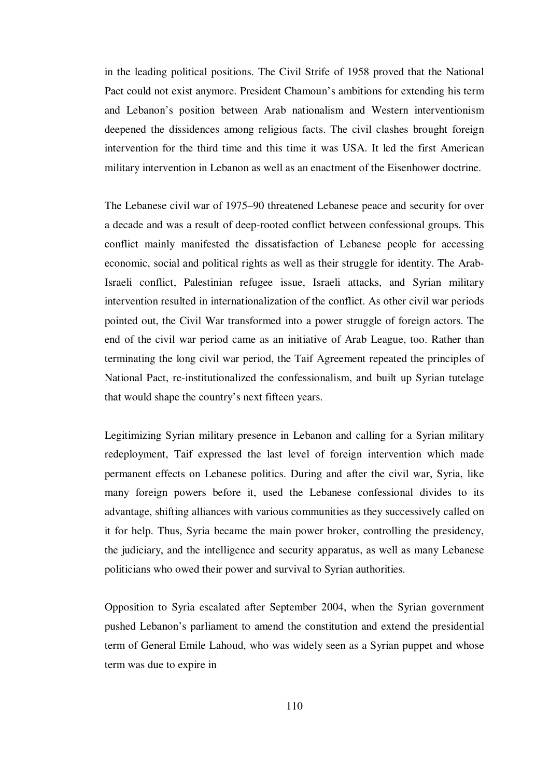in the leading political positions. The Civil Strife of 1958 proved that the National Pact could not exist anymore. President Chamoun's ambitions for extending his term and Lebanon's position between Arab nationalism and Western interventionism deepened the dissidences among religious facts. The civil clashes brought foreign intervention for the third time and this time it was USA. It led the first American military intervention in Lebanon as well as an enactment of the Eisenhower doctrine.

The Lebanese civil war of 1975–90 threatened Lebanese peace and security for over a decade and was a result of deep-rooted conflict between confessional groups. This conflict mainly manifested the dissatisfaction of Lebanese people for accessing economic, social and political rights as well as their struggle for identity. The Arab-Israeli conflict, Palestinian refugee issue, Israeli attacks, and Syrian military intervention resulted in internationalization of the conflict. As other civil war periods pointed out, the Civil War transformed into a power struggle of foreign actors. The end of the civil war period came as an initiative of Arab League, too. Rather than terminating the long civil war period, the Taif Agreement repeated the principles of National Pact, re-institutionalized the confessionalism, and built up Syrian tutelage that would shape the country's next fifteen years.

Legitimizing Syrian military presence in Lebanon and calling for a Syrian military redeployment, Taif expressed the last level of foreign intervention which made permanent effects on Lebanese politics. During and after the civil war, Syria, like many foreign powers before it, used the Lebanese confessional divides to its advantage, shifting alliances with various communities as they successively called on it for help. Thus, Syria became the main power broker, controlling the presidency, the judiciary, and the intelligence and security apparatus, as well as many Lebanese politicians who owed their power and survival to Syrian authorities.

Opposition to Syria escalated after September 2004, when the Syrian government pushed Lebanon's parliament to amend the constitution and extend the presidential term of General Emile Lahoud, who was widely seen as a Syrian puppet and whose term was due to expire in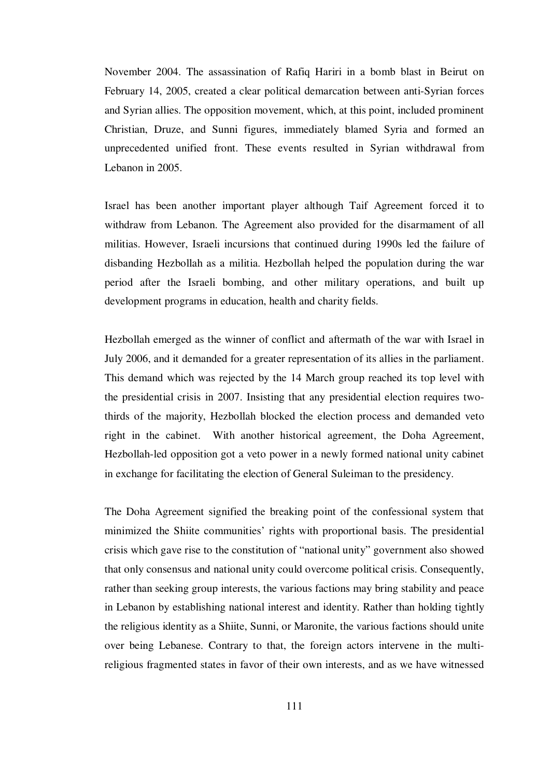November 2004. The assassination of Rafiq Hariri in a bomb blast in Beirut on February 14, 2005, created a clear political demarcation between anti-Syrian forces and Syrian allies. The opposition movement, which, at this point, included prominent Christian, Druze, and Sunni figures, immediately blamed Syria and formed an unprecedented unified front. These events resulted in Syrian withdrawal from Lebanon in 2005.

Israel has been another important player although Taif Agreement forced it to withdraw from Lebanon. The Agreement also provided for the disarmament of all militias. However, Israeli incursions that continued during 1990s led the failure of disbanding Hezbollah as a militia. Hezbollah helped the population during the war period after the Israeli bombing, and other military operations, and built up development programs in education, health and charity fields.

Hezbollah emerged as the winner of conflict and aftermath of the war with Israel in July 2006, and it demanded for a greater representation of its allies in the parliament. This demand which was rejected by the 14 March group reached its top level with the presidential crisis in 2007. Insisting that any presidential election requires twothirds of the majority, Hezbollah blocked the election process and demanded veto right in the cabinet. With another historical agreement, the Doha Agreement, Hezbollah-led opposition got a veto power in a newly formed national unity cabinet in exchange for facilitating the election of General Suleiman to the presidency.

The Doha Agreement signified the breaking point of the confessional system that minimized the Shiite communities' rights with proportional basis. The presidential crisis which gave rise to the constitution of "national unity" government also showed that only consensus and national unity could overcome political crisis. Consequently, rather than seeking group interests, the various factions may bring stability and peace in Lebanon by establishing national interest and identity. Rather than holding tightly the religious identity as a Shiite, Sunni, or Maronite, the various factions should unite over being Lebanese. Contrary to that, the foreign actors intervene in the multireligious fragmented states in favor of their own interests, and as we have witnessed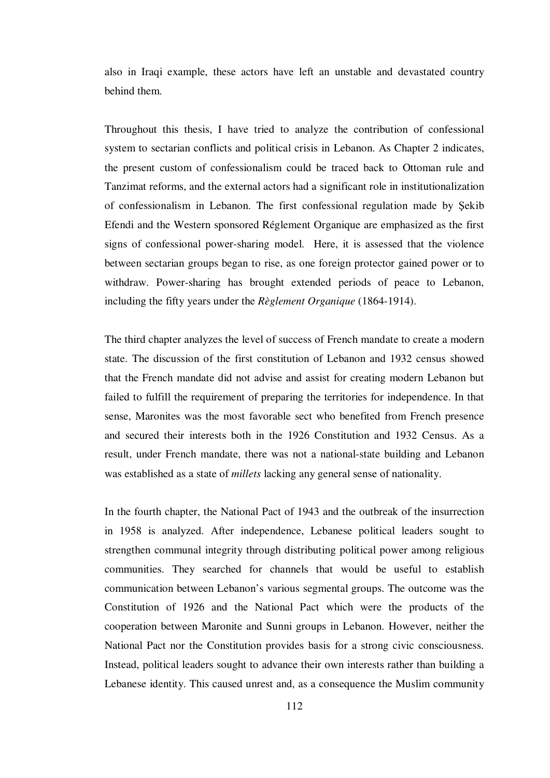also in Iraqi example, these actors have left an unstable and devastated country behind them.

Throughout this thesis, I have tried to analyze the contribution of confessional system to sectarian conflicts and political crisis in Lebanon. As Chapter 2 indicates, the present custom of confessionalism could be traced back to Ottoman rule and Tanzimat reforms, and the external actors had a significant role in institutionalization of confessionalism in Lebanon. The first confessional regulation made by Şekib Efendi and the Western sponsored Réglement Organique are emphasized as the first signs of confessional power-sharing model. Here, it is assessed that the violence between sectarian groups began to rise, as one foreign protector gained power or to withdraw. Power-sharing has brought extended periods of peace to Lebanon, including the fifty years under the *Règlement Organique* (1864-1914).

The third chapter analyzes the level of success of French mandate to create a modern state. The discussion of the first constitution of Lebanon and 1932 census showed that the French mandate did not advise and assist for creating modern Lebanon but failed to fulfill the requirement of preparing the territories for independence. In that sense, Maronites was the most favorable sect who benefited from French presence and secured their interests both in the 1926 Constitution and 1932 Census. As a result, under French mandate, there was not a national-state building and Lebanon was established as a state of *millets* lacking any general sense of nationality.

In the fourth chapter, the National Pact of 1943 and the outbreak of the insurrection in 1958 is analyzed. After independence, Lebanese political leaders sought to strengthen communal integrity through distributing political power among religious communities. They searched for channels that would be useful to establish communication between Lebanon's various segmental groups. The outcome was the Constitution of 1926 and the National Pact which were the products of the cooperation between Maronite and Sunni groups in Lebanon. However, neither the National Pact nor the Constitution provides basis for a strong civic consciousness. Instead, political leaders sought to advance their own interests rather than building a Lebanese identity. This caused unrest and, as a consequence the Muslim community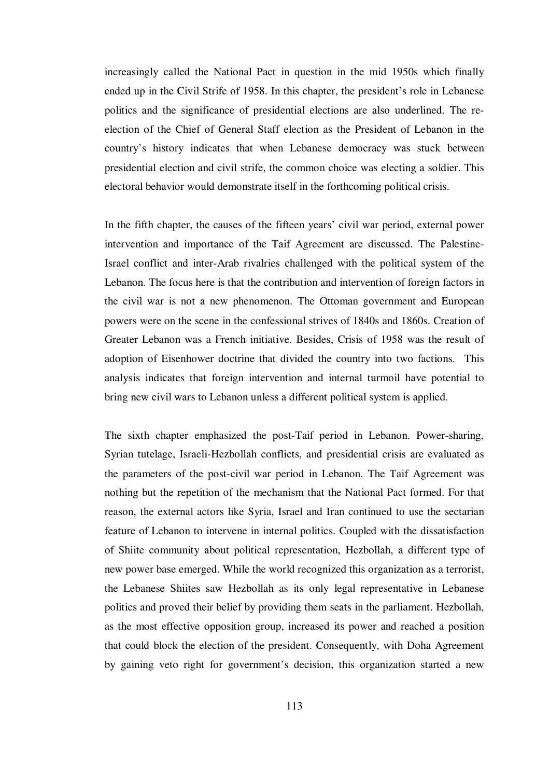increasingly called the National Pact in question in the mid 1950s which finally ended up in the Civil Strife of 1958. In this chapter, the president's role in Lebanese politics and the significance of presidential elections are also underlined. The reelection of the Chief of General Staff election as the President of Lebanon in the country's history indicates that when Lebanese democracy was stuck between presidential election and civil strife, the common choice was electing a soldier. This electoral behavior would demonstrate itself in the forthcoming political crisis.

In the fifth chapter, the causes of the fifteen years' civil war period, external power intervention and importance of the Taif Agreement are discussed. The Palestine-Israel conflict and inter-Arab rivalries challenged with the political system of the Lebanon. The focus here is that the contribution and intervention of foreign factors in the civil war is not a new phenomenon. The Ottoman government and European powers were on the scene in the confessional strives of 1840s and 1860s. Creation of Greater Lebanon was a French initiative. Besides, Crisis of 1958 was the result of adoption of Eisenhower doctrine that divided the country into two factions. This analysis indicates that foreign intervention and internal turmoil have potential to bring new civil wars to Lebanon unless a different political system is applied.

The sixth chapter emphasized the post-Taif period in Lebanon. Power-sharing, Syrian tutelage, Israeli-Hezbollah conflicts, and presidential crisis are evaluated as the parameters of the post-civil war period in Lebanon. The Taif Agreement was nothing but the repetition of the mechanism that the National Pact formed. For that reason, the external actors like Syria, Israel and Iran continued to use the sectarian feature of Lebanon to intervene in internal politics. Coupled with the dissatisfaction of Shiite community about political representation, Hezbollah, a different type of new power base emerged. While the world recognized this organization as a terrorist, the Lebanese Shiites saw Hezbollah as its only legal representative in Lebanese politics and proved their belief by providing them seats in the parliament. Hezbollah, as the most effective opposition group, increased its power and reached a position that could block the election of the president. Consequently, with Doha Agreement by gaining veto right for government's decision, this organization started a new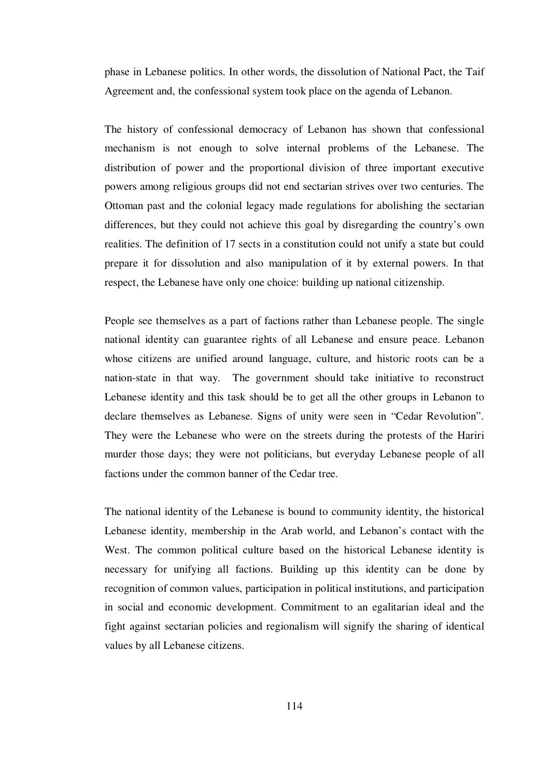phase in Lebanese politics. In other words, the dissolution of National Pact, the Taif Agreement and, the confessional system took place on the agenda of Lebanon.

The history of confessional democracy of Lebanon has shown that confessional mechanism is not enough to solve internal problems of the Lebanese. The distribution of power and the proportional division of three important executive powers among religious groups did not end sectarian strives over two centuries. The Ottoman past and the colonial legacy made regulations for abolishing the sectarian differences, but they could not achieve this goal by disregarding the country's own realities. The definition of 17 sects in a constitution could not unify a state but could prepare it for dissolution and also manipulation of it by external powers. In that respect, the Lebanese have only one choice: building up national citizenship.

People see themselves as a part of factions rather than Lebanese people. The single national identity can guarantee rights of all Lebanese and ensure peace. Lebanon whose citizens are unified around language, culture, and historic roots can be a nation-state in that way. The government should take initiative to reconstruct Lebanese identity and this task should be to get all the other groups in Lebanon to declare themselves as Lebanese. Signs of unity were seen in "Cedar Revolution". They were the Lebanese who were on the streets during the protests of the Hariri murder those days; they were not politicians, but everyday Lebanese people of all factions under the common banner of the Cedar tree.

The national identity of the Lebanese is bound to community identity, the historical Lebanese identity, membership in the Arab world, and Lebanon's contact with the West. The common political culture based on the historical Lebanese identity is necessary for unifying all factions. Building up this identity can be done by recognition of common values, participation in political institutions, and participation in social and economic development. Commitment to an egalitarian ideal and the fight against sectarian policies and regionalism will signify the sharing of identical values by all Lebanese citizens.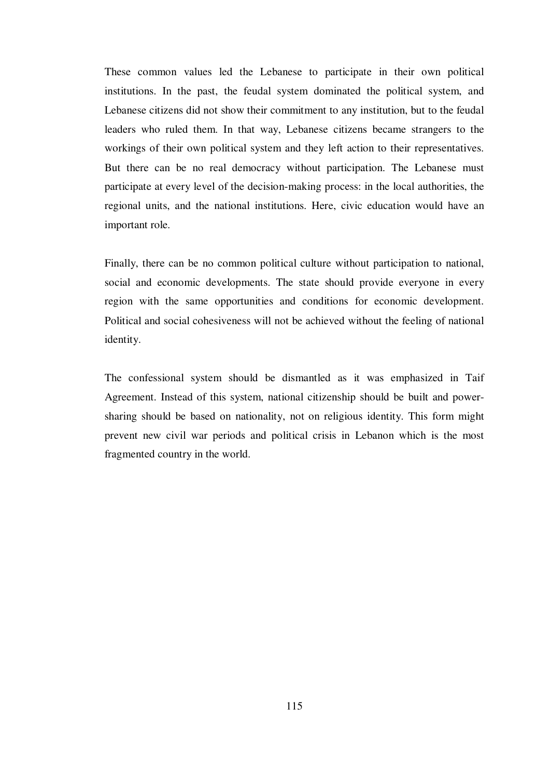These common values led the Lebanese to participate in their own political institutions. In the past, the feudal system dominated the political system, and Lebanese citizens did not show their commitment to any institution, but to the feudal leaders who ruled them. In that way, Lebanese citizens became strangers to the workings of their own political system and they left action to their representatives. But there can be no real democracy without participation. The Lebanese must participate at every level of the decision-making process: in the local authorities, the regional units, and the national institutions. Here, civic education would have an important role.

Finally, there can be no common political culture without participation to national, social and economic developments. The state should provide everyone in every region with the same opportunities and conditions for economic development. Political and social cohesiveness will not be achieved without the feeling of national identity.

The confessional system should be dismantled as it was emphasized in Taif Agreement. Instead of this system, national citizenship should be built and powersharing should be based on nationality, not on religious identity. This form might prevent new civil war periods and political crisis in Lebanon which is the most fragmented country in the world.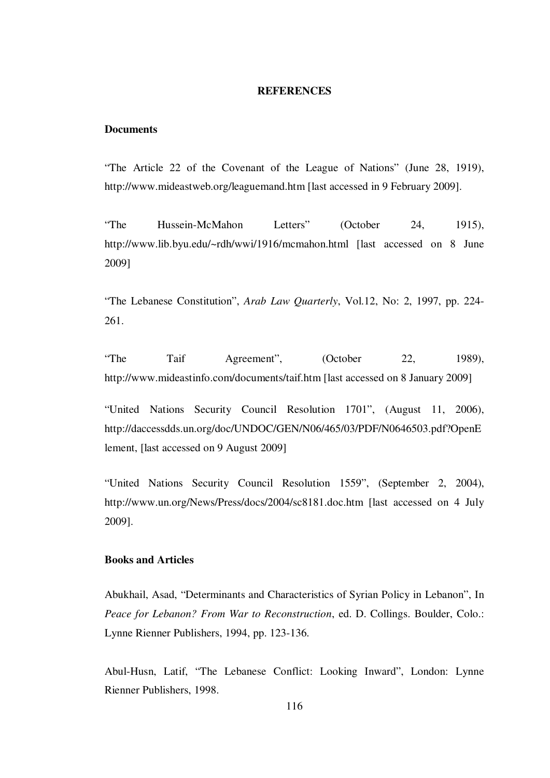#### **REFERENCES**

## **Documents**

"The Article 22 of the Covenant of the League of Nations" (June 28, 1919), http://www.mideastweb.org/leaguemand.htm [last accessed in 9 February 2009].

"The Hussein-McMahon Letters" (October 24, 1915), http://www.lib.byu.edu/~rdh/wwi/1916/mcmahon.html [last accessed on 8 June 2009]

"The Lebanese Constitution", *Arab Law Quarterly*, Vol.12, No: 2, 1997, pp. 224- 261.

"The Taif Agreement", (October 22, 1989), http://www.mideastinfo.com/documents/taif.htm [last accessed on 8 January 2009]

"United Nations Security Council Resolution 1701", (August 11, 2006), http://daccessdds.un.org/doc/UNDOC/GEN/N06/465/03/PDF/N0646503.pdf?OpenE lement, [last accessed on 9 August 2009]

"United Nations Security Council Resolution 1559", (September 2, 2004), http://www.un.org/News/Press/docs/2004/sc8181.doc.htm [last accessed on 4 July 2009].

## **Books and Articles**

Abukhail, Asad, "Determinants and Characteristics of Syrian Policy in Lebanon", In *Peace for Lebanon? From War to Reconstruction*, ed. D. Collings. Boulder, Colo.: Lynne Rienner Publishers, 1994, pp. 123-136.

Abul-Husn, Latif, "The Lebanese Conflict: Looking Inward", London: Lynne Rienner Publishers, 1998.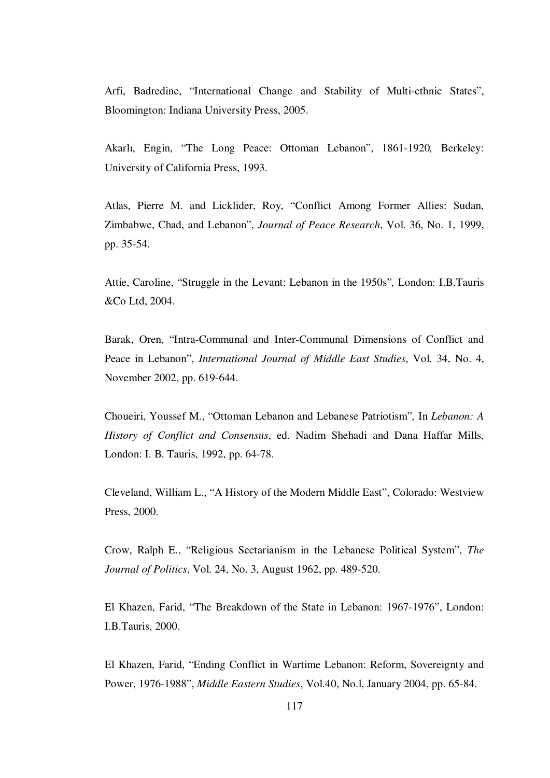Arfi, Badredine, "International Change and Stability of Multi-ethnic States", Bloomington: Indiana University Press, 2005.

Akarlı, Engin, "The Long Peace: Ottoman Lebanon", 1861-1920*,* Berkeley: University of California Press, 1993.

Atlas, Pierre M. and Licklider, Roy, "Conflict Among Former Allies: Sudan, Zimbabwe, Chad, and Lebanon", *Journal of Peace Research*, Vol. 36, No. 1, 1999, pp. 35-54.

Attie, Caroline, "Struggle in the Levant: Lebanon in the 1950s"*,* London: I.B.Tauris &Co Ltd, 2004.

Barak, Oren, "Intra-Communal and Inter-Communal Dimensions of Conflict and Peace in Lebanon", *International Journal of Middle East Studies*, Vol. 34, No. 4, November 2002, pp. 619-644.

Choueiri, Youssef M., "Ottoman Lebanon and Lebanese Patriotism"*,* In *Lebanon: A History of Conflict and Consensus*, ed. Nadim Shehadi and Dana Haffar Mills, London: I. B. Tauris, 1992, pp. 64-78.

Cleveland, William L., "A History of the Modern Middle East", Colorado: Westview Press, 2000.

Crow, Ralph E., "Religious Sectarianism in the Lebanese Political System", *The Journal of Politics*, Vol. 24, No. 3, August 1962, pp. 489-520.

El Khazen, Farid, "The Breakdown of the State in Lebanon: 1967-1976", London: I.B.Tauris, 2000.

El Khazen, Farid, "Ending Conflict in Wartime Lebanon: Reform, Sovereignty and Power, 1976-1988", *Middle Eastern Studies*, Vol.40, No.l, January 2004, pp. 65-84.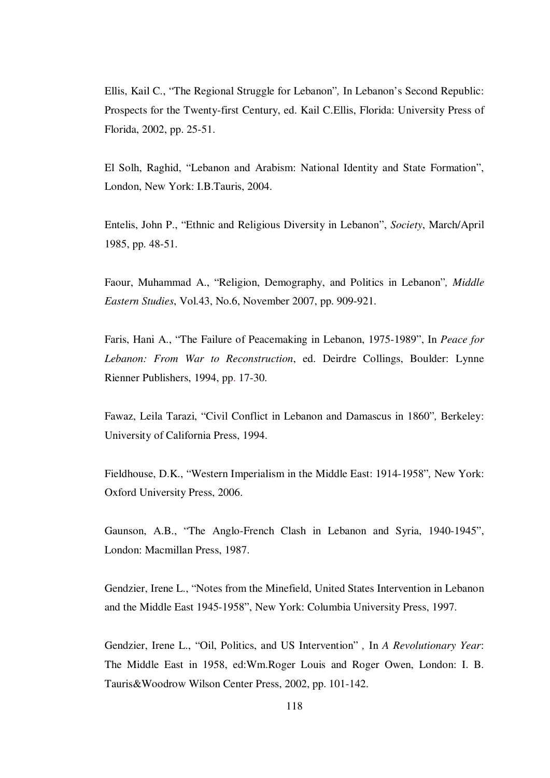Ellis, Kail C., "The Regional Struggle for Lebanon"*,* In Lebanon's Second Republic: Prospects for the Twenty-first Century, ed. Kail C.Ellis, Florida: University Press of Florida, 2002, pp. 25-51.

El Solh, Raghid, "Lebanon and Arabism: National Identity and State Formation", London, New York: I.B.Tauris, 2004.

Entelis, John P., "Ethnic and Religious Diversity in Lebanon", *Society*, March/April 1985, pp. 48-51.

Faour, Muhammad A., "Religion, Demography, and Politics in Lebanon"*, Middle Eastern Studies*, Vol.43, No.6, November 2007, pp. 909-921.

Faris, Hani A., "The Failure of Peacemaking in Lebanon, 1975-1989", In *Peace for Lebanon: From War to Reconstruction*, ed. Deirdre Collings, Boulder: Lynne Rienner Publishers, 1994, pp. 17-30.

Fawaz, Leila Tarazi, "Civil Conflict in Lebanon and Damascus in 1860"*,* Berkeley: University of California Press, 1994.

Fieldhouse, D.K., "Western Imperialism in the Middle East: 1914-1958"*,* New York: Oxford University Press, 2006.

Gaunson, A.B., "The Anglo-French Clash in Lebanon and Syria, 1940-1945", London: Macmillan Press, 1987.

Gendzier, Irene L., "Notes from the Minefield, United States Intervention in Lebanon and the Middle East 1945-1958", New York: Columbia University Press, 1997.

Gendzier, Irene L., "Oil, Politics, and US Intervention" *,* In *A Revolutionary Year*: The Middle East in 1958, ed:Wm.Roger Louis and Roger Owen, London: I. B. Tauris&Woodrow Wilson Center Press, 2002, pp. 101-142.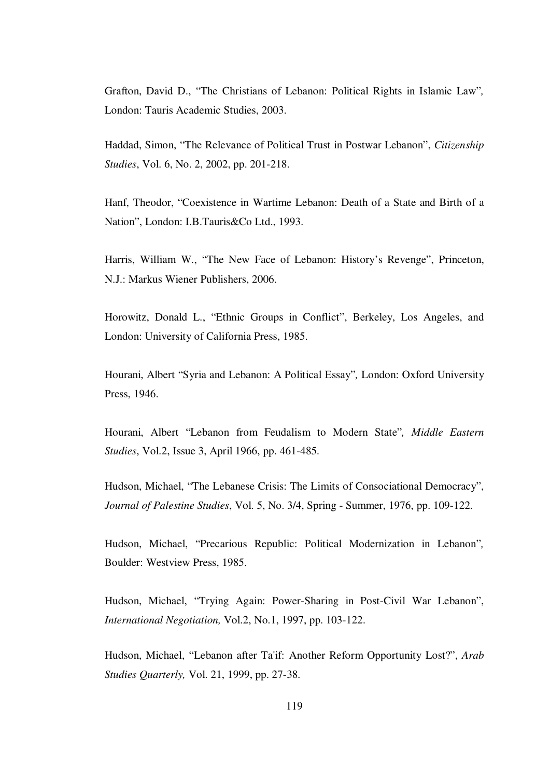Grafton, David D., "The Christians of Lebanon: Political Rights in Islamic Law"*,* London: Tauris Academic Studies, 2003.

Haddad, Simon, "The Relevance of Political Trust in Postwar Lebanon", *Citizenship Studies*, Vol. 6, No. 2, 2002, pp. 201-218.

Hanf, Theodor, "Coexistence in Wartime Lebanon: Death of a State and Birth of a Nation", London: I.B.Tauris&Co Ltd., 1993.

Harris, William W., "The New Face of Lebanon: History's Revenge", Princeton, N.J.: Markus Wiener Publishers, 2006.

Horowitz, Donald L., "Ethnic Groups in Conflict", Berkeley, Los Angeles, and London: University of California Press, 1985.

Hourani, Albert "Syria and Lebanon: A Political Essay"*,* London: Oxford University Press, 1946.

Hourani, Albert "Lebanon from Feudalism to Modern State"*, Middle Eastern Studies*, Vol.2, Issue 3, April 1966, pp. 461-485.

Hudson, Michael, "The Lebanese Crisis: The Limits of Consociational Democracy", *Journal of Palestine Studies*, Vol. 5, No. 3/4, Spring - Summer, 1976, pp. 109-122.

Hudson, Michael, "Precarious Republic: Political Modernization in Lebanon"*,* Boulder: Westview Press, 1985.

Hudson, Michael, "Trying Again: Power-Sharing in Post-Civil War Lebanon", *International Negotiation,* Vol.2, No.1, 1997, pp. 103-122.

Hudson, Michael, "Lebanon after Ta'if: Another Reform Opportunity Lost?", *Arab Studies Quarterly,* Vol. 21, 1999, pp. 27-38.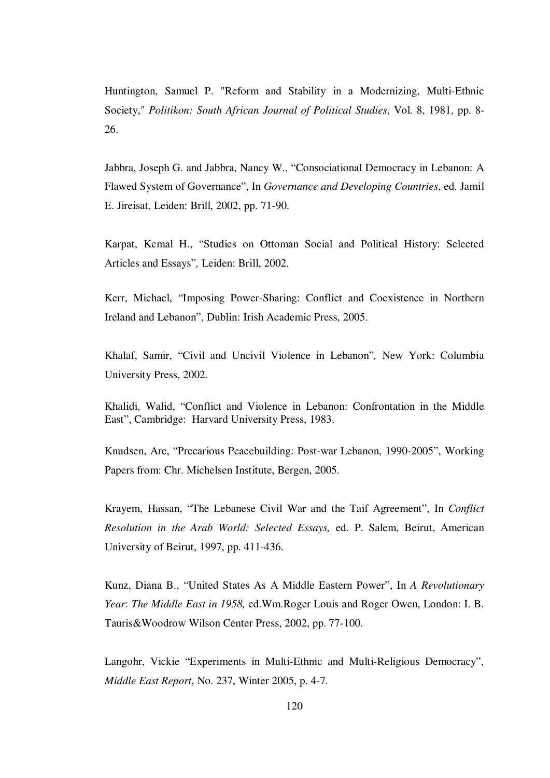Huntington, Samuel P. "Reform and Stability in a Modernizing, Multi-Ethnic Society," *Politikon: South African Journal of Political Studies*, Vol. 8, 1981, pp. 8- 26.

Jabbra, Joseph G. and Jabbra, Nancy W., "Consociational Democracy in Lebanon: A Flawed System of Governance", In *Governance and Developing Countries*, ed. Jamil E. Jireisat, Leiden: Brill, 2002, pp. 71-90.

Karpat, Kemal H., "Studies on Ottoman Social and Political History: Selected Articles and Essays"*,* Leiden: Brill, 2002.

Kerr, Michael, "Imposing Power-Sharing: Conflict and Coexistence in Northern Ireland and Lebanon", Dublin: Irish Academic Press, 2005.

Khalaf, Samir, "Civil and Uncivil Violence in Lebanon"*,* New York: Columbia University Press, 2002.

Khalidi, Walid, "Conflict and Violence in Lebanon: Confrontation in the Middle East", Cambridge: Harvard University Press, 1983.

Knudsen, Are, "Precarious Peacebuilding: Post-war Lebanon, 1990-2005", Working Papers from: Chr. Michelsen Institute, Bergen, 2005.

Krayem, Hassan, "The Lebanese Civil War and the Taif Agreement", In *Conflict Resolution in the Arab World: Selected Essays,* ed. P. Salem, Beirut, American University of Beirut, 1997, pp. 411-436.

Kunz, Diana B., "United States As A Middle Eastern Power", In *A Revolutionary Year*: *The Middle East in 1958,* ed.Wm.Roger Louis and Roger Owen, London: I. B. Tauris&Woodrow Wilson Center Press, 2002, pp. 77-100.

Langohr, Vickie "Experiments in Multi-Ethnic and Multi-Religious Democracy", *Middle East Report*, No. 237, Winter 2005, p. 4-7.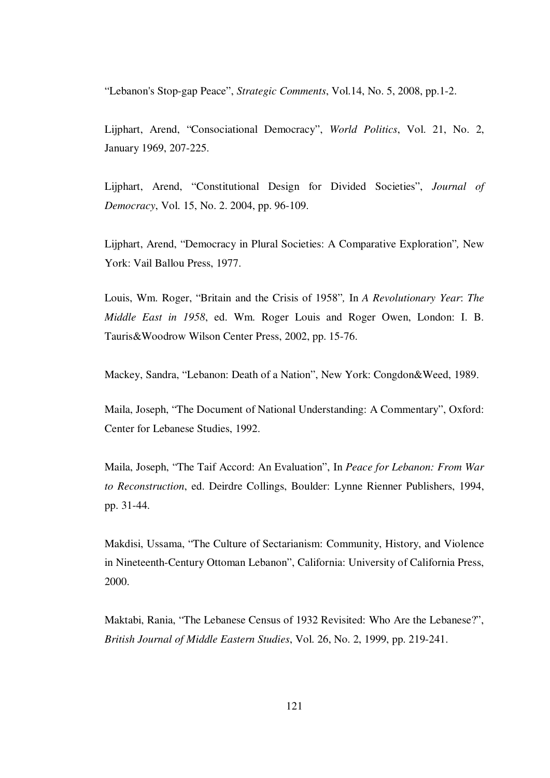"Lebanon's Stop-gap Peace", *Strategic Comments*, Vol.14, No. 5, 2008, pp.1-2.

Lijphart, Arend, "Consociational Democracy", *World Politics*, Vol. 21, No. 2, January 1969, 207-225.

Lijphart, Arend, "Constitutional Design for Divided Societies", *Journal of Democracy*, Vol. 15, No. 2. 2004, pp. 96-109.

Lijphart, Arend, "Democracy in Plural Societies: A Comparative Exploration"*,* New York: Vail Ballou Press, 1977.

Louis, Wm. Roger, "Britain and the Crisis of 1958"*,* In *A Revolutionary Year*: *The Middle East in 1958*, ed. Wm. Roger Louis and Roger Owen, London: I. B. Tauris&Woodrow Wilson Center Press, 2002, pp. 15-76.

Mackey, Sandra, "Lebanon: Death of a Nation", New York: Congdon&Weed, 1989.

Maila, Joseph, "The Document of National Understanding: A Commentary", Oxford: Center for Lebanese Studies, 1992.

Maila, Joseph, "The Taif Accord: An Evaluation", In *Peace for Lebanon: From War to Reconstruction*, ed. Deirdre Collings, Boulder: Lynne Rienner Publishers, 1994, pp. 31-44.

Makdisi, Ussama, "The Culture of Sectarianism: Community, History, and Violence in Nineteenth-Century Ottoman Lebanon", California: University of California Press, 2000.

Maktabi, Rania, "The Lebanese Census of 1932 Revisited: Who Are the Lebanese?", *British Journal of Middle Eastern Studies*, Vol. 26, No. 2, 1999, pp. 219-241.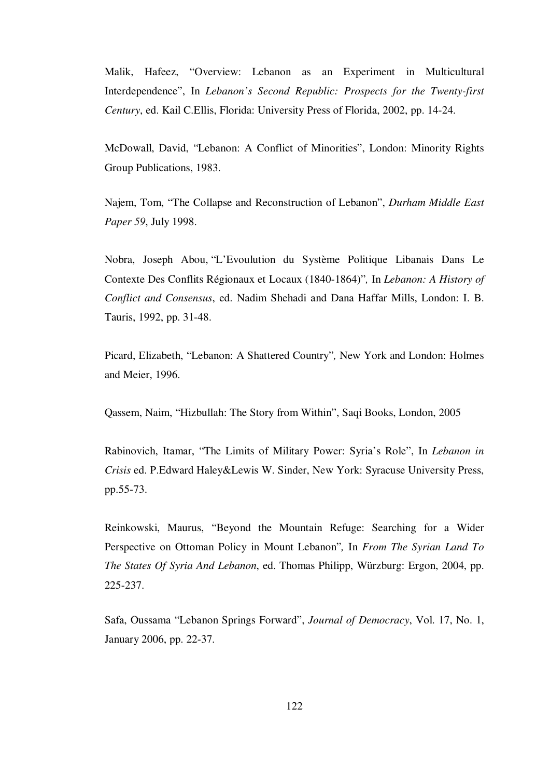Malik, Hafeez, "Overview: Lebanon as an Experiment in Multicultural Interdependence", In *Lebanon's Second Republic: Prospects for the Twenty-first Century*, ed. Kail C.Ellis, Florida: University Press of Florida, 2002, pp. 14-24.

McDowall, David, "Lebanon: A Conflict of Minorities", London: Minority Rights Group Publications, 1983.

Najem, Tom, "The Collapse and Reconstruction of Lebanon", *Durham Middle East Paper 59*, July 1998.

Nobra, Joseph Abou, "L'Evoulution du Système Politique Libanais Dans Le Contexte Des Conflits Régionaux et Locaux (1840-1864)"*,* In *Lebanon: A History of Conflict and Consensus*, ed. Nadim Shehadi and Dana Haffar Mills, London: I. B. Tauris, 1992, pp. 31-48.

Picard, Elizabeth, "Lebanon: A Shattered Country"*,* New York and London: Holmes and Meier, 1996.

Qassem, Naim, "Hizbullah: The Story from Within", Saqi Books, London, 2005

Rabinovich, Itamar, "The Limits of Military Power: Syria's Role", In *Lebanon in Crisis* ed. P.Edward Haley&Lewis W. Sinder, New York: Syracuse University Press, pp.55-73.

Reinkowski, Maurus, "Beyond the Mountain Refuge: Searching for a Wider Perspective on Ottoman Policy in Mount Lebanon"*,* In *From The Syrian Land To The States Of Syria And Lebanon*, ed. Thomas Philipp, Würzburg: Ergon, 2004, pp. 225-237.

Safa, Oussama "Lebanon Springs Forward", *Journal of Democracy*, Vol. 17, No. 1, January 2006, pp. 22-37.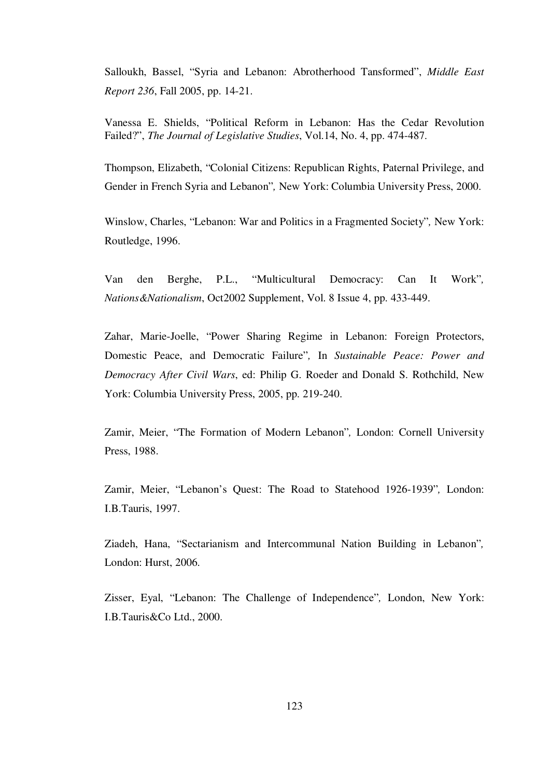Salloukh, Bassel, "Syria and Lebanon: Abrotherhood Tansformed", *Middle East Report 236*, Fall 2005, pp. 14-21.

Vanessa E. Shields, "Political Reform in Lebanon: Has the Cedar Revolution Failed?", *The Journal of Legislative Studies*, Vol.14, No. 4, pp. 474-487.

Thompson, Elizabeth, "Colonial Citizens: Republican Rights, Paternal Privilege, and Gender in French Syria and Lebanon"*,* New York: Columbia University Press, 2000.

Winslow, Charles, "Lebanon: War and Politics in a Fragmented Society"*,* New York: Routledge, 1996.

Van den Berghe, P.L., "Multicultural Democracy: Can It Work"*, Nations&Nationalism*, Oct2002 Supplement, Vol. 8 Issue 4, pp. 433-449.

Zahar, Marie-Joelle, "Power Sharing Regime in Lebanon: Foreign Protectors, Domestic Peace, and Democratic Failure"*,* In *Sustainable Peace: Power and Democracy After Civil Wars*, ed: Philip G. Roeder and Donald S. Rothchild, New York: Columbia University Press, 2005, pp. 219-240.

Zamir, Meier, "The Formation of Modern Lebanon"*,* London: Cornell University Press, 1988.

Zamir, Meier, "Lebanon's Quest: The Road to Statehood 1926-1939"*,* London: I.B.Tauris, 1997.

Ziadeh, Hana, "Sectarianism and Intercommunal Nation Building in Lebanon"*,*  London: Hurst, 2006.

Zisser, Eyal, "Lebanon: The Challenge of Independence"*,* London, New York: I.B.Tauris&Co Ltd., 2000.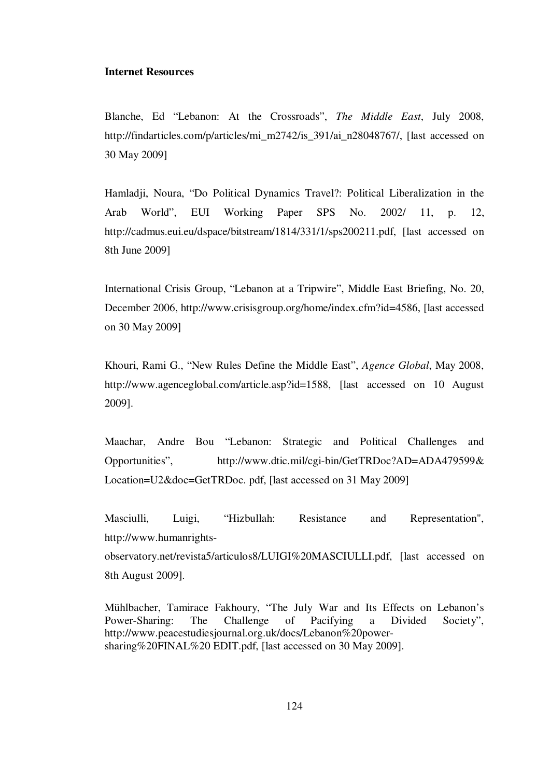## **Internet Resources**

Blanche, Ed "Lebanon: At the Crossroads", *The Middle East*, July 2008, http://findarticles.com/p/articles/mi\_m2742/is\_391/ai\_n28048767/, [last accessed on 30 May 2009]

Hamladji, Noura, "Do Political Dynamics Travel?: Political Liberalization in the Arab World", EUI Working Paper SPS No. 2002/ 11, p. 12, http://cadmus.eui.eu/dspace/bitstream/1814/331/1/sps200211.pdf, [last accessed on 8th June 2009]

International Crisis Group, "Lebanon at a Tripwire", Middle East Briefing, No. 20, December 2006, http://www.crisisgroup.org/home/index.cfm?id=4586, [last accessed on 30 May 2009]

Khouri, Rami G., "New Rules Define the Middle East", *Agence Global*, May 2008, http://www.agenceglobal.com/article.asp?id=1588, [last accessed on 10 August 2009].

Maachar, Andre Bou "Lebanon: Strategic and Political Challenges and Opportunities", http://www.dtic.mil/cgi-bin/GetTRDoc?AD=ADA479599& Location=U2&doc=GetTRDoc. pdf, [last accessed on 31 May 2009]

Masciulli, Luigi, "Hizbullah: Resistance and Representation", http://www.humanrightsobservatory.net/revista5/articulos8/LUIGI%20MASCIULLI.pdf, [last accessed on

8th August 2009].

Mühlbacher, Tamirace Fakhoury, "The July War and Its Effects on Lebanon's Power-Sharing: The Challenge of Pacifying a Divided Society", http://www.peacestudiesjournal.org.uk/docs/Lebanon%20powersharing%20FINAL%20 EDIT.pdf, [last accessed on 30 May 2009].